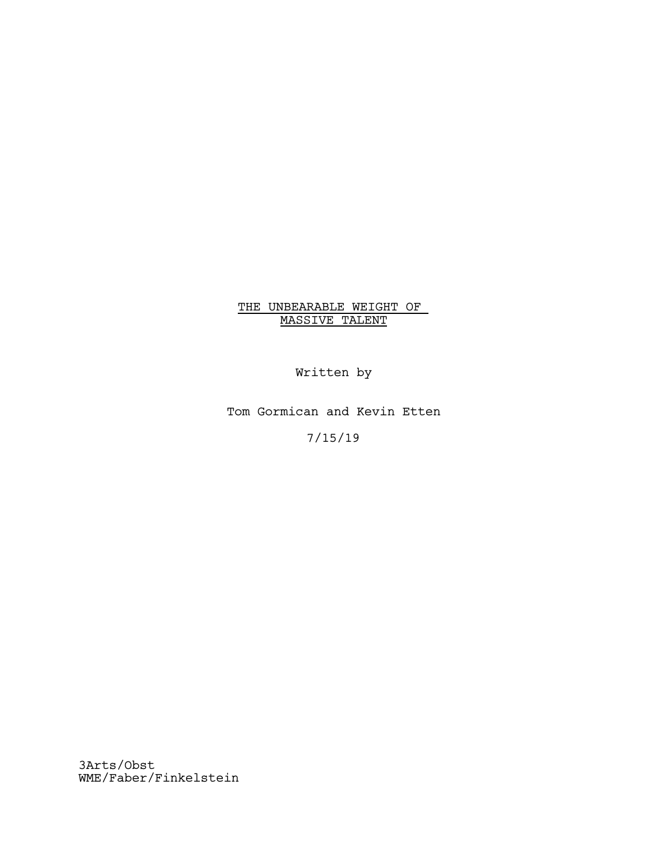# THE UNBEARABLE WEIGHT OF MASSIVE TALENT

Written by

Tom Gormican and Kevin Etten

7/15/19

3Arts/Obst WME/Faber/Finkelstein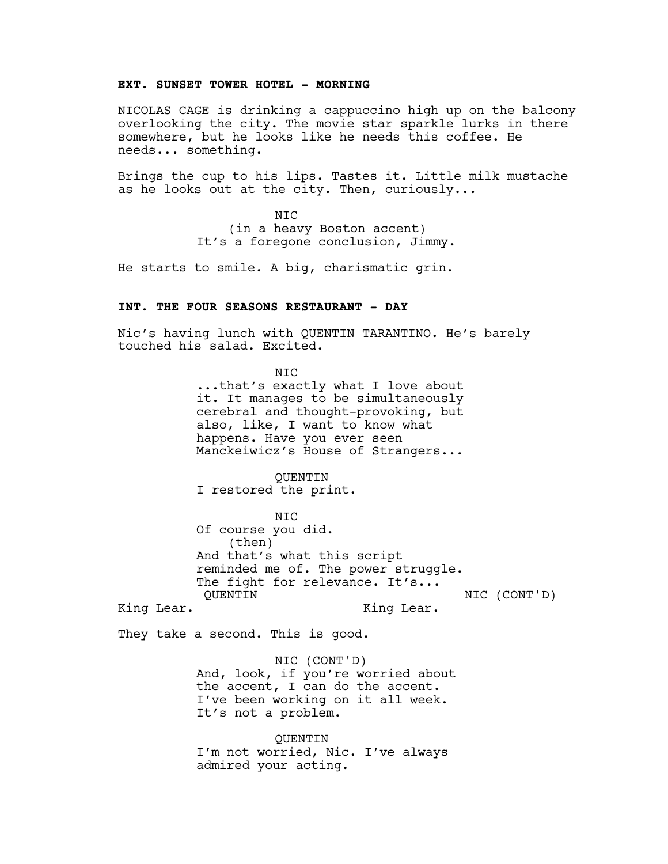## **EXT. SUNSET TOWER HOTEL - MORNING**

NICOLAS CAGE is drinking a cappuccino high up on the balcony overlooking the city. The movie star sparkle lurks in there somewhere, but he looks like he needs this coffee. He needs... something.

Brings the cup to his lips. Tastes it. Little milk mustache as he looks out at the city. Then, curiously...

> NIC (in a heavy Boston accent) It's a foregone conclusion, Jimmy.

He starts to smile. A big, charismatic grin.

## **INT. THE FOUR SEASONS RESTAURANT - DAY**

Nic's having lunch with QUENTIN TARANTINO. He's barely touched his salad. Excited.

> N<sub>TC</sub> ...that's exactly what I love about it. It manages to be simultaneously cerebral and thought-provoking, but also, like, I want to know what happens. Have you ever seen Manckeiwicz's House of Strangers...

QUENTIN I restored the print.

NIC Of course you did. (then) And that's what this script reminded me of. The power struggle. The fight for relevance. It's... QUENTIN NIC (CONT'D)

King Lear.

King Lear.

They take a second. This is good.

NIC (CONT'D) And, look, if you're worried about the accent, I can do the accent. I've been working on it all week. It's not a problem.

QUENTIN I'm not worried, Nic. I've always admired your acting.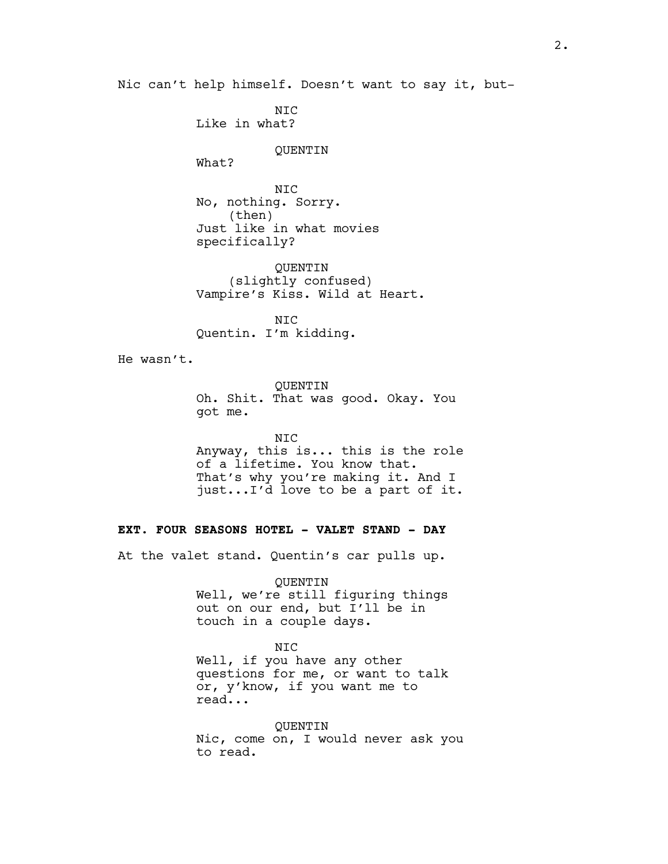Nic can't help himself. Doesn't want to say it, but-

NIC Like in what?

## QUENTIN

What?

NIC No, nothing. Sorry. (then) Just like in what movies specifically?

QUENTIN (slightly confused) Vampire's Kiss. Wild at Heart.

NIC Quentin. I'm kidding.

He wasn't.

QUENTIN Oh. Shit. That was good. Okay. You got me.

NIC Anyway, this is... this is the role of a lifetime. You know that. That's why you're making it. And I just...I'd love to be a part of it.

## **EXT. FOUR SEASONS HOTEL - VALET STAND - DAY**

At the valet stand. Quentin's car pulls up.

QUENTIN Well, we're still figuring things

out on our end, but I'll be in touch in a couple days.

## NIC

Well, if you have any other questions for me, or want to talk or, y'know, if you want me to read...

QUENTIN Nic, come on, I would never ask you to read.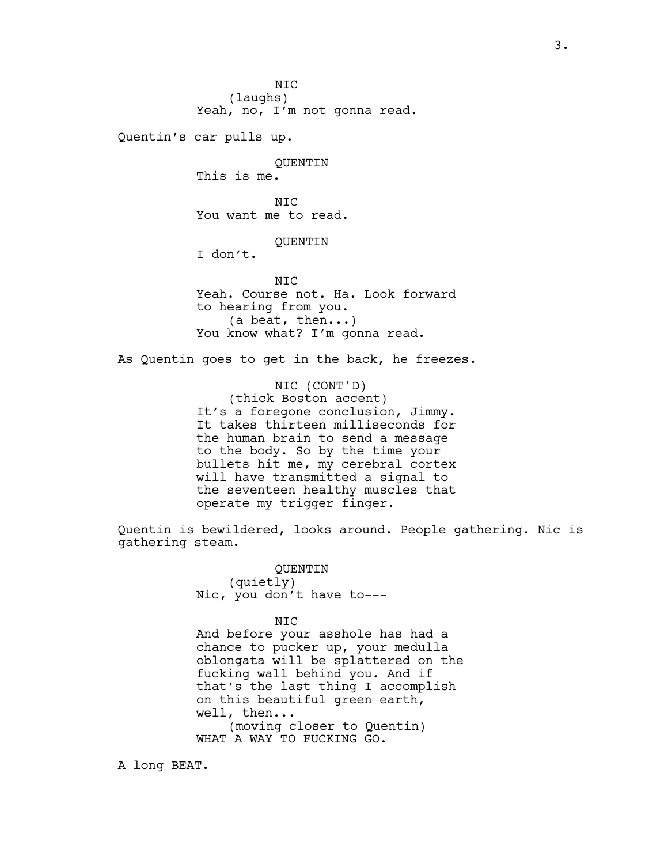N<sub>TC</sub> (laughs) Yeah, no, I'm not gonna read. Quentin's car pulls up. QUENTIN This is me. N<sub>TC</sub> You want me to read. QUENTIN I don't. N<sub>TC</sub> Yeah. Course not. Ha. Look forward to hearing from you. (a beat, then...) You know what? I'm gonna read. As Quentin goes to get in the back, he freezes. NIC (CONT'D) (thick Boston accent)

It's a foregone conclusion, Jimmy. It takes thirteen milliseconds for the human brain to send a message to the body. So by the time your bullets hit me, my cerebral cortex will have transmitted a signal to the seventeen healthy muscles that operate my trigger finger.

Quentin is bewildered, looks around. People gathering. Nic is gathering steam.

> QUENTIN (quietly) Nic, you don't have to---

NIC And before your asshole has had a chance to pucker up, your medulla oblongata will be splattered on the fucking wall behind you. And if that's the last thing I accomplish on this beautiful green earth, well, then... (moving closer to Quentin) WHAT A WAY TO FUCKING GO.

A long BEAT.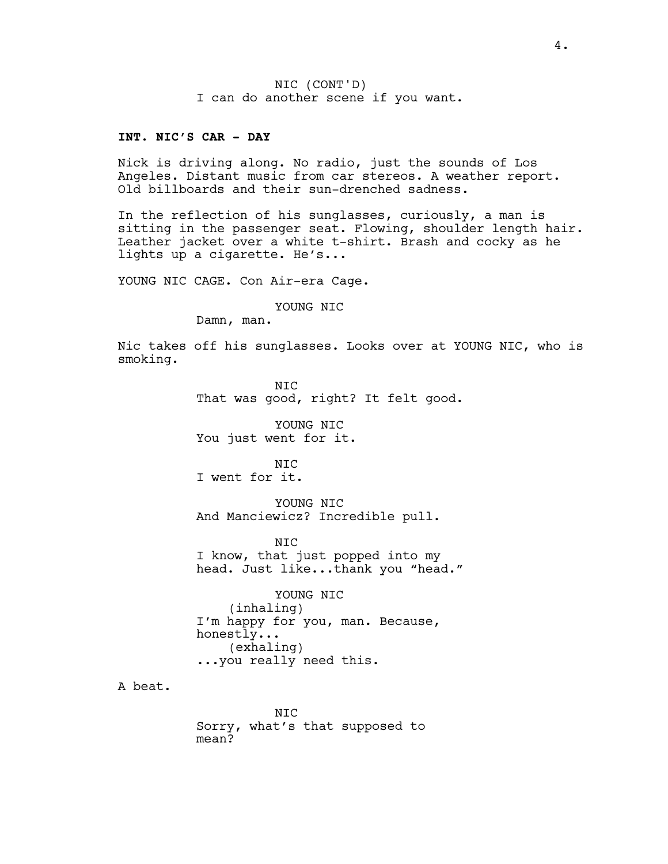NIC (CONT'D) I can do another scene if you want.

#### **INT. NIC'S CAR - DAY**

Nick is driving along. No radio, just the sounds of Los Angeles. Distant music from car stereos. A weather report. Old billboards and their sun-drenched sadness.

In the reflection of his sunglasses, curiously, a man is sitting in the passenger seat. Flowing, shoulder length hair. Leather jacket over a white t-shirt. Brash and cocky as he lights up a cigarette. He's...

YOUNG NIC CAGE. Con Air-era Cage.

YOUNG NIC

Damn, man.

Nic takes off his sunglasses. Looks over at YOUNG NIC, who is smoking.

> NIC That was good, right? It felt good.

YOUNG NIC You just went for it.

NIC I went for it.

YOUNG NIC And Manciewicz? Incredible pull.

N<sub>TC</sub> I know, that just popped into my head. Just like...thank you "head."

YOUNG NIC (inhaling) I'm happy for you, man. Because, honestly... (exhaling) ...you really need this.

A beat.

NIC Sorry, what's that supposed to mean?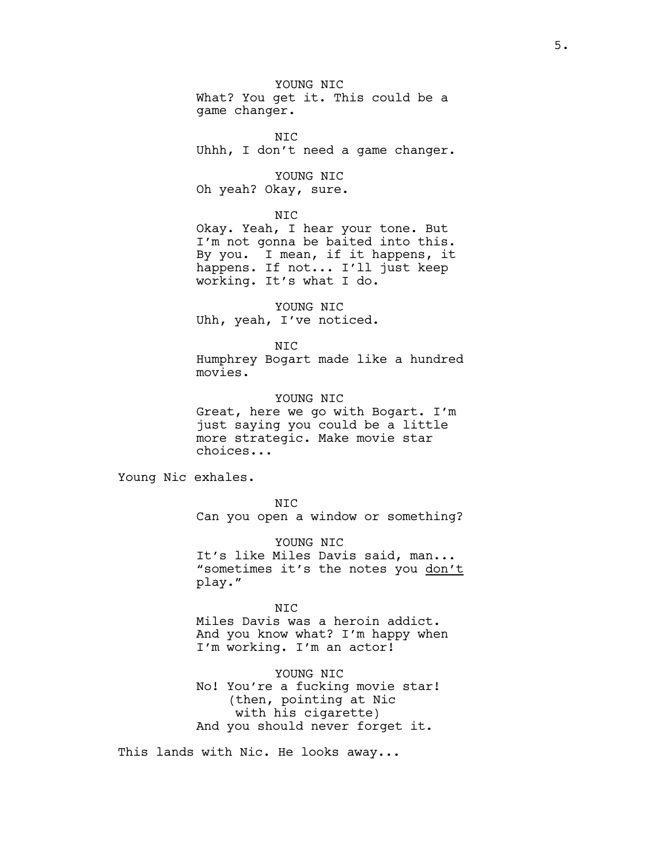YOUNG NIC What? You get it. This could be a game changer.

NIC Uhhh, I don't need a game changer.

YOUNG NIC Oh yeah? Okay, sure.

#### NIC

Okay. Yeah, I hear your tone. But I'm not gonna be baited into this. By you. I mean, if it happens, it happens. If not... I'll just keep working. It's what I do.

YOUNG NIC Uhh, yeah, I've noticed.

NIC Humphrey Bogart made like a hundred movies.

YOUNG NIC Great, here we go with Bogart. I'm just saying you could be a little more strategic. Make movie star choices...

Young Nic exhales.

NIC Can you open a window or something?

YOUNG NIC It's like Miles Davis said, man... "sometimes it's the notes you don't play."

NIC Miles Davis was a heroin addict. And you know what? I'm happy when I'm working. I'm an actor!

YOUNG NIC No! You're a fucking movie star! (then, pointing at Nic with his cigarette) And you should never forget it.

This lands with Nic. He looks away...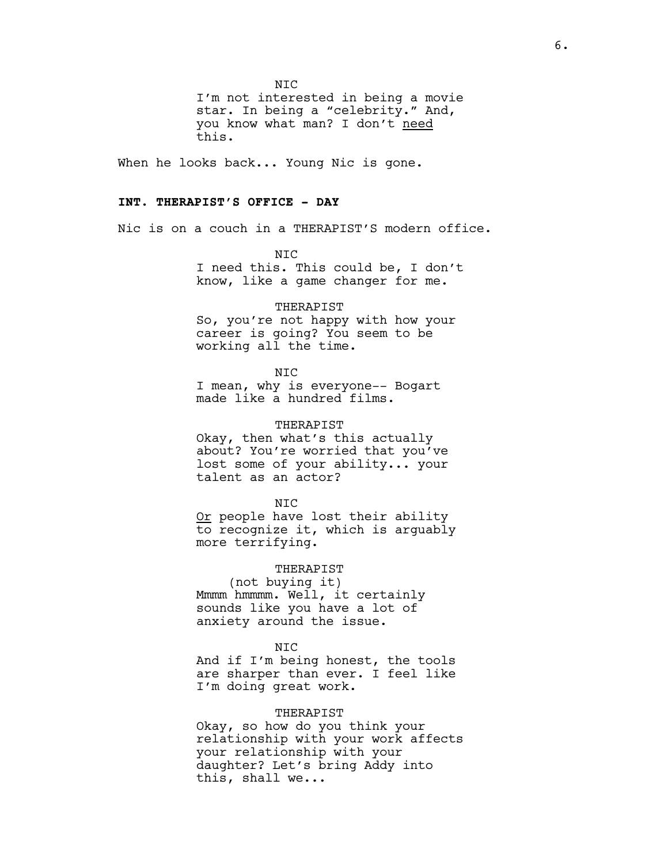N<sub>TC</sub>

I'm not interested in being a movie star. In being a "celebrity." And, you know what man? I don't need this.

When he looks back... Young Nic is gone.

## **INT. THERAPIST'S OFFICE - DAY**

Nic is on a couch in a THERAPIST'S modern office.

N<sub>TC</sub> I need this. This could be, I don't know, like a game changer for me.

#### THERAPIST

So, you're not happy with how your career is going? You seem to be working all the time.

NIC

I mean, why is everyone-- Bogart made like a hundred films.

## THERAPIST

Okay, then what's this actually about? You're worried that you've lost some of your ability... your talent as an actor?

#### NIC

Or people have lost their ability to recognize it, which is arguably more terrifying.

#### THERAPIST

(not buying it) Mmmm hmmmm. Well, it certainly sounds like you have a lot of anxiety around the issue.

#### NIC

And if I'm being honest, the tools are sharper than ever. I feel like I'm doing great work.

## THERAPIST

Okay, so how do you think your relationship with your work affects your relationship with your daughter? Let's bring Addy into this, shall we...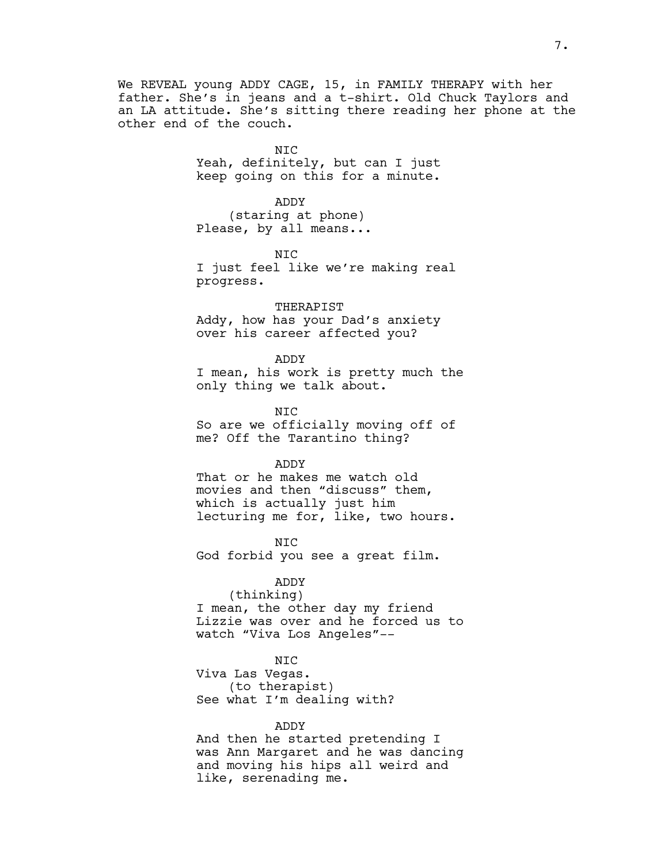We REVEAL young ADDY CAGE, 15, in FAMILY THERAPY with her father. She's in jeans and a t-shirt. Old Chuck Taylors and an LA attitude. She's sitting there reading her phone at the other end of the couch.

> NIC Yeah, definitely, but can I just keep going on this for a minute.

ADDY (staring at phone) Please, by all means...

N<sub>TC</sub> I just feel like we're making real progress.

THERAPIST Addy, how has your Dad's anxiety over his career affected you?

ADDY

I mean, his work is pretty much the only thing we talk about.

NIC So are we officially moving off of me? Off the Tarantino thing?

ADDY

That or he makes me watch old movies and then "discuss" them, which is actually just him lecturing me for, like, two hours.

NIC God forbid you see a great film.

ADDY

(thinking) I mean, the other day my friend Lizzie was over and he forced us to watch "Viva Los Angeles"--

NIC

Viva Las Vegas. (to therapist) See what I'm dealing with?

ADDY

And then he started pretending I was Ann Margaret and he was dancing and moving his hips all weird and like, serenading me.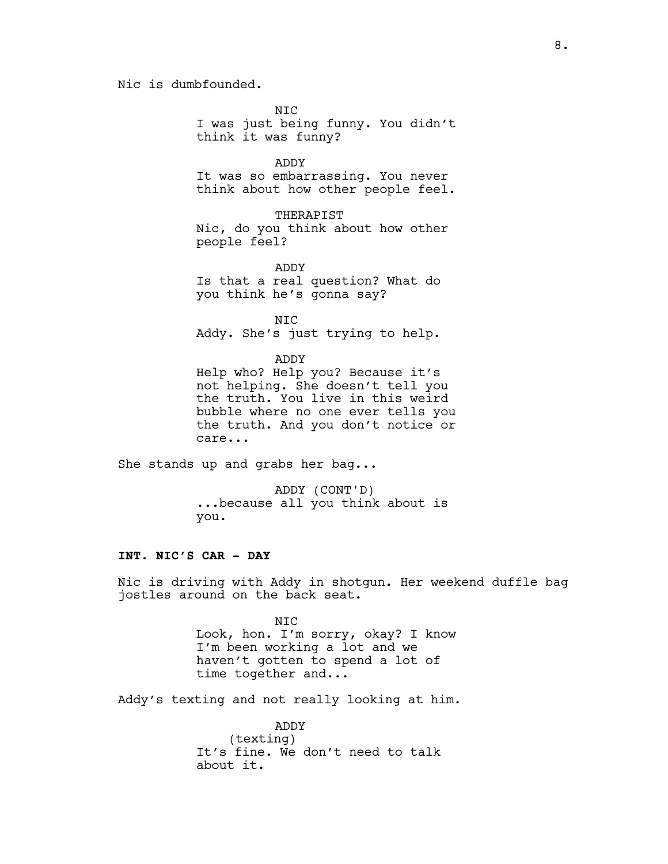Nic is dumbfounded.

NIC

I was just being funny. You didn't think it was funny?

ADDY

It was so embarrassing. You never think about how other people feel.

#### THERAPIST

Nic, do you think about how other people feel?

ADDY Is that a real question? What do

you think he's gonna say?

NIC

Addy. She's just trying to help.

ADDY

Help who? Help you? Because it's not helping. She doesn't tell you the truth. You live in this weird bubble where no one ever tells you the truth. And you don't notice or care...

She stands up and grabs her bag...

ADDY (CONT'D) ...because all you think about is you.

## **INT. NIC'S CAR - DAY**

Nic is driving with Addy in shotgun. Her weekend duffle bag jostles around on the back seat.

> NIC Look, hon. I'm sorry, okay? I know I'm been working a lot and we haven't gotten to spend a lot of time together and...

Addy's texting and not really looking at him.

ADDY (texting) It's fine. We don't need to talk about it.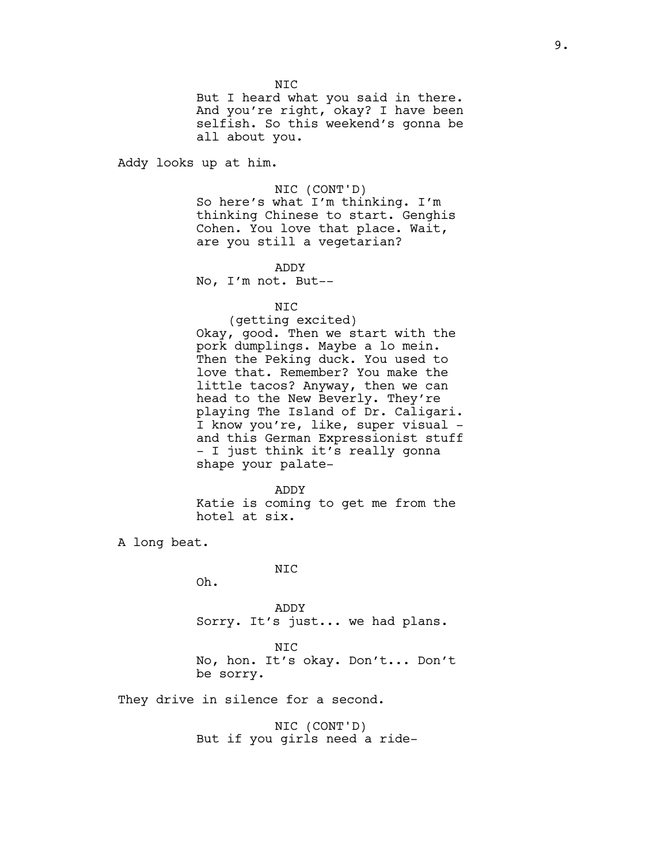N<sub>TC</sub>

But I heard what you said in there. And you're right, okay? I have been selfish. So this weekend's gonna be all about you.

Addy looks up at him.

#### NIC (CONT'D)

So here's what I'm thinking. I'm thinking Chinese to start. Genghis Cohen. You love that place. Wait, are you still a vegetarian?

ADDY

No, I'm not. But--

NIC

(getting excited) Okay, good. Then we start with the pork dumplings. Maybe a lo mein. Then the Peking duck. You used to love that. Remember? You make the little tacos? Anyway, then we can head to the New Beverly. They're playing The Island of Dr. Caligari. I know you're, like, super visual and this German Expressionist stuff - I just think it's really gonna shape your palate-

ADDY Katie is coming to get me from the hotel at six.

A long beat.

NIC

Oh.

ADDY Sorry. It's just... we had plans.

NIC No, hon. It's okay. Don't... Don't be sorry.

They drive in silence for a second.

NIC (CONT'D) But if you girls need a ride-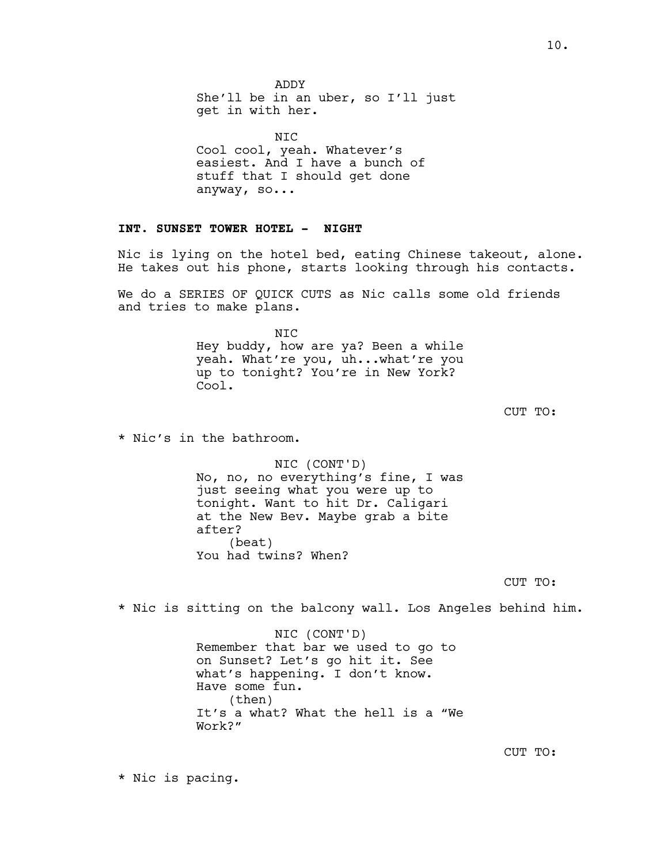10.

ADDY She'll be in an uber, so I'll just get in with her.

NIC Cool cool, yeah. Whatever's easiest. And I have a bunch of stuff that I should get done anyway, so...

# **INT. SUNSET TOWER HOTEL - NIGHT**

Nic is lying on the hotel bed, eating Chinese takeout, alone. He takes out his phone, starts looking through his contacts.

We do a SERIES OF QUICK CUTS as Nic calls some old friends and tries to make plans.

> NIC Hey buddy, how are ya? Been a while yeah. What're you, uh...what're you up to tonight? You're in New York? Cool.

> > CUT TO:

\* Nic's in the bathroom.

NIC (CONT'D) No, no, no everything's fine, I was just seeing what you were up to tonight. Want to hit Dr. Caligari at the New Bev. Maybe grab a bite after? (beat) You had twins? When?

CUT TO:

\* Nic is sitting on the balcony wall. Los Angeles behind him.

NIC (CONT'D) Remember that bar we used to go to on Sunset? Let's go hit it. See what's happening. I don't know. Have some fun. (then) It's a what? What the hell is a "We Work?"

CUT TO:

\* Nic is pacing.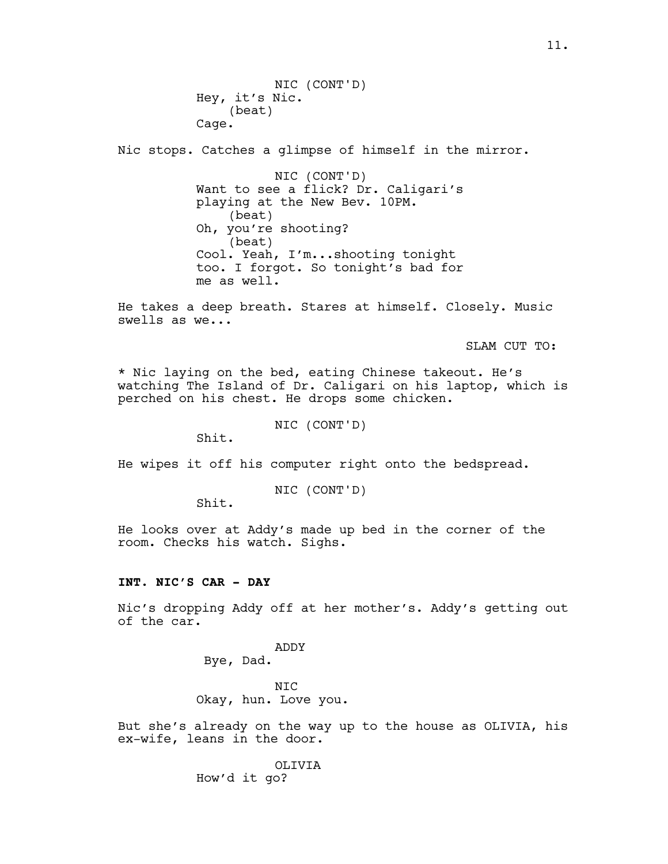Nic stops. Catches a glimpse of himself in the mirror.

NIC (CONT'D) Want to see a flick? Dr. Caligari's playing at the New Bev. 10PM. (beat) Oh, you're shooting? (beat) Cool. Yeah, I'm...shooting tonight too. I forgot. So tonight's bad for me as well.

He takes a deep breath. Stares at himself. Closely. Music swells as we...

SLAM CUT TO:

\* Nic laying on the bed, eating Chinese takeout. He's watching The Island of Dr. Caligari on his laptop, which is perched on his chest. He drops some chicken.

NIC (CONT'D)

Shit.

He wipes it off his computer right onto the bedspread.

NIC (CONT'D)

Shit.

He looks over at Addy's made up bed in the corner of the room. Checks his watch. Sighs.

## **INT. NIC'S CAR - DAY**

Nic's dropping Addy off at her mother's. Addy's getting out of the car.

> ADDY Bye, Dad.

NIC Okay, hun. Love you.

But she's already on the way up to the house as OLIVIA, his ex-wife, leans in the door.

> OLIVIA How'd it go?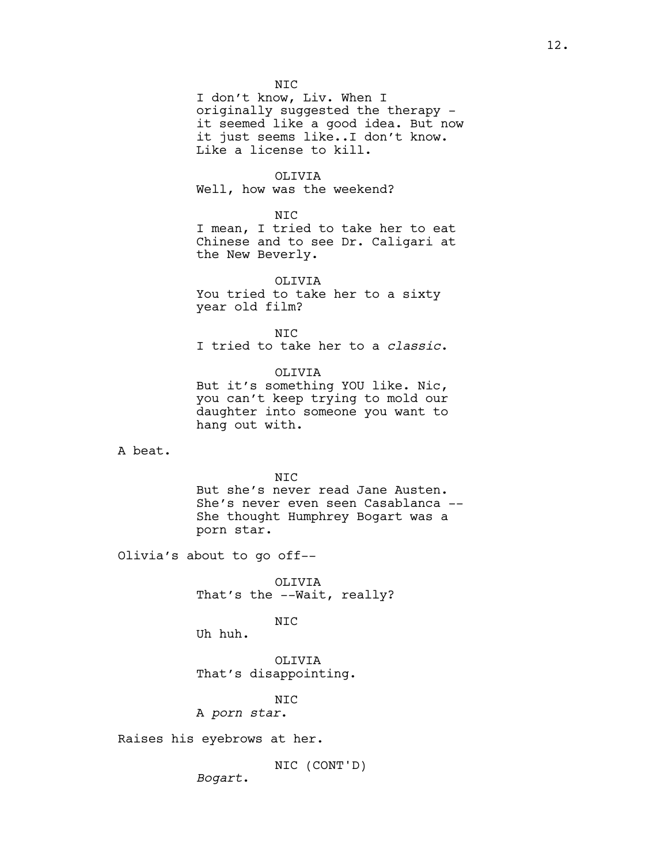NIC I don't know, Liv. When I originally suggested the therapy it seemed like a good idea. But now it just seems like..I don't know. Like a license to kill.

## OLIVIA

Well, how was the weekend?

#### NIC

I mean, I tried to take her to eat Chinese and to see Dr. Caligari at the New Beverly.

OLIVIA You tried to take her to a sixty year old film?

N<sub>TC</sub> I tried to take her to a *classic*.

OLIVIA

But it's something YOU like. Nic, you can't keep trying to mold our daughter into someone you want to hang out with.

A beat.

#### NIC

But she's never read Jane Austen. She's never even seen Casablanca -- She thought Humphrey Bogart was a porn star.

Olivia's about to go off--

OLIVIA That's the --Wait, really?

NIC

Uh huh.

OLIVIA That's disappointing.

NIC

A *porn star*.

Raises his eyebrows at her.

NIC (CONT'D)

*Bogart*.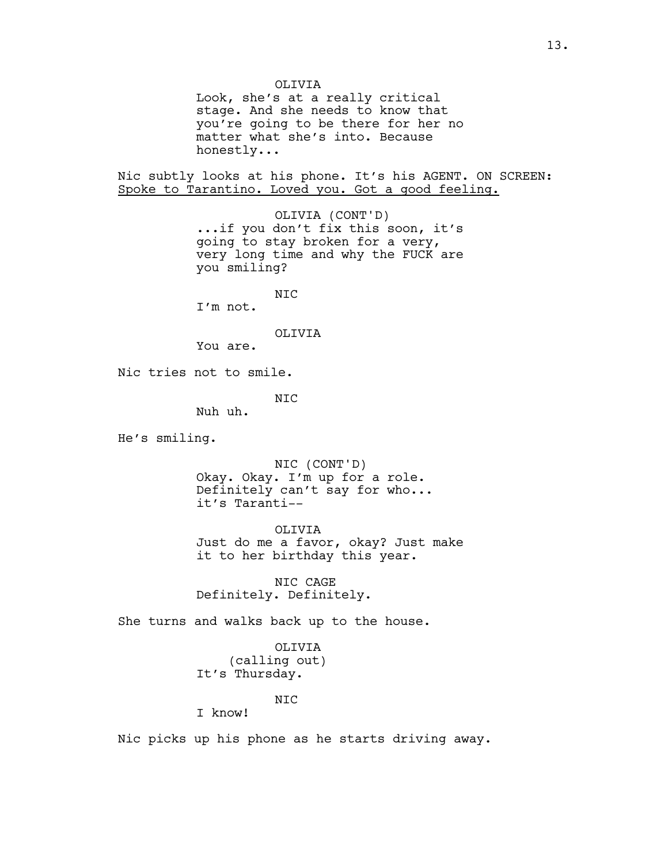OLIVIA Look, she's at a really critical stage. And she needs to know that you're going to be there for her no matter what she's into. Because honestly... Nic subtly looks at his phone. It's his AGENT. ON SCREEN: Spoke to Tarantino. Loved you. Got a good feeling. OLIVIA (CONT'D) ...if you don't fix this soon, it's going to stay broken for a very, very long time and why the FUCK are you smiling? NIC I'm not. OLIVIA You are. Nic tries not to smile. NIC Nuh uh. He's smiling. NIC (CONT'D) Okay. Okay. I'm up for a role. Definitely can't say for who... it's Taranti-- OLIVIA Just do me a favor, okay? Just make it to her birthday this year. NIC CAGE Definitely. Definitely. She turns and walks back up to the house.

> OLIVIA (calling out) It's Thursday.

> > NIC

I know!

Nic picks up his phone as he starts driving away.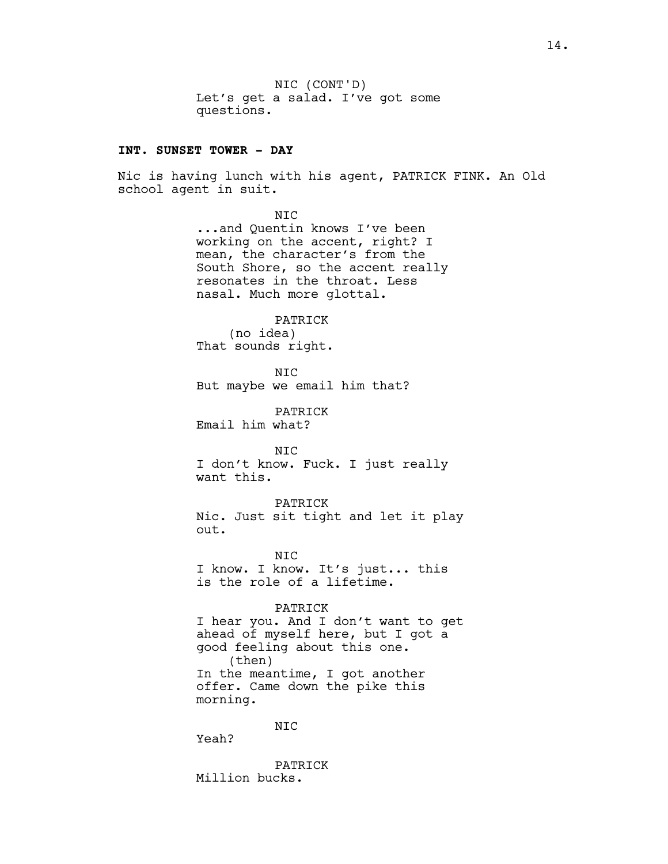## **INT. SUNSET TOWER - DAY**

Nic is having lunch with his agent, PATRICK FINK. An Old school agent in suit.

#### NIC

...and Quentin knows I've been working on the accent, right? I mean, the character's from the South Shore, so the accent really resonates in the throat. Less nasal. Much more glottal.

#### PATRICK

(no idea) That sounds right.

NIC But maybe we email him that?

PATRICK Email him what?

NIC I don't know. Fuck. I just really want this.

PATRICK Nic. Just sit tight and let it play out.

NIC I know. I know. It's just... this is the role of a lifetime.

#### PATRICK

I hear you. And I don't want to get ahead of myself here, but I got a good feeling about this one. (then) In the meantime, I got another offer. Came down the pike this morning.

NIC

Yeah?

PATRICK Million bucks.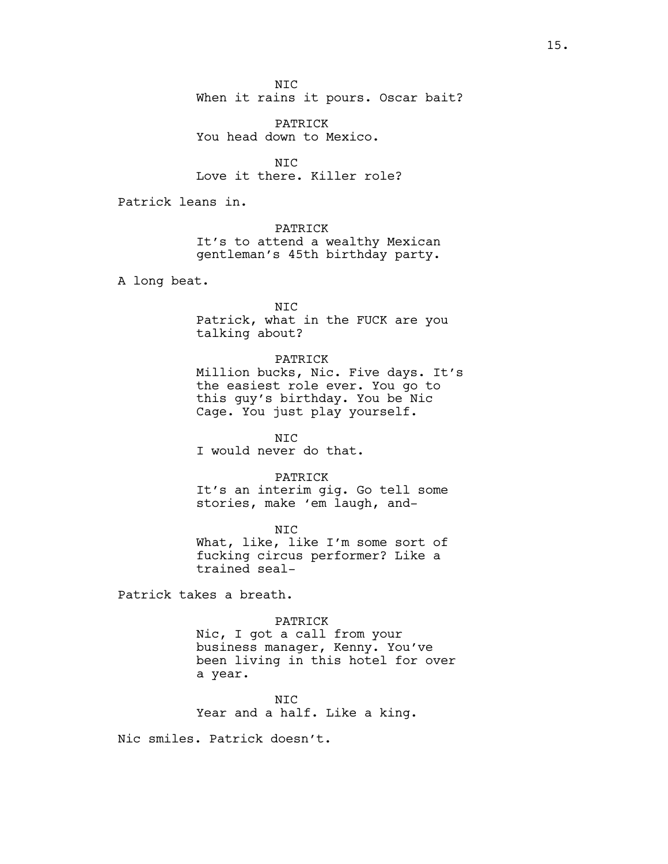NIC When it rains it pours. Oscar bait?

PATRICK You head down to Mexico.

NIC Love it there. Killer role?

Patrick leans in.

PATRICK It's to attend a wealthy Mexican gentleman's 45th birthday party.

A long beat.

NIC Patrick, what in the FUCK are you talking about?

#### PATRICK

Million bucks, Nic. Five days. It's the easiest role ever. You go to this guy's birthday. You be Nic Cage. You just play yourself.

NIC I would never do that.

#### PATRICK

It's an interim gig. Go tell some stories, make 'em laugh, and-

NIC What, like, like I'm some sort of fucking circus performer? Like a trained seal-

Patrick takes a breath.

#### PATRICK

Nic, I got a call from your business manager, Kenny. You've been living in this hotel for over a year.

NIC Year and a half. Like a king.

Nic smiles. Patrick doesn't.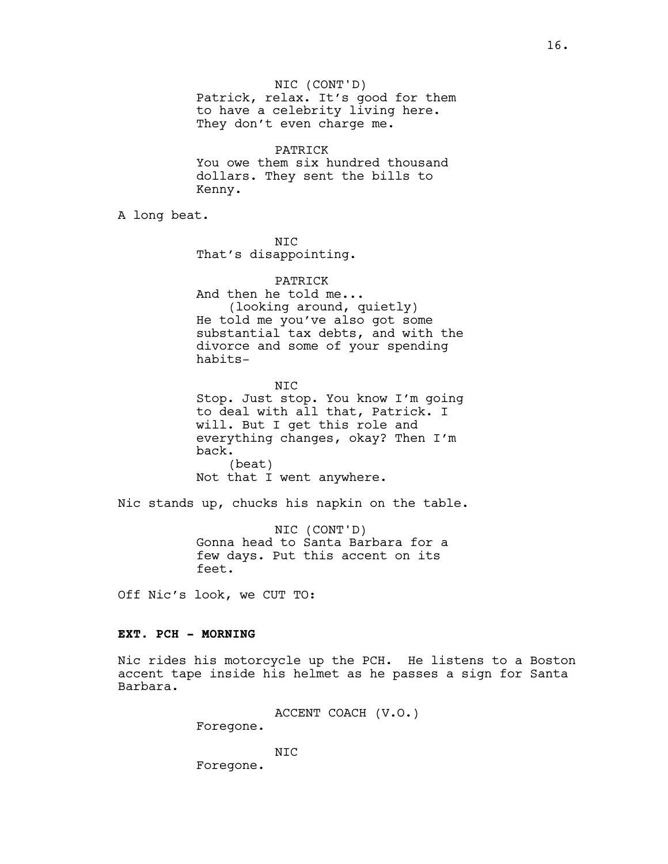NIC (CONT'D) Patrick, relax. It's good for them to have a celebrity living here. They don't even charge me.

PATRICK You owe them six hundred thousand dollars. They sent the bills to Kenny.

A long beat.

NIC That's disappointing.

PATRICK And then he told me... (looking around, quietly) He told me you've also got some substantial tax debts, and with the divorce and some of your spending habits-

NIC Stop. Just stop. You know I'm going to deal with all that, Patrick. I will. But I get this role and everything changes, okay? Then I'm back. (beat) Not that I went anywhere.

Nic stands up, chucks his napkin on the table.

NIC (CONT'D) Gonna head to Santa Barbara for a few days. Put this accent on its feet.

Off Nic's look, we CUT TO:

## **EXT. PCH - MORNING**

Nic rides his motorcycle up the PCH. He listens to a Boston accent tape inside his helmet as he passes a sign for Santa Barbara.

ACCENT COACH (V.O.)

Foregone.

NIC Foregone.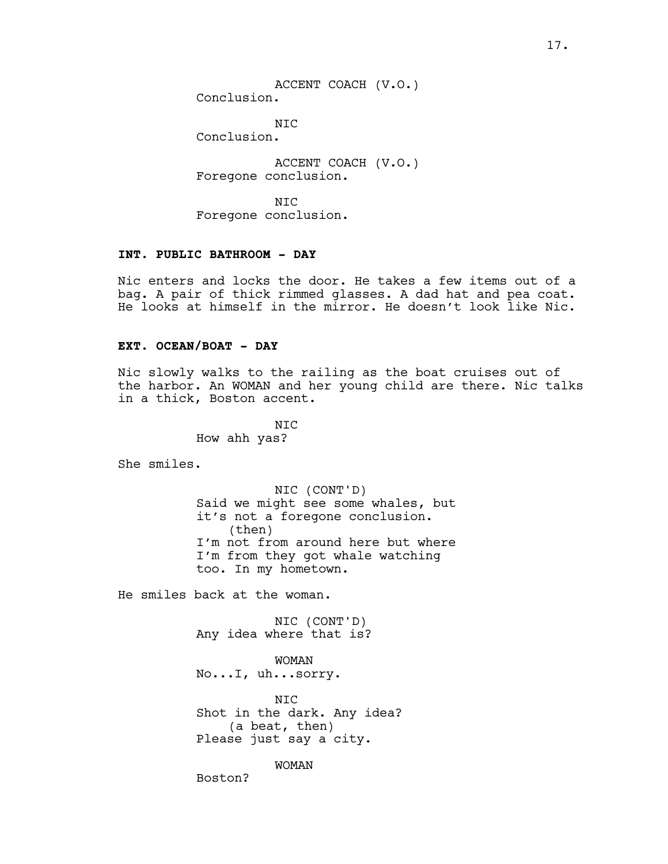ACCENT COACH (V.O.) Conclusion.

NIC

Conclusion.

ACCENT COACH (V.O.) Foregone conclusion.

NIC Foregone conclusion.

# **INT. PUBLIC BATHROOM - DAY**

Nic enters and locks the door. He takes a few items out of a bag. A pair of thick rimmed glasses. A dad hat and pea coat. He looks at himself in the mirror. He doesn't look like Nic.

## **EXT. OCEAN/BOAT - DAY**

Nic slowly walks to the railing as the boat cruises out of the harbor. An WOMAN and her young child are there. Nic talks in a thick, Boston accent.

> N<sub>TC</sub> How ahh yas?

She smiles.

NIC (CONT'D) Said we might see some whales, but it's not a foregone conclusion. (then) I'm not from around here but where I'm from they got whale watching too. In my hometown.

He smiles back at the woman.

NIC (CONT'D) Any idea where that is?

WOMAN No...I, uh...sorry.

NIC Shot in the dark. Any idea? (a beat, then) Please just say a city.

WOMAN

Boston?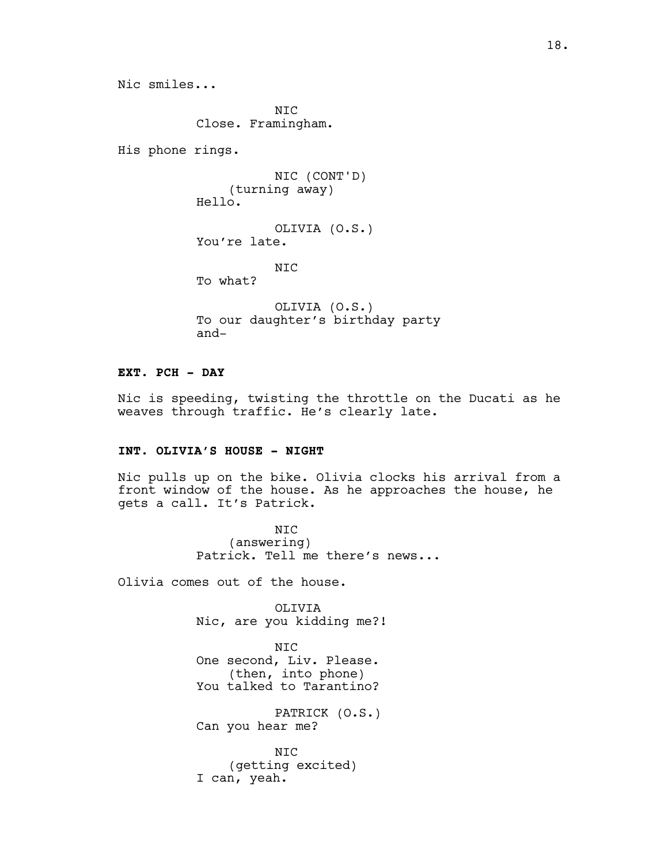Nic smiles...

N<sub>TC</sub> Close. Framingham.

His phone rings.

NIC (CONT'D) (turning away) Hello.

OLIVIA (O.S.) You're late.

NIC

To what?

OLIVIA (O.S.) To our daughter's birthday party and-

# **EXT. PCH - DAY**

Nic is speeding, twisting the throttle on the Ducati as he weaves through traffic. He's clearly late.

# **INT. OLIVIA'S HOUSE - NIGHT**

Nic pulls up on the bike. Olivia clocks his arrival from a front window of the house. As he approaches the house, he gets a call. It's Patrick.

> NIC (answering) Patrick. Tell me there's news...

Olivia comes out of the house.

OLIVIA Nic, are you kidding me?!

NIC One second, Liv. Please. (then, into phone) You talked to Tarantino?

PATRICK (O.S.) Can you hear me?

NIC (getting excited) I can, yeah.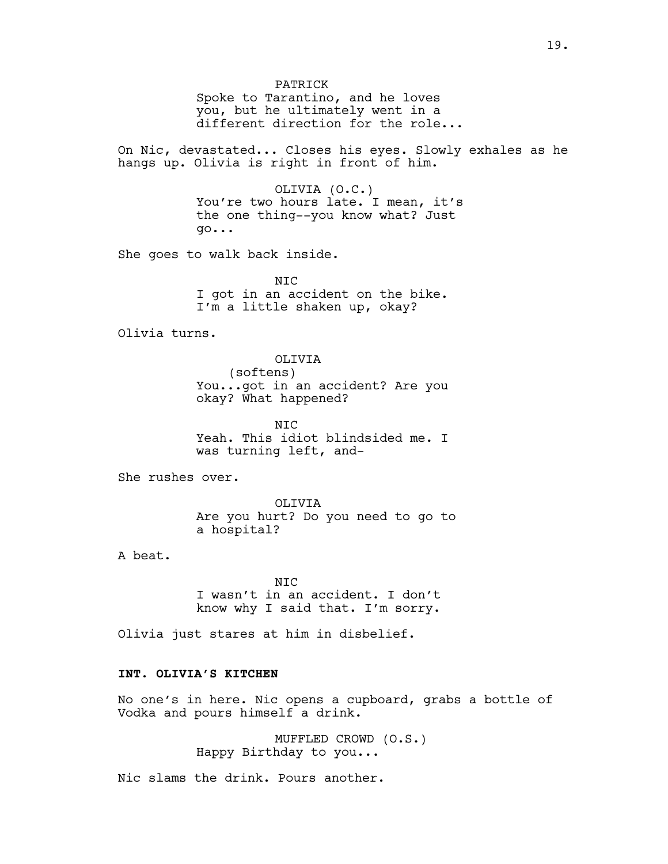PATRICK

Spoke to Tarantino, and he loves you, but he ultimately went in a different direction for the role...

On Nic, devastated... Closes his eyes. Slowly exhales as he hangs up. Olivia is right in front of him.

> OLIVIA (O.C.) You're two hours late. I mean, it's the one thing--you know what? Just go...

She goes to walk back inside.

NIC I got in an accident on the bike. I'm a little shaken up, okay?

Olivia turns.

OLIVIA (softens) You...got in an accident? Are you okay? What happened?

 $NTC$ Yeah. This idiot blindsided me. I was turning left, and-

She rushes over.

OLIVIA Are you hurt? Do you need to go to a hospital?

A beat.

NIC I wasn't in an accident. I don't know why I said that. I'm sorry.

Olivia just stares at him in disbelief.

# **INT. OLIVIA'S KITCHEN**

No one's in here. Nic opens a cupboard, grabs a bottle of Vodka and pours himself a drink.

> MUFFLED CROWD (O.S.) Happy Birthday to you...

Nic slams the drink. Pours another.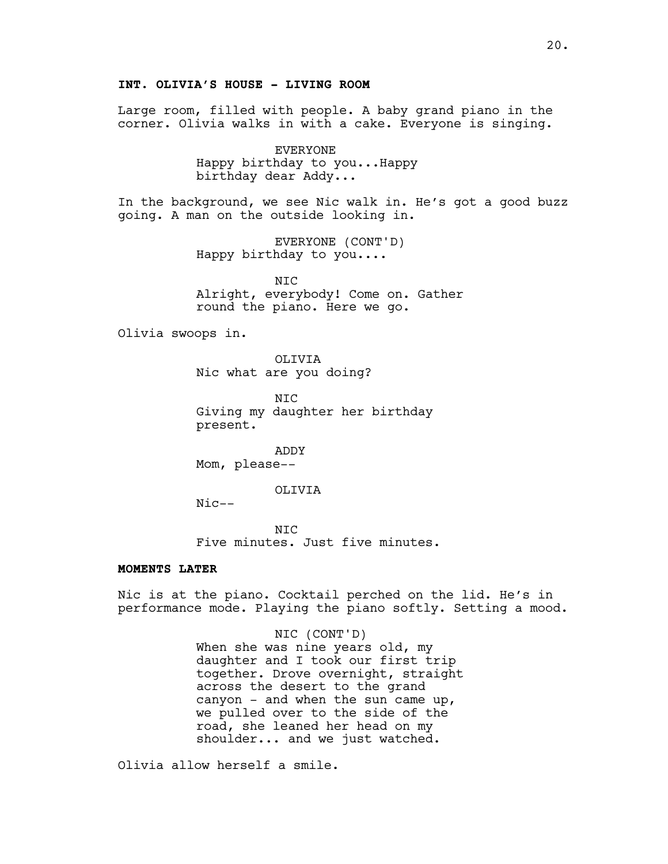Large room, filled with people. A baby grand piano in the corner. Olivia walks in with a cake. Everyone is singing.

> EVERYONE Happy birthday to you...Happy birthday dear Addy...

In the background, we see Nic walk in. He's got a good buzz going. A man on the outside looking in.

> EVERYONE (CONT'D) Happy birthday to you....

N<sub>TC</sub> Alright, everybody! Come on. Gather round the piano. Here we go.

Olivia swoops in.

OLIVIA Nic what are you doing?

N<sub>TC</sub> Giving my daughter her birthday present.

ADDY Mom, please--

#### OLIVIA

Nic--

NIC Five minutes. Just five minutes.

## **MOMENTS LATER**

Nic is at the piano. Cocktail perched on the lid. He's in performance mode. Playing the piano softly. Setting a mood.

> NIC (CONT'D) When she was nine years old, my daughter and I took our first trip together. Drove overnight, straight across the desert to the grand canyon - and when the sun came up, we pulled over to the side of the road, she leaned her head on my shoulder... and we just watched.

Olivia allow herself a smile.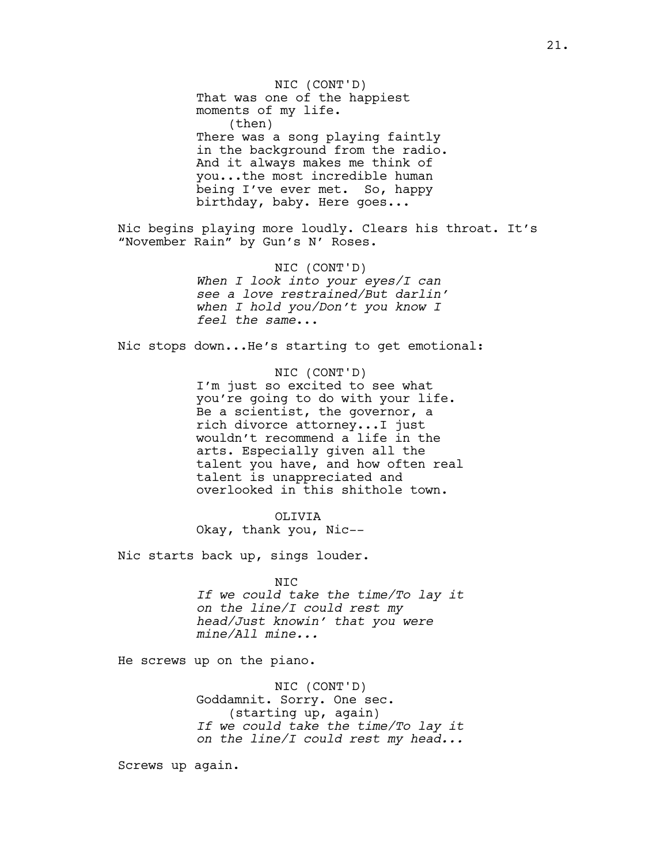That was one of the happiest moments of my life. (then) There was a song playing faintly in the background from the radio. And it always makes me think of you...the most incredible human being I've ever met. So, happy birthday, baby. Here goes... Nic begins playing more loudly. Clears his throat. It's "November Rain" by Gun's N' Roses. NIC (CONT'D) *When I look into your eyes/I can see a love restrained/But darlin' when I hold you/Don't you know I feel the same*... Nic stops down...He's starting to get emotional: NIC (CONT'D) I'm just so excited to see what you're going to do with your life. Be a scientist, the governor, a rich divorce attorney...I just wouldn't recommend a life in the arts. Especially given all the talent you have, and how often real talent is unappreciated and overlooked in this shithole town. OLIVIA Okay, thank you, Nic-- Nic starts back up, sings louder. NIC

NIC (CONT'D)

*If we could take the time/To lay it on the line/I could rest my head/Just knowin' that you were mine/All mine...*

He screws up on the piano.

NIC (CONT'D) Goddamnit. Sorry. One sec. (starting up, again) *If we could take the time/To lay it on the line/I could rest my head...*

Screws up again.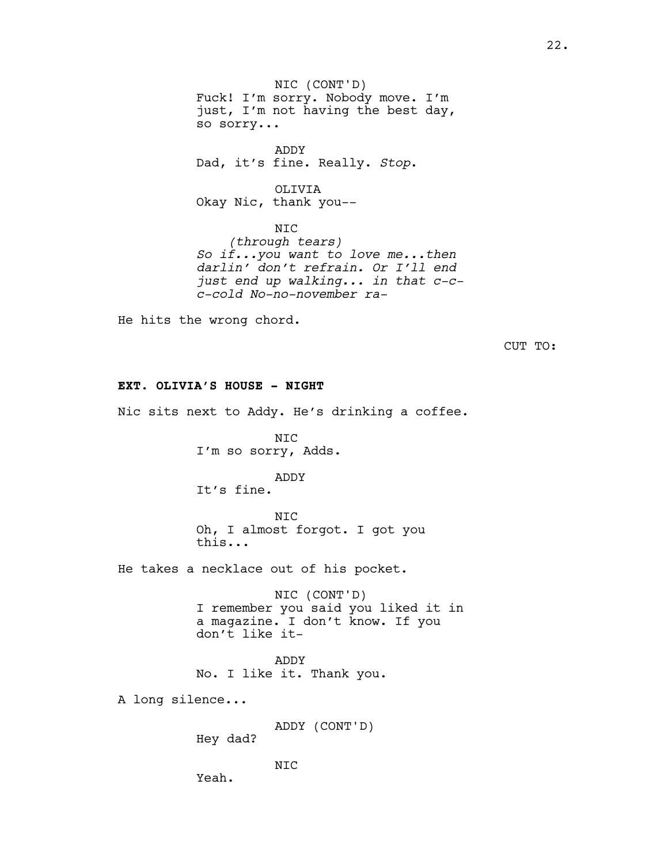NIC (CONT'D) Fuck! I'm sorry. Nobody move. I'm just, I'm not having the best day, so sorry...

ADDY Dad, it's fine. Really. *Stop*.

OLIVIA Okay Nic, thank you--

NIC *(through tears) So if...you want to love me...then darlin' don't refrain. Or I'll end just end up walking... in that c-cc-cold No-no-november ra-*

He hits the wrong chord.

CUT TO:

# **EXT. OLIVIA'S HOUSE - NIGHT**

Nic sits next to Addy. He's drinking a coffee.

NIC I'm so sorry, Adds.

# ADDY

It's fine.

NIC Oh, I almost forgot. I got you this...

He takes a necklace out of his pocket.

NIC (CONT'D) I remember you said you liked it in a magazine. I don't know. If you don't like it-

ADDY No. I like it. Thank you.

A long silence...

ADDY (CONT'D)

Hey dad?

NIC

Yeah.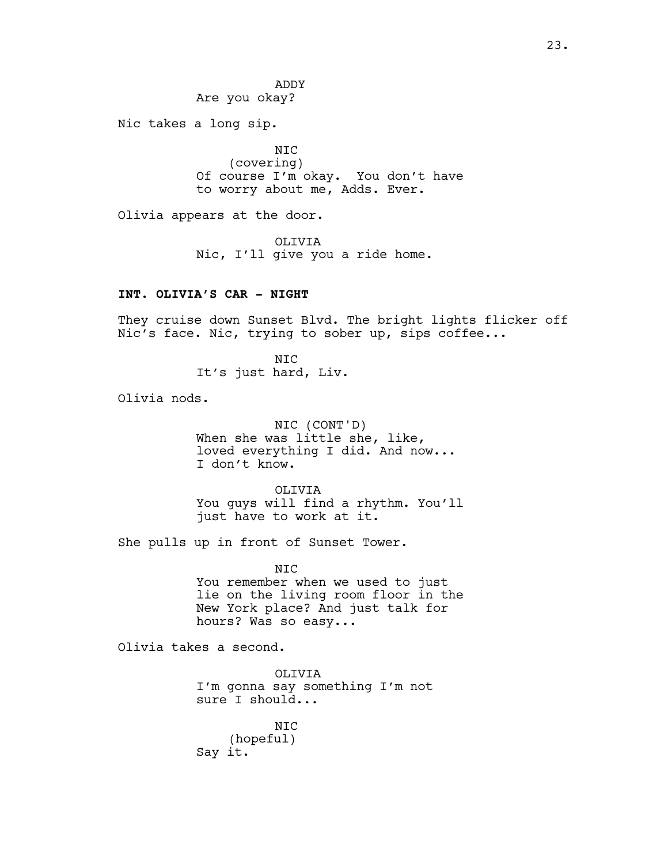ADDY Are you okay?

Nic takes a long sip.

NIC (covering) Of course I'm okay. You don't have to worry about me, Adds. Ever.

Olivia appears at the door.

OLIVIA Nic, I'll give you a ride home.

# **INT. OLIVIA'S CAR - NIGHT**

They cruise down Sunset Blvd. The bright lights flicker off Nic's face. Nic, trying to sober up, sips coffee...

> NIC It's just hard, Liv.

Olivia nods.

NIC (CONT'D) When she was little she, like, loved everything I did. And now... I don't know.

OLIVIA You guys will find a rhythm. You'll just have to work at it.

She pulls up in front of Sunset Tower.

NIC You remember when we used to just lie on the living room floor in the New York place? And just talk for hours? Was so easy...

Olivia takes a second.

OLIVIA I'm gonna say something I'm not sure I should...

NIC (hopeful) Say it.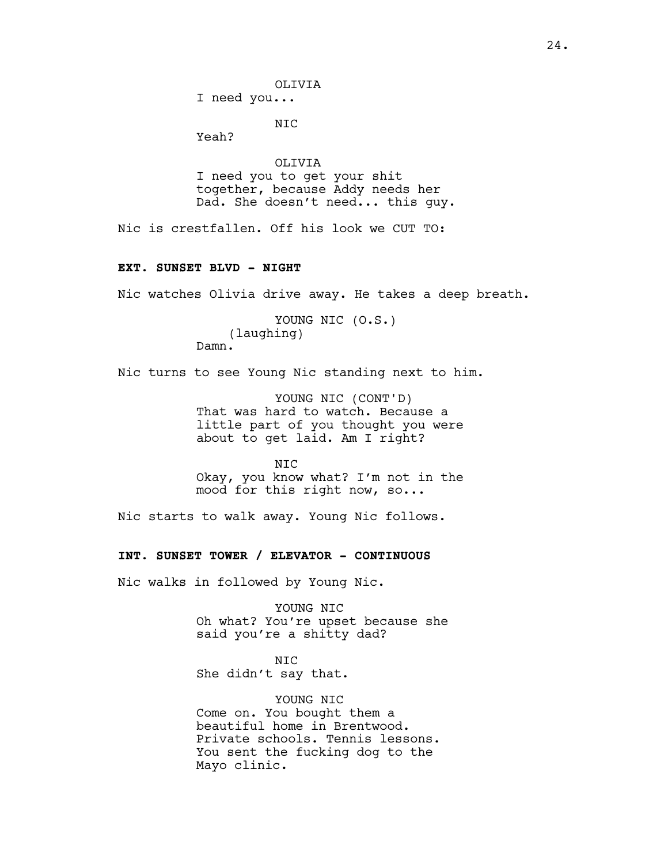OLIVIA

I need you...

NIC

Yeah?

OLIVIA I need you to get your shit together, because Addy needs her Dad. She doesn't need... this guy.

Nic is crestfallen. Off his look we CUT TO:

## **EXT. SUNSET BLVD - NIGHT**

Nic watches Olivia drive away. He takes a deep breath.

YOUNG NIC (O.S.) (laughing) Damn.

Nic turns to see Young Nic standing next to him.

YOUNG NIC (CONT'D) That was hard to watch. Because a little part of you thought you were about to get laid. Am I right?

N<sub>TC</sub> Okay, you know what? I'm not in the mood for this right now, so...

Nic starts to walk away. Young Nic follows.

**INT. SUNSET TOWER / ELEVATOR - CONTINUOUS**

Nic walks in followed by Young Nic.

YOUNG NIC Oh what? You're upset because she said you're a shitty dad?

NIC She didn't say that.

YOUNG NIC Come on. You bought them a beautiful home in Brentwood. Private schools. Tennis lessons. You sent the fucking dog to the Mayo clinic.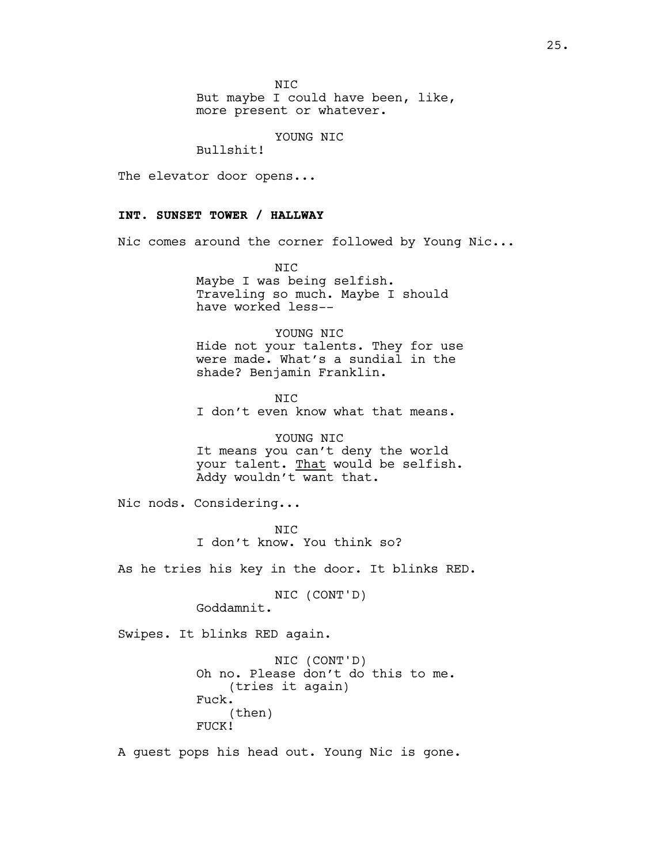NIC

But maybe I could have been, like, more present or whatever.

YOUNG NIC

Bullshit!

The elevator door opens...

# **INT. SUNSET TOWER / HALLWAY**

Nic comes around the corner followed by Young Nic...

NIC Maybe I was being selfish. Traveling so much. Maybe I should have worked less--

YOUNG NIC Hide not your talents. They for use were made. What's a sundial in the shade? Benjamin Franklin.

NIC I don't even know what that means.

YOUNG NIC It means you can't deny the world your talent. That would be selfish. Addy wouldn't want that.

Nic nods. Considering...

NIC I don't know. You think so?

As he tries his key in the door. It blinks RED.

NIC (CONT'D) Goddamnit.

Swipes. It blinks RED again.

NIC (CONT'D) Oh no. Please don't do this to me. (tries it again) Fuck. (then) FUCK!

A guest pops his head out. Young Nic is gone.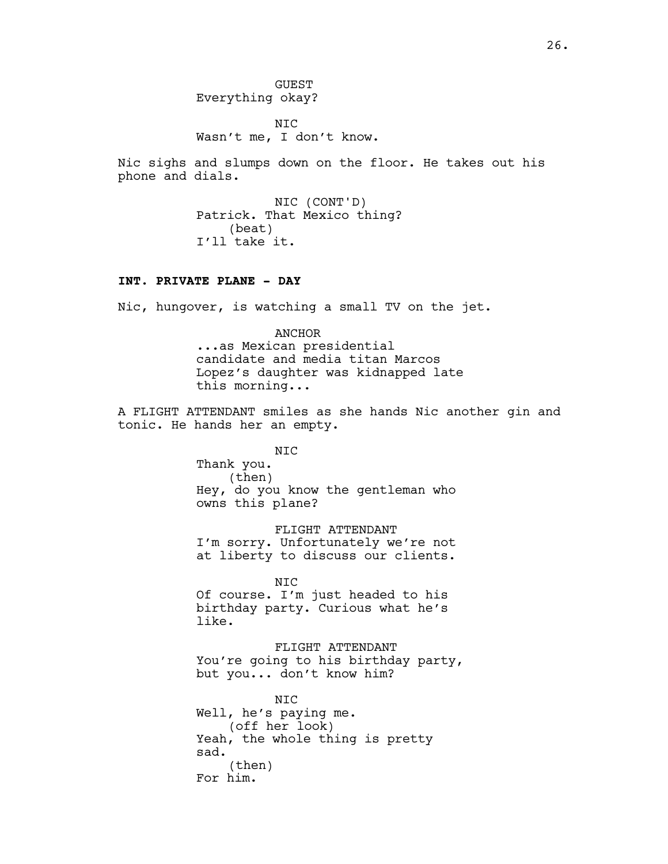NIC Wasn't me, I don't know.

Nic sighs and slumps down on the floor. He takes out his phone and dials.

> NIC (CONT'D) Patrick. That Mexico thing? (beat) I'll take it.

## **INT. PRIVATE PLANE - DAY**

Nic, hungover, is watching a small TV on the jet.

ANCHOR ...as Mexican presidential candidate and media titan Marcos Lopez's daughter was kidnapped late this morning...

A FLIGHT ATTENDANT smiles as she hands Nic another gin and tonic. He hands her an empty.

> NIC Thank you. (then) Hey, do you know the gentleman who owns this plane?

FLIGHT ATTENDANT I'm sorry. Unfortunately we're not at liberty to discuss our clients.

NIC Of course. I'm just headed to his birthday party. Curious what he's like.

FLIGHT ATTENDANT You're going to his birthday party, but you... don't know him?

NIC Well, he's paying me. (off her look) Yeah, the whole thing is pretty sad. (then) For him.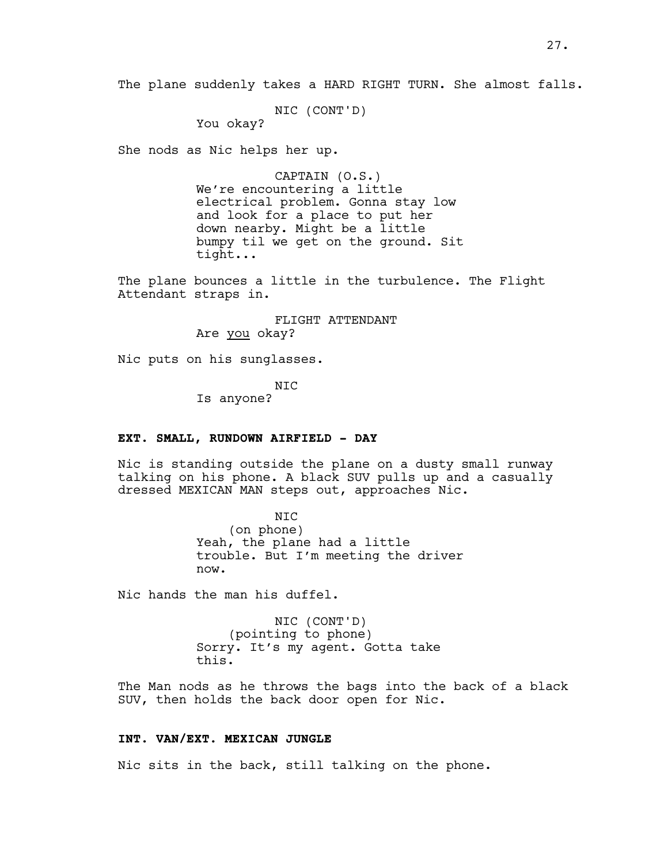NIC (CONT'D)

You okay?

She nods as Nic helps her up.

CAPTAIN (O.S.) We're encountering a little electrical problem. Gonna stay low and look for a place to put her down nearby. Might be a little bumpy til we get on the ground. Sit tight...

The plane bounces a little in the turbulence. The Flight Attendant straps in.

> FLIGHT ATTENDANT Are you okay?

Nic puts on his sunglasses.

NIC Is anyone?

## **EXT. SMALL, RUNDOWN AIRFIELD - DAY**

Nic is standing outside the plane on a dusty small runway talking on his phone. A black SUV pulls up and a casually dressed MEXICAN MAN steps out, approaches Nic.

> NIC (on phone) Yeah, the plane had a little trouble. But I'm meeting the driver now.

Nic hands the man his duffel.

NIC (CONT'D) (pointing to phone) Sorry. It's my agent. Gotta take this.

The Man nods as he throws the bags into the back of a black SUV, then holds the back door open for Nic.

## **INT. VAN/EXT. MEXICAN JUNGLE**

Nic sits in the back, still talking on the phone.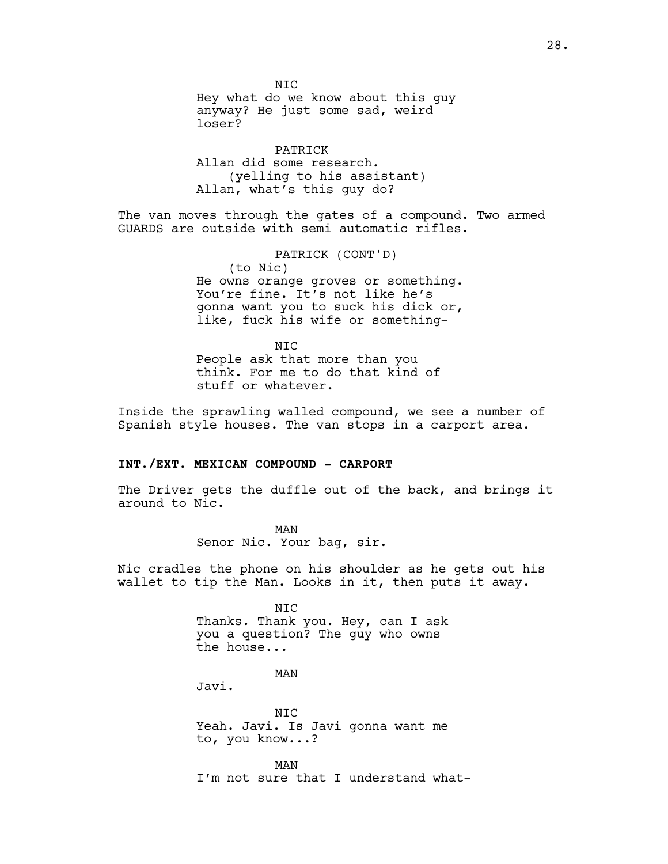N<sub>TC</sub> Hey what do we know about this guy anyway? He just some sad, weird loser?

PATRICK Allan did some research. (yelling to his assistant) Allan, what's this guy do?

The van moves through the gates of a compound. Two armed GUARDS are outside with semi automatic rifles.

> PATRICK (CONT'D) (to Nic) He owns orange groves or something. You're fine. It's not like he's gonna want you to suck his dick or, like, fuck his wife or something-

NIC People ask that more than you think. For me to do that kind of stuff or whatever.

Inside the sprawling walled compound, we see a number of Spanish style houses. The van stops in a carport area.

#### **INT./EXT. MEXICAN COMPOUND - CARPORT**

The Driver gets the duffle out of the back, and brings it around to Nic.

> MAN Senor Nic. Your bag, sir.

Nic cradles the phone on his shoulder as he gets out his wallet to tip the Man. Looks in it, then puts it away.

> NIC Thanks. Thank you. Hey, can I ask you a question? The guy who owns the house...

> > MAN

Javi.

NIC Yeah. Javi. Is Javi gonna want me to, you know...?

MAN I'm not sure that I understand what-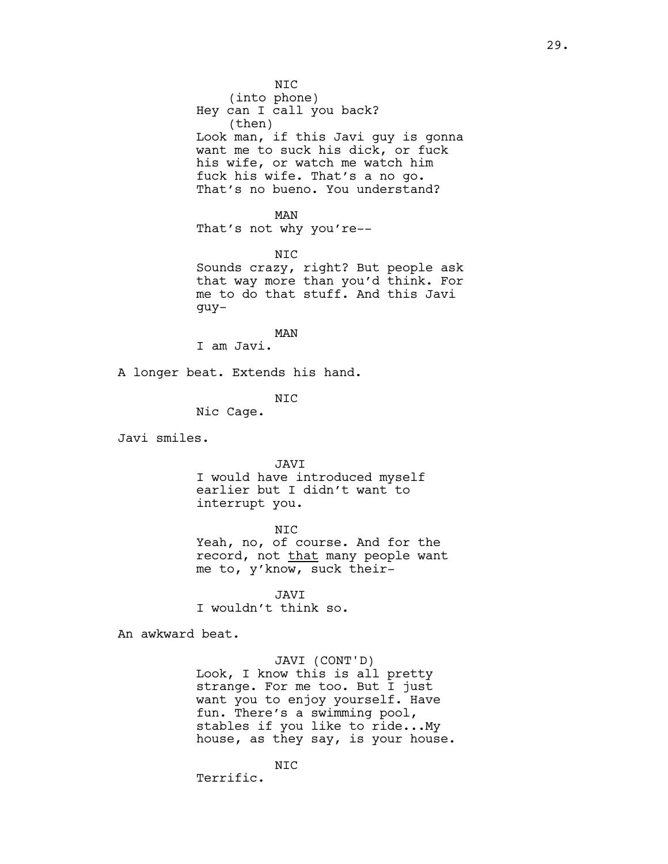NIC (into phone) Hey can I call you back? (then) Look man, if this Javi guy is gonna want me to suck his dick, or fuck his wife, or watch me watch him fuck his wife. That's a no go. That's no bueno. You understand?

#### MAN

That's not why you're--

#### NIC

Sounds crazy, right? But people ask that way more than you'd think. For me to do that stuff. And this Javi guy-

MAN

I am Javi.

A longer beat. Extends his hand.

# NIC

Nic Cage.

Javi smiles.

## JAVI

I would have introduced myself earlier but I didn't want to interrupt you.

#### NIC

Yeah, no, of course. And for the record, not that many people want me to, y'know, suck their-

JAVI I wouldn't think so.

An awkward beat.

# JAVI (CONT'D)

Look, I know this is all pretty strange. For me too. But I just want you to enjoy yourself. Have fun. There's a swimming pool, stables if you like to ride...My house, as they say, is your house.

NIC Terrific.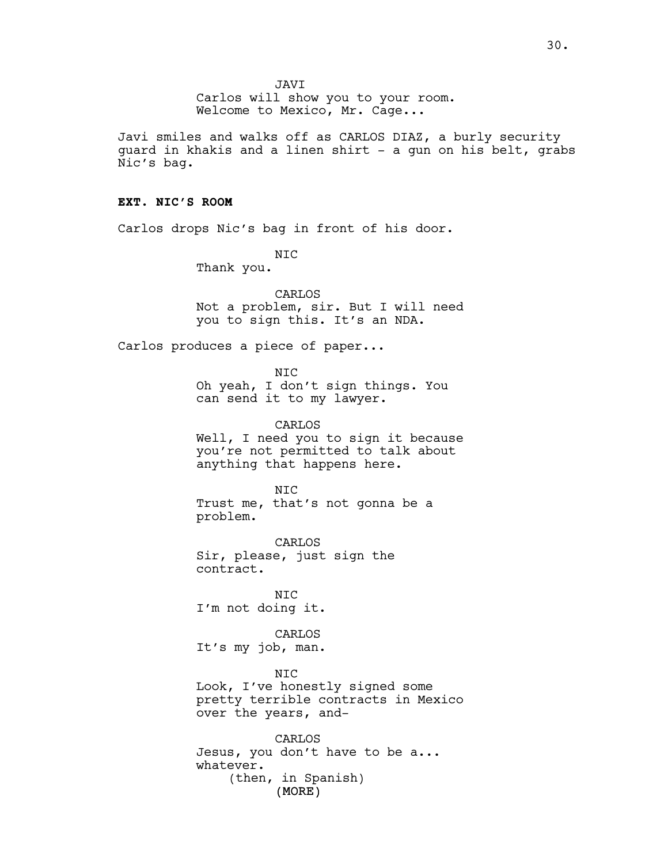JAVI

Carlos will show you to your room. Welcome to Mexico, Mr. Cage...

Javi smiles and walks off as CARLOS DIAZ, a burly security quard in khakis and a linen shirt - a gun on his belt, grabs Nic's bag.

## **EXT. NIC'S ROOM**

Carlos drops Nic's bag in front of his door.

NIC Thank you.

CARLOS Not a problem, sir. But I will need you to sign this. It's an NDA.

Carlos produces a piece of paper...

NIC Oh yeah, I don't sign things. You can send it to my lawyer.

CARLOS Well, I need you to sign it because you're not permitted to talk about anything that happens here.

NIC Trust me, that's not gonna be a problem.

CARLOS Sir, please, just sign the contract.

NIC I'm not doing it.

CARLOS It's my job, man.

NIC Look, I've honestly signed some pretty terrible contracts in Mexico over the years, and-

(MORE) CARLOS Jesus, you don't have to be a... whatever. (then, in Spanish)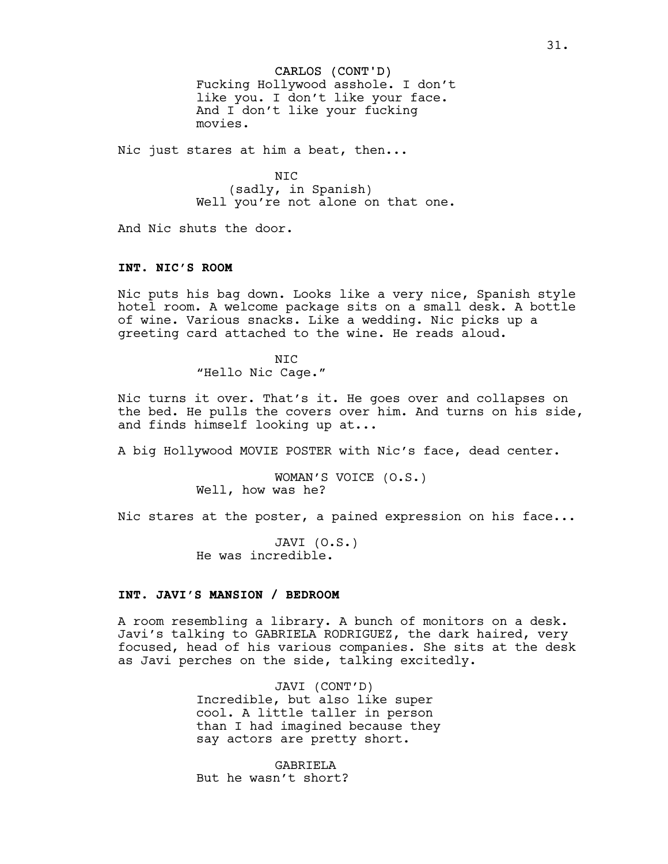CARLOS (CONT'D) Fucking Hollywood asshole. I don't like you. I don't like your face. And I don't like your fucking movies.

Nic just stares at him a beat, then...

NIC (sadly, in Spanish) Well you're not alone on that one.

And Nic shuts the door.

## **INT. NIC'S ROOM**

Nic puts his bag down. Looks like a very nice, Spanish style hotel room. A welcome package sits on a small desk. A bottle of wine. Various snacks. Like a wedding. Nic picks up a greeting card attached to the wine. He reads aloud.

> NIC "Hello Nic Cage."

Nic turns it over. That's it. He goes over and collapses on the bed. He pulls the covers over him. And turns on his side, and finds himself looking up at...

A big Hollywood MOVIE POSTER with Nic's face, dead center.

WOMAN'S VOICE (O.S.) Well, how was he?

Nic stares at the poster, a pained expression on his face...

JAVI (O.S.) He was incredible.

# **INT. JAVI'S MANSION / BEDROOM**

A room resembling a library. A bunch of monitors on a desk. Javi's talking to GABRIELA RODRIGUEZ, the dark haired, very focused, head of his various companies. She sits at the desk as Javi perches on the side, talking excitedly.

> JAVI (CONT'D) Incredible, but also like super cool. A little taller in person than I had imagined because they say actors are pretty short.

GABRIELA But he wasn't short?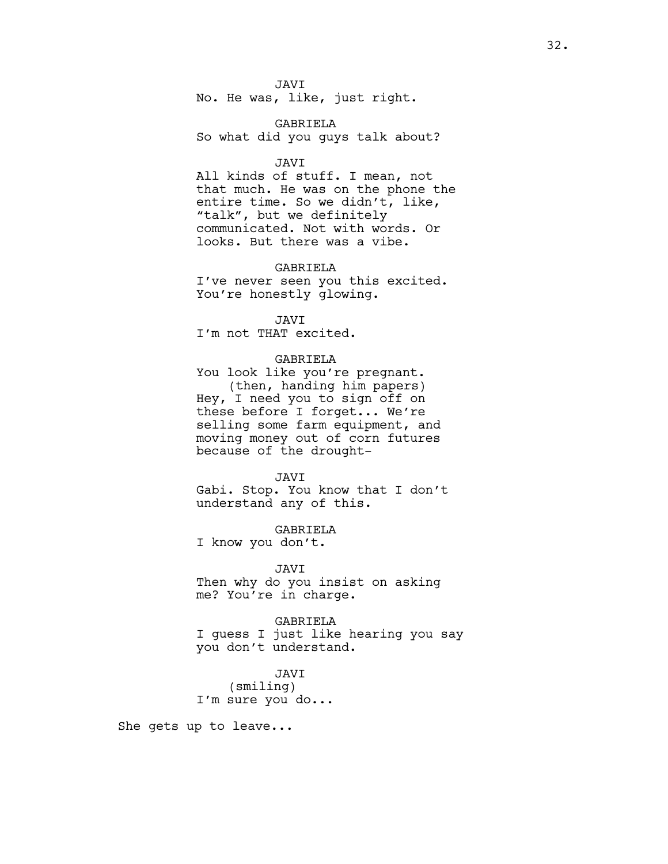JAVI No. He was, like, just right.

GABRIELA So what did you guys talk about?

## JAVI

All kinds of stuff. I mean, not that much. He was on the phone the entire time. So we didn't, like, "talk", but we definitely communicated. Not with words. Or looks. But there was a vibe.

#### GABRIELA

I've never seen you this excited. You're honestly glowing.

JAVI

I'm not THAT excited.

## GABRIELA

You look like you're pregnant. (then, handing him papers) Hey, I need you to sign off on these before I forget... We're selling some farm equipment, and moving money out of corn futures because of the drought-

#### JAVI

Gabi. Stop. You know that I don't understand any of this.

#### GABRIELA

I know you don't.

## JAVI

Then why do you insist on asking me? You're in charge.

#### GABRIELA

I guess I just like hearing you say you don't understand.

## JAVI (smiling) I'm sure you do...

She gets up to leave...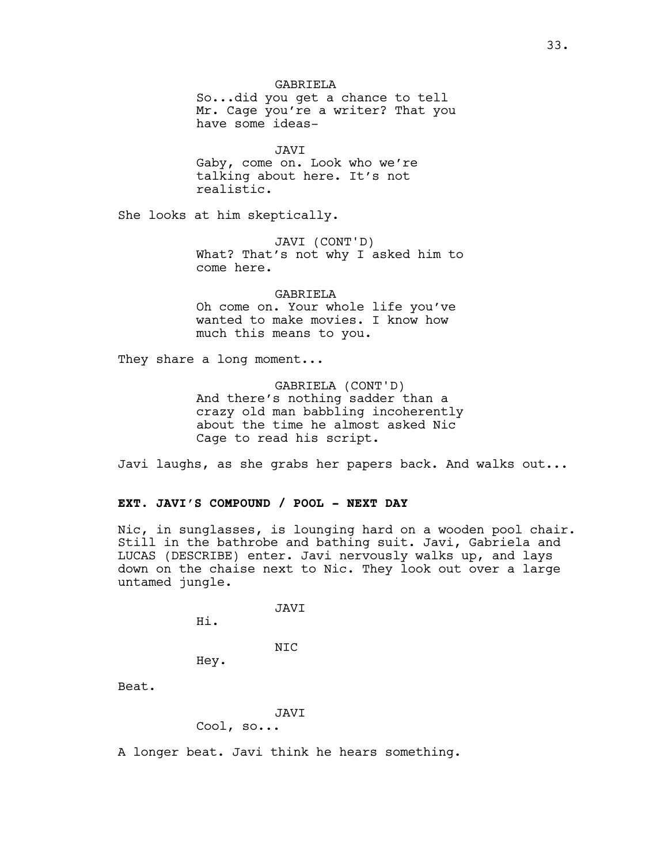GABRIELA So...did you get a chance to tell Mr. Cage you're a writer? That you have some ideas-

JAVI Gaby, come on. Look who we're talking about here. It's not realistic.

She looks at him skeptically.

JAVI (CONT'D) What? That's not why I asked him to come here.

GABRIELA Oh come on. Your whole life you've wanted to make movies. I know how much this means to you.

They share a long moment...

GABRIELA (CONT'D) And there's nothing sadder than a crazy old man babbling incoherently about the time he almost asked Nic Cage to read his script.

Javi laughs, as she grabs her papers back. And walks out...

# **EXT. JAVI'S COMPOUND / POOL - NEXT DAY**

Nic, in sunglasses, is lounging hard on a wooden pool chair. Still in the bathrobe and bathing suit. Javi, Gabriela and LUCAS (DESCRIBE) enter. Javi nervously walks up, and lays down on the chaise next to Nic. They look out over a large untamed jungle.

JAVI

Hi.

NIC

Hey.

Beat.

# JAVI Cool, so...

A longer beat. Javi think he hears something.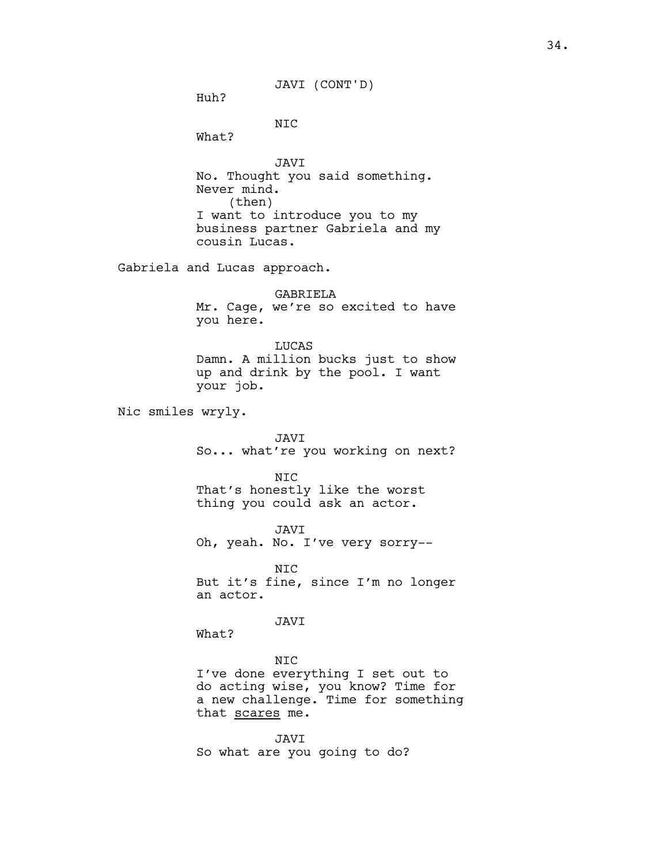JAVI (CONT'D)

Huh?

NIC

What?

JAVI No. Thought you said something. Never mind. (then) I want to introduce you to my business partner Gabriela and my cousin Lucas.

Gabriela and Lucas approach.

GABRIELA Mr. Cage, we're so excited to have you here.

**LUCAS** Damn. A million bucks just to show up and drink by the pool. I want your job.

Nic smiles wryly.

JAVI So... what're you working on next?

NIC That's honestly like the worst thing you could ask an actor.

JAVI Oh, yeah. No. I've very sorry--

NIC But it's fine, since I'm no longer an actor.

JAVI

What?

NIC I've done everything I set out to do acting wise, you know? Time for a new challenge. Time for something that scares me.

JAVI So what are you going to do?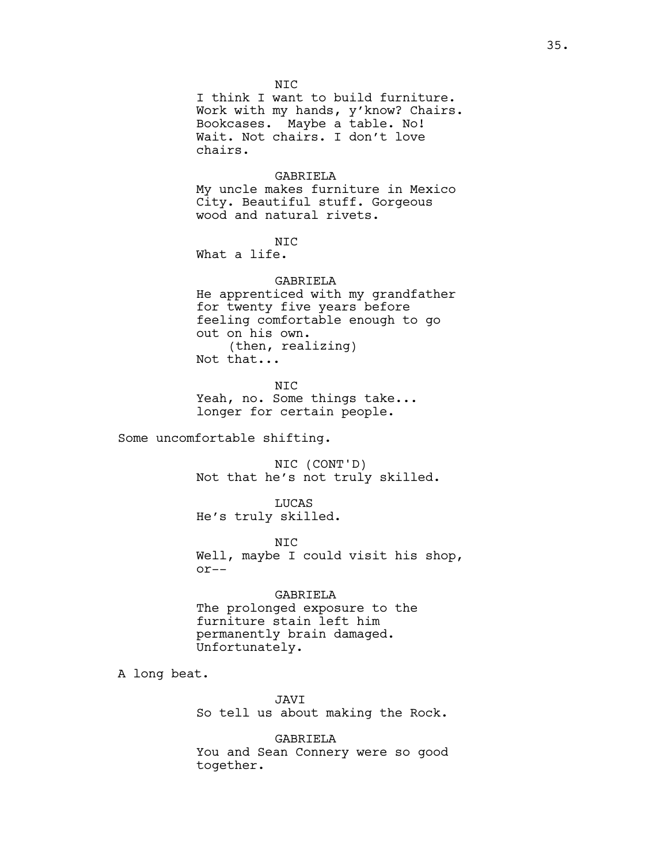NIC I think I want to build furniture. Work with my hands, y'know? Chairs. Bookcases. Maybe a table. No! Wait. Not chairs. I don't love chairs.

#### GABRIELA

My uncle makes furniture in Mexico City. Beautiful stuff. Gorgeous wood and natural rivets.

## NIC

What a life.

## GABRIELA

He apprenticed with my grandfather for twenty five years before feeling comfortable enough to go out on his own. (then, realizing) Not that...

NIC Yeah, no. Some things take... longer for certain people.

Some uncomfortable shifting.

NIC (CONT'D) Not that he's not truly skilled.

LUCAS He's truly skilled.

NIC Well, maybe I could visit his shop, or--

GABRIELA The prolonged exposure to the furniture stain left him permanently brain damaged. Unfortunately.

A long beat.

JAVI So tell us about making the Rock.

GABRIELA You and Sean Connery were so good together.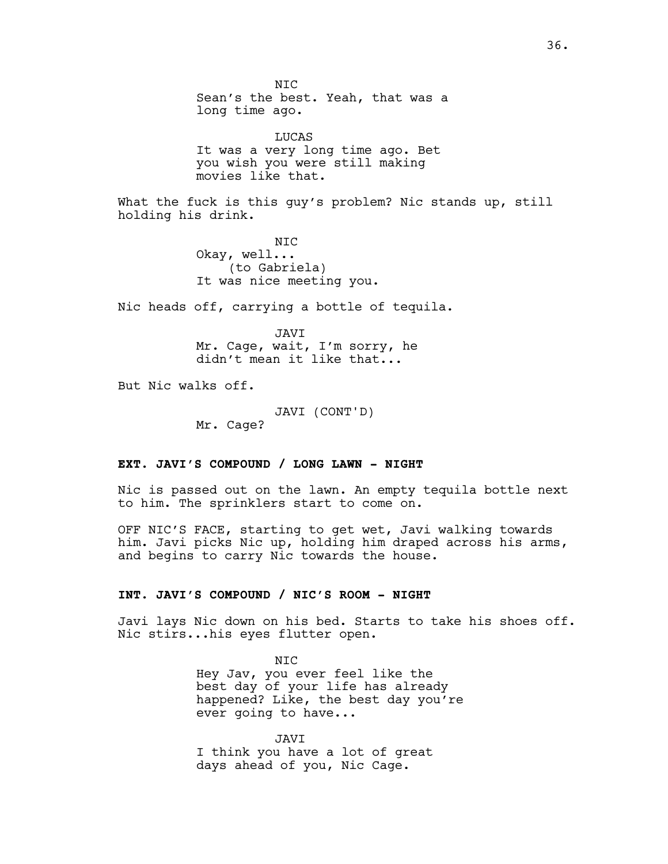N<sub>TC</sub> Sean's the best. Yeah, that was a long time ago. LUCAS It was a very long time ago. Bet you wish you were still making movies like that. What the fuck is this guy's problem? Nic stands up, still holding his drink. NIC Okay, well... (to Gabriela) It was nice meeting you. Nic heads off, carrying a bottle of tequila. JAVI Mr. Cage, wait, I'm sorry, he didn't mean it like that... But Nic walks off. JAVI (CONT'D) Mr. Cage? **EXT. JAVI'S COMPOUND / LONG LAWN - NIGHT**

Nic is passed out on the lawn. An empty tequila bottle next to him. The sprinklers start to come on.

OFF NIC'S FACE, starting to get wet, Javi walking towards him. Javi picks Nic up, holding him draped across his arms, and begins to carry Nic towards the house.

# **INT. JAVI'S COMPOUND / NIC'S ROOM - NIGHT**

Javi lays Nic down on his bed. Starts to take his shoes off. Nic stirs...his eyes flutter open.

> NIC Hey Jav, you ever feel like the best day of your life has already happened? Like, the best day you're ever going to have...

JAVI I think you have a lot of great days ahead of you, Nic Cage.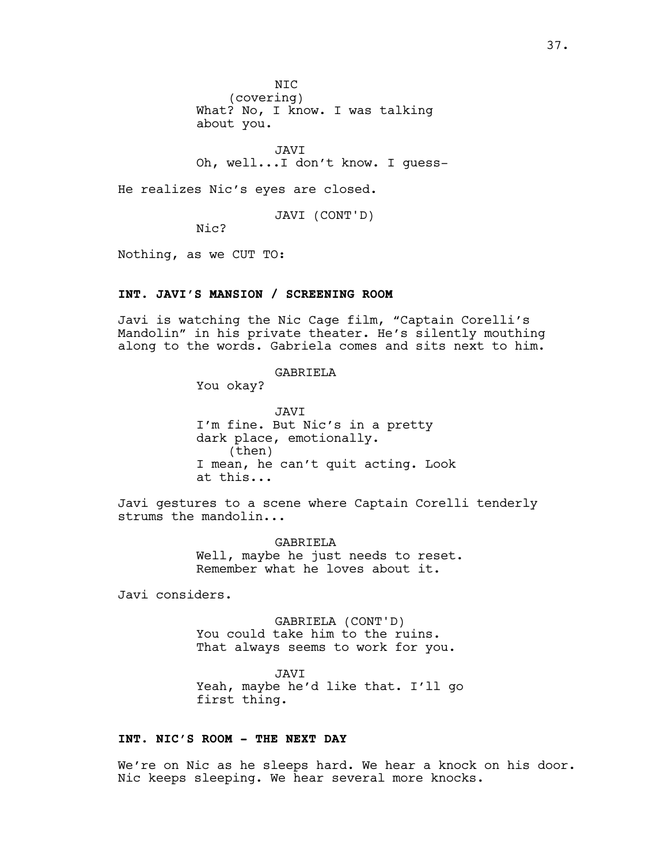N<sub>TC</sub> (covering) What? No, I know. I was talking about you.

JAVI Oh, well...I don't know. I guess-

He realizes Nic's eyes are closed.

JAVI (CONT'D)

Nic?

Nothing, as we CUT TO:

# **INT. JAVI'S MANSION / SCREENING ROOM**

Javi is watching the Nic Cage film, "Captain Corelli's Mandolin" in his private theater. He's silently mouthing along to the words. Gabriela comes and sits next to him.

### GABRIELA

You okay?

JAVI I'm fine. But Nic's in a pretty dark place, emotionally. (then) I mean, he can't quit acting. Look at this...

Javi gestures to a scene where Captain Corelli tenderly strums the mandolin...

> GABRIELA Well, maybe he just needs to reset. Remember what he loves about it.

Javi considers.

GABRIELA (CONT'D) You could take him to the ruins. That always seems to work for you.

JAVI Yeah, maybe he'd like that. I'll go first thing.

# **INT. NIC'S ROOM - THE NEXT DAY**

We're on Nic as he sleeps hard. We hear a knock on his door. Nic keeps sleeping. We hear several more knocks.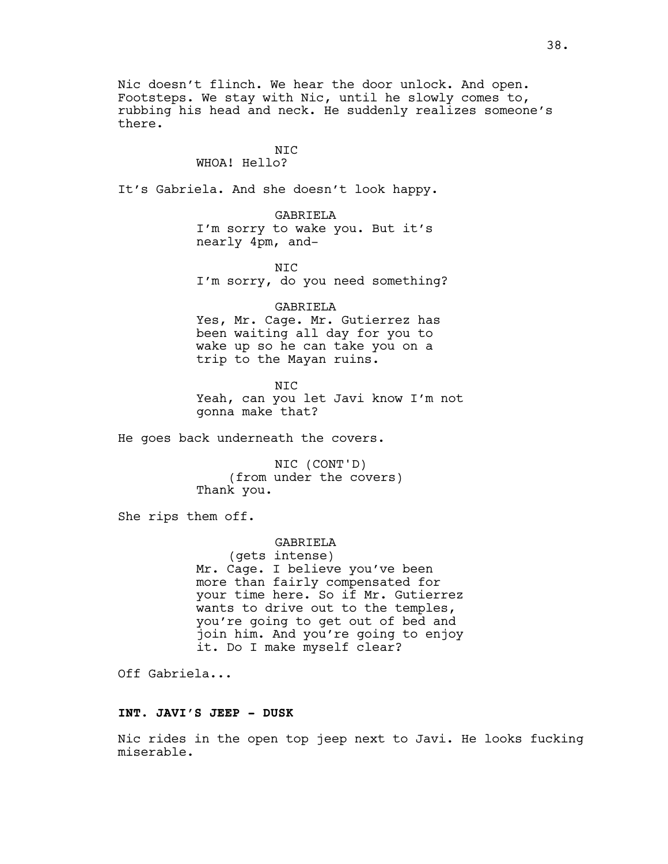Nic doesn't flinch. We hear the door unlock. And open. Footsteps. We stay with Nic, until he slowly comes to, rubbing his head and neck. He suddenly realizes someone's there.

# NIC

# WHOA! Hello?

It's Gabriela. And she doesn't look happy.

GABRIELA I'm sorry to wake you. But it's nearly 4pm, and-

NIC I'm sorry, do you need something?

#### GABRIELA

Yes, Mr. Cage. Mr. Gutierrez has been waiting all day for you to wake up so he can take you on a trip to the Mayan ruins.

NIC Yeah, can you let Javi know I'm not gonna make that?

He goes back underneath the covers.

NIC (CONT'D) (from under the covers) Thank you.

She rips them off.

GABRIELA (gets intense) Mr. Cage. I believe you've been more than fairly compensated for your time here. So if Mr. Gutierrez wants to drive out to the temples, you're going to get out of bed and join him. And you're going to enjoy it. Do I make myself clear?

Off Gabriela...

#### **INT. JAVI'S JEEP - DUSK**

Nic rides in the open top jeep next to Javi. He looks fucking miserable.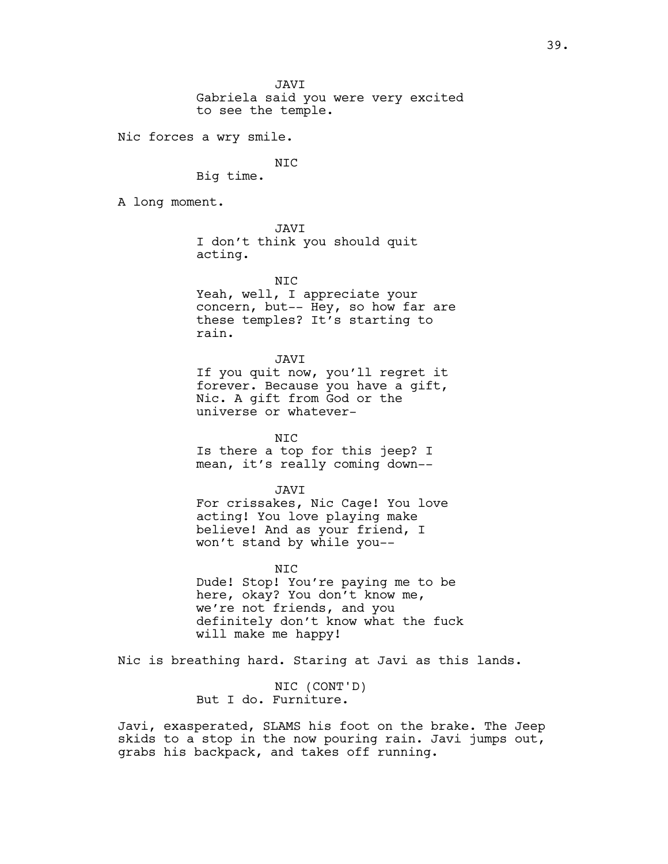Gabriela said you were very excited to see the temple.

Nic forces a wry smile.

NIC

Big time.

A long moment.

JAVI

I don't think you should quit acting.

NIC

Yeah, well, I appreciate your concern, but-- Hey, so how far are these temples? It's starting to rain.

JAVI

If you quit now, you'll regret it forever. Because you have a gift, Nic. A gift from God or the universe or whatever-

NIC Is there a top for this jeep? I mean, it's really coming down--

JAVI For crissakes, Nic Cage! You love acting! You love playing make believe! And as your friend, I won't stand by while you--

NIC

Dude! Stop! You're paying me to be here, okay? You don't know me, we're not friends, and you definitely don't know what the fuck will make me happy!

Nic is breathing hard. Staring at Javi as this lands.

NIC (CONT'D) But I do. Furniture.

Javi, exasperated, SLAMS his foot on the brake. The Jeep skids to a stop in the now pouring rain. Javi jumps out, grabs his backpack, and takes off running.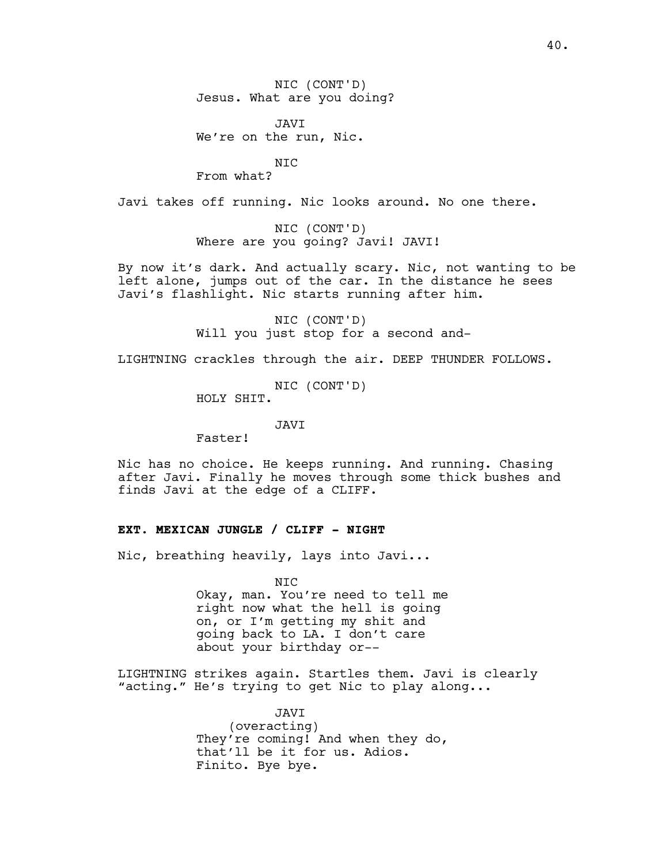NIC (CONT'D) Jesus. What are you doing?

JAVI We're on the run, Nic.

NIC

From what?

Javi takes off running. Nic looks around. No one there.

NIC (CONT'D) Where are you going? Javi! JAVI!

By now it's dark. And actually scary. Nic, not wanting to be left alone, jumps out of the car. In the distance he sees Javi's flashlight. Nic starts running after him.

> NIC (CONT'D) Will you just stop for a second and-

LIGHTNING crackles through the air. DEEP THUNDER FOLLOWS.

NIC (CONT'D) HOLY SHIT.

JAVI

Faster!

Nic has no choice. He keeps running. And running. Chasing after Javi. Finally he moves through some thick bushes and finds Javi at the edge of a CLIFF.

# **EXT. MEXICAN JUNGLE / CLIFF - NIGHT**

Nic, breathing heavily, lays into Javi...

NIC Okay, man. You're need to tell me right now what the hell is going on, or I'm getting my shit and going back to LA. I don't care about your birthday or--

LIGHTNING strikes again. Startles them. Javi is clearly "acting." He's trying to get Nic to play along...

> JAVI (overacting) They're coming! And when they do, that'll be it for us. Adios. Finito. Bye bye.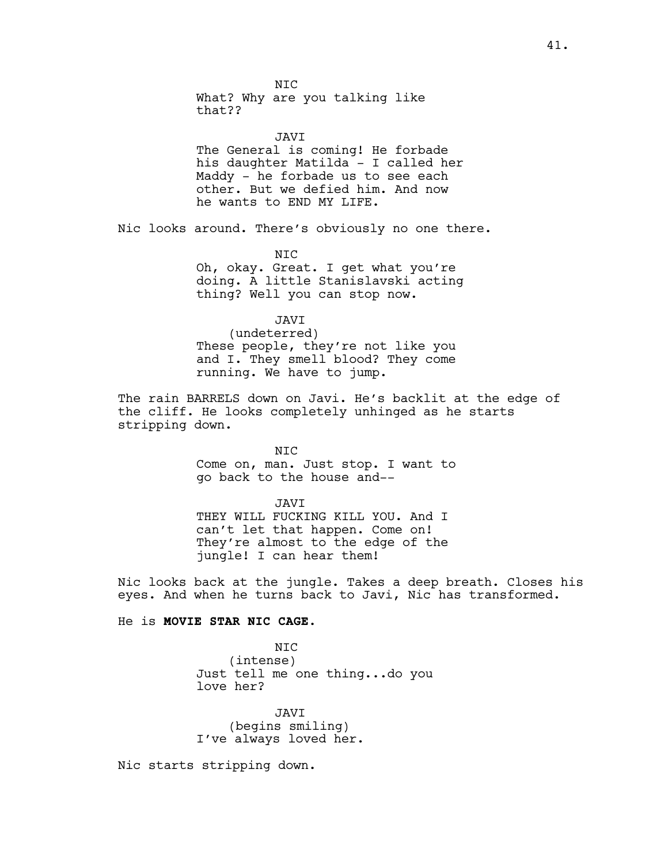N<sub>TC</sub> What? Why are you talking like that??

JAVI The General is coming! He forbade his daughter Matilda - I called her Maddy - he forbade us to see each other. But we defied him. And now he wants to END MY LIFE.

Nic looks around. There's obviously no one there.

NIC

Oh, okay. Great. I get what you're doing. A little Stanislavski acting thing? Well you can stop now.

JAVI

(undeterred) These people, they're not like you and I. They smell blood? They come running. We have to jump.

The rain BARRELS down on Javi. He's backlit at the edge of the cliff. He looks completely unhinged as he starts stripping down.

> NIC Come on, man. Just stop. I want to go back to the house and--

JAVI THEY WILL FUCKING KILL YOU. And I can't let that happen. Come on! They're almost to the edge of the jungle! I can hear them!

Nic looks back at the jungle. Takes a deep breath. Closes his eyes. And when he turns back to Javi, Nic has transformed.

## He is **MOVIE STAR NIC CAGE.**

NIC (intense) Just tell me one thing...do you love her?

JAVI (begins smiling) I've always loved her.

Nic starts stripping down.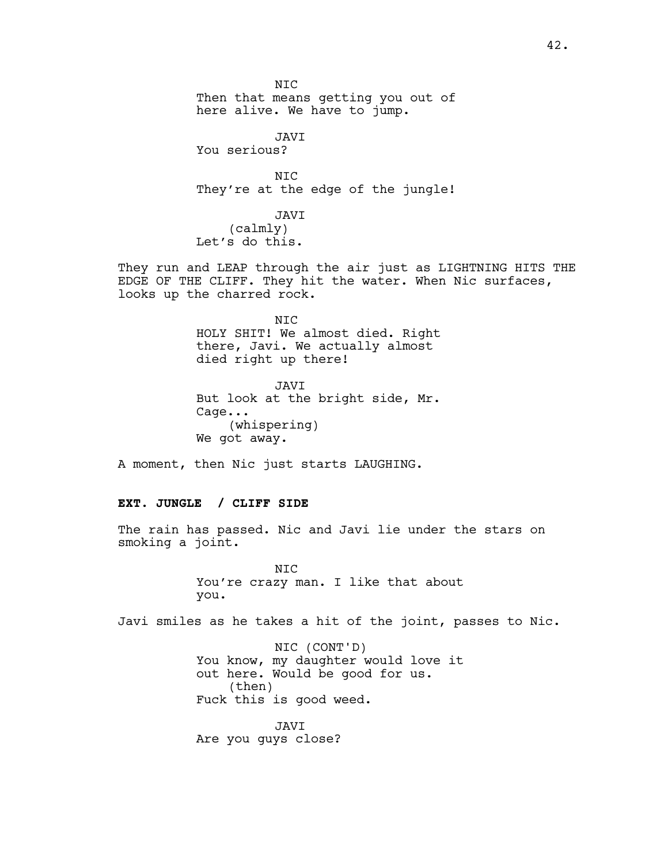NIC Then that means getting you out of here alive. We have to jump.

JAVI You serious?

NIC They're at the edge of the jungle!

JAVI (calmly) Let's do this.

They run and LEAP through the air just as LIGHTNING HITS THE EDGE OF THE CLIFF. They hit the water. When Nic surfaces, looks up the charred rock.

> NIC HOLY SHIT! We almost died. Right there, Javi. We actually almost died right up there!

> JAVI But look at the bright side, Mr. Cage... (whispering) We got away.

A moment, then Nic just starts LAUGHING.

# **EXT. JUNGLE / CLIFF SIDE**

The rain has passed. Nic and Javi lie under the stars on smoking a joint.

> NIC You're crazy man. I like that about you.

Javi smiles as he takes a hit of the joint, passes to Nic.

NIC (CONT'D) You know, my daughter would love it out here. Would be good for us. (then) Fuck this is good weed.

JAVI Are you guys close?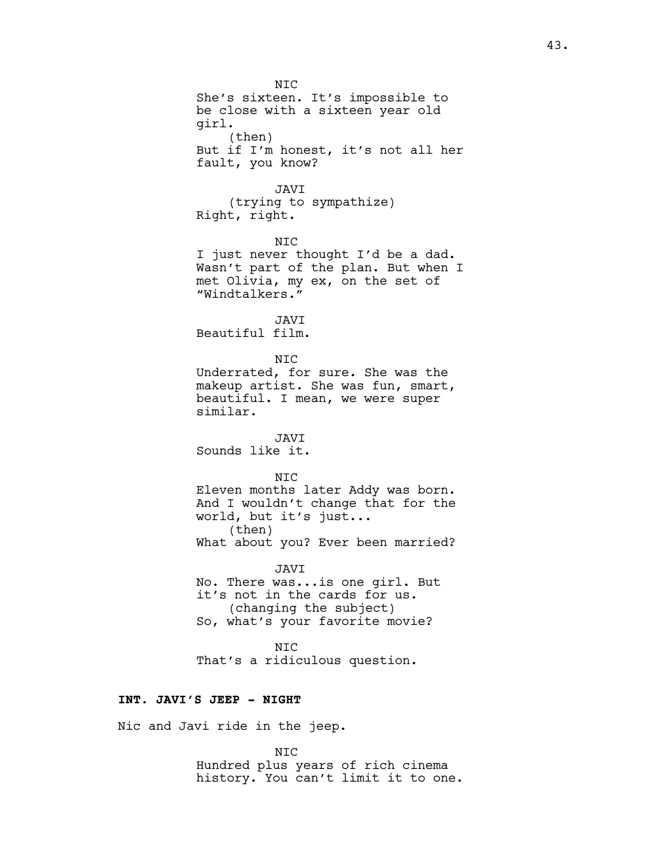NIC She's sixteen. It's impossible to be close with a sixteen year old girl. (then) But if I'm honest, it's not all her fault, you know? JAVI (trying to sympathize) Right, right. NIC I just never thought I'd be a dad. Wasn't part of the plan. But when I met Olivia, my ex, on the set of "Windtalkers." JAVI Beautiful film. NIC Underrated, for sure. She was the makeup artist. She was fun, smart, beautiful. I mean, we were super similar. JAVI Sounds like it. N<sub>TC</sub> Eleven months later Addy was born. And I wouldn't change that for the world, but it's just... (then) What about you? Ever been married? JAVI No. There was...is one girl. But it's not in the cards for us. (changing the subject) So, what's your favorite movie? NIC That's a ridiculous question. **INT. JAVI'S JEEP - NIGHT** Nic and Javi ride in the jeep.

> NIC Hundred plus years of rich cinema history. You can't limit it to one.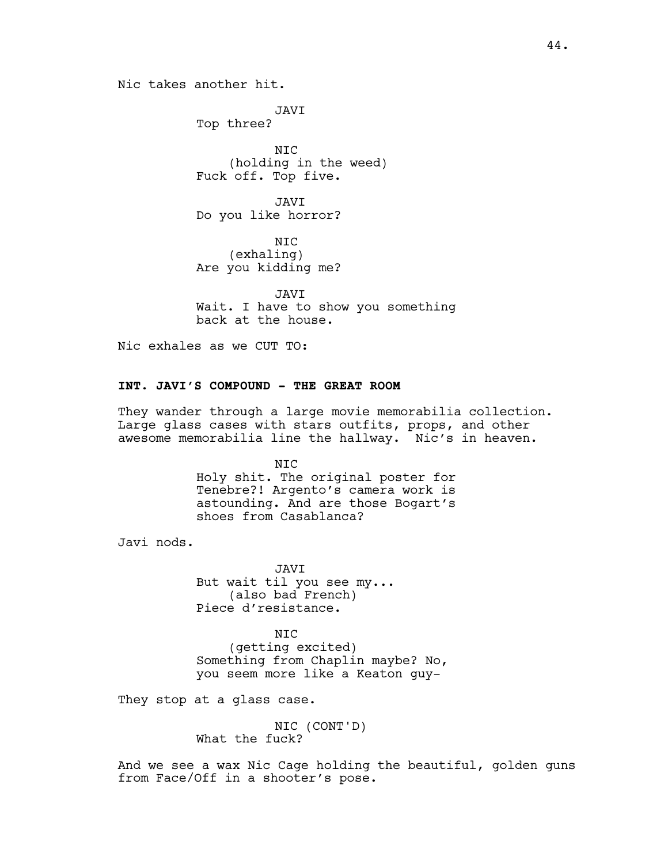Nic takes another hit.

JAVI Top three? NIC (holding in the weed) Fuck off. Top five.

JAVI Do you like horror?

NIC (exhaling) Are you kidding me?

JAVI Wait. I have to show you something back at the house.

Nic exhales as we CUT TO:

# **INT. JAVI'S COMPOUND - THE GREAT ROOM**

They wander through a large movie memorabilia collection. Large glass cases with stars outfits, props, and other awesome memorabilia line the hallway. Nic's in heaven.

> NIC Holy shit. The original poster for Tenebre?! Argento's camera work is astounding. And are those Bogart's shoes from Casablanca?

Javi nods.

JAVI But wait til you see my... (also bad French) Piece d'resistance.

N<sub>TC</sub> (getting excited) Something from Chaplin maybe? No, you seem more like a Keaton guy-

They stop at a glass case.

NIC (CONT'D) What the fuck?

And we see a wax Nic Cage holding the beautiful, golden guns from Face/Off in a shooter's pose.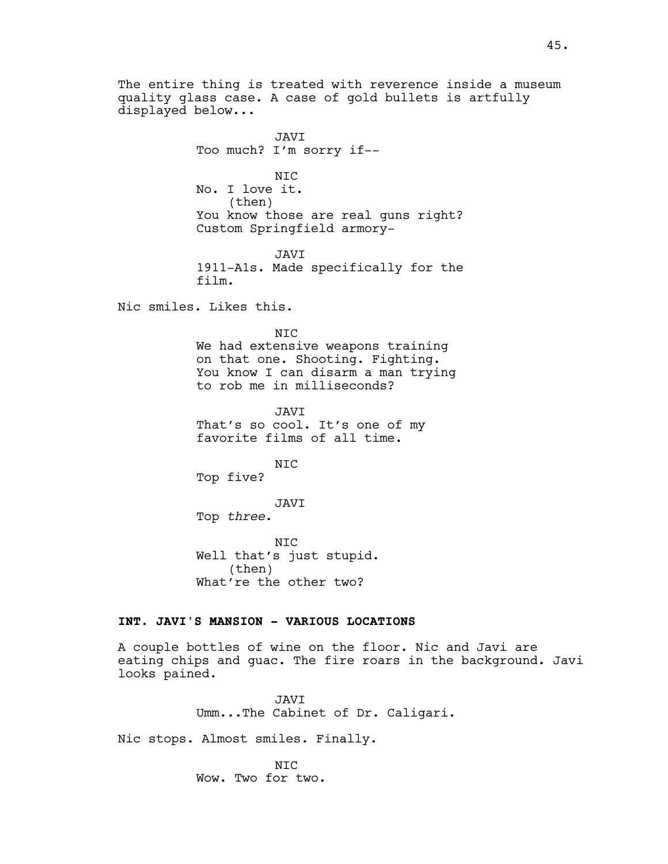The entire thing is treated with reverence inside a museum quality glass case. A case of gold bullets is artfully displayed below...

JAVI Too much? I'm sorry if-- NIC No. I love it. (then) You know those are real guns right? Custom Springfield armory-JAVI 1911-A1s. Made specifically for the film. Nic smiles. Likes this. N<sub>TC</sub> We had extensive weapons training on that one. Shooting. Fighting. You know I can disarm a man trying to rob me in milliseconds?

> JAVI That's so cool. It's one of my favorite films of all time.

NIC Top five?

JAVI Top *three*.

NIC Well that's just stupid. (then) What're the other two?

# **INT. JAVI'S MANSION - VARIOUS LOCATIONS**

A couple bottles of wine on the floor. Nic and Javi are eating chips and guac. The fire roars in the background. Javi looks pained.

> JAVI Umm...The Cabinet of Dr. Caligari.

Nic stops. Almost smiles. Finally.

NIC Wow. Two for two.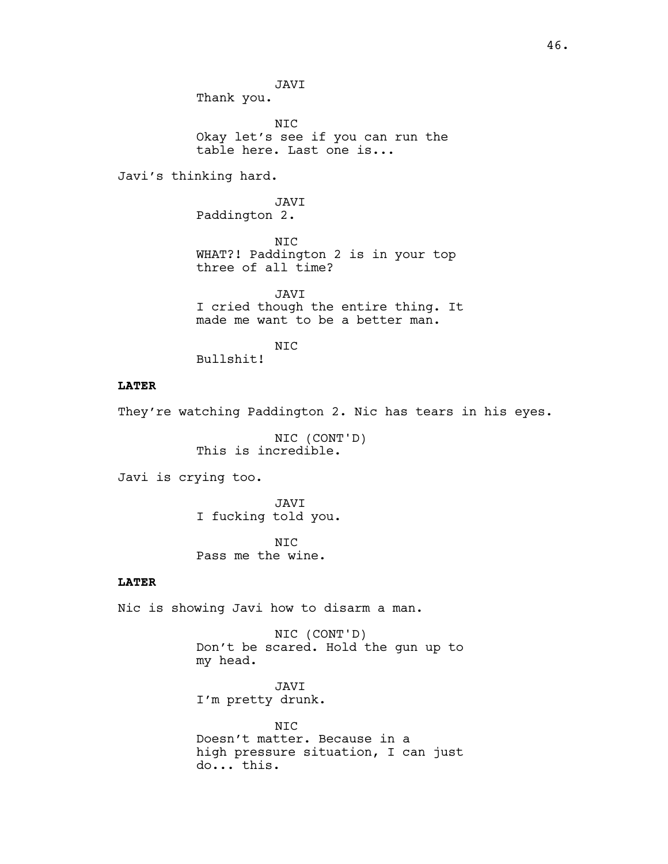JAVI Thank you.

NIC

Okay let's see if you can run the table here. Last one is...

Javi's thinking hard.

JAVI Paddington 2.

NIC WHAT?! Paddington 2 is in your top three of all time?

JAVI I cried though the entire thing. It made me want to be a better man.

NIC

Bullshit!

# **LATER**

They're watching Paddington 2. Nic has tears in his eyes.

NIC (CONT'D) This is incredible.

Javi is crying too.

JAVI I fucking told you.

N<sub>TC</sub> Pass me the wine.

# **LATER**

Nic is showing Javi how to disarm a man.

NIC (CONT'D) Don't be scared. Hold the gun up to my head.

JAVI I'm pretty drunk.

NIC Doesn't matter. Because in a high pressure situation, I can just do... this.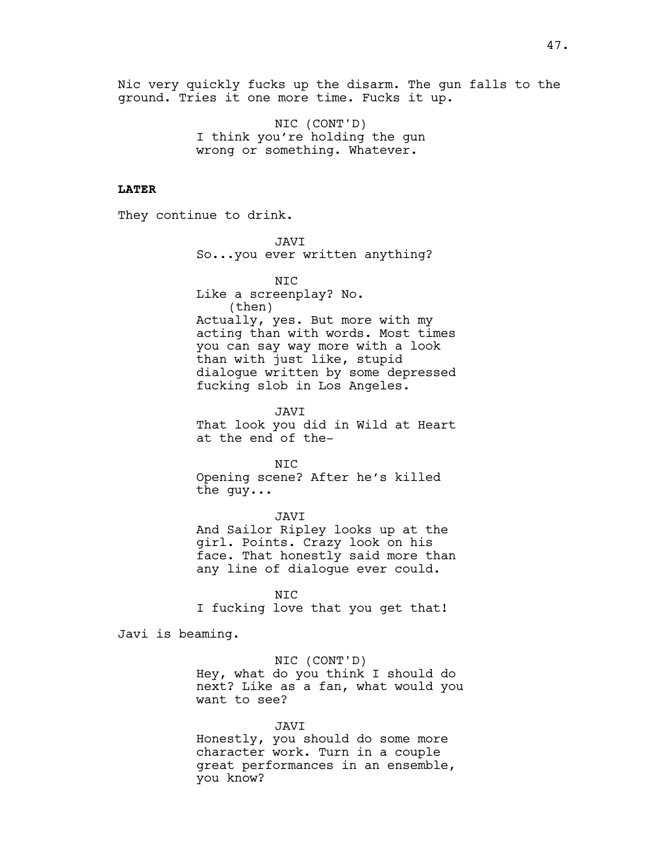Nic very quickly fucks up the disarm. The gun falls to the ground. Tries it one more time. Fucks it up.

> NIC (CONT'D) I think you're holding the gun wrong or something. Whatever.

# **LATER**

They continue to drink.

JAVI So...you ever written anything?

NIC Like a screenplay? No. (then) Actually, yes. But more with my acting than with words. Most times you can say way more with a look than with just like, stupid dialogue written by some depressed fucking slob in Los Angeles.

JAVI That look you did in Wild at Heart at the end of the-

NIC Opening scene? After he's killed the guy...

JAVI And Sailor Ripley looks up at the girl. Points. Crazy look on his face. That honestly said more than any line of dialogue ever could.

NIC I fucking love that you get that!

Javi is beaming.

NIC (CONT'D) Hey, what do you think I should do next? Like as a fan, what would you want to see?

JAVI Honestly, you should do some more character work. Turn in a couple great performances in an ensemble, you know?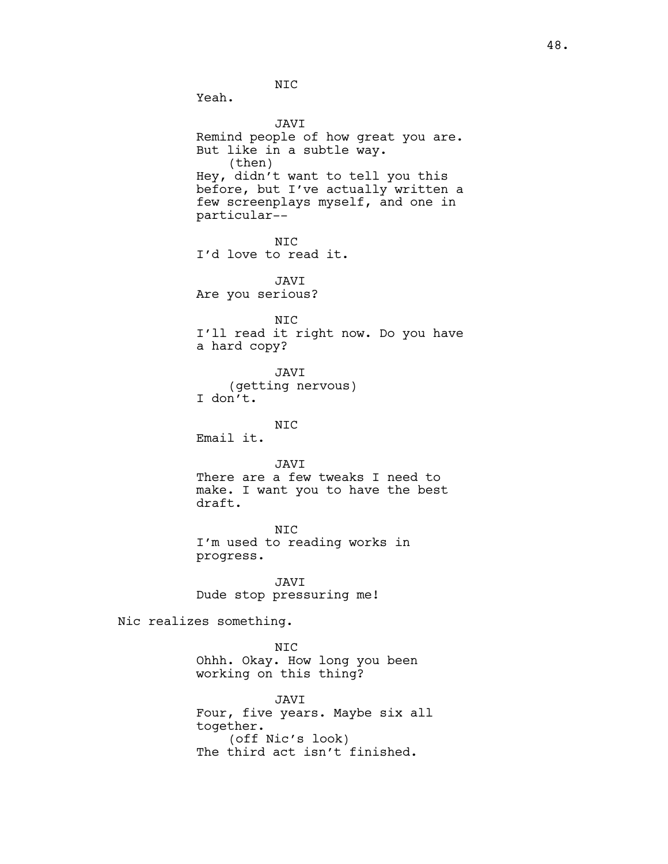NIC

Yeah.

JAVI Remind people of how great you are. But like in a subtle way. (then) Hey, didn't want to tell you this before, but I've actually written a few screenplays myself, and one in particular-- NIC I'd love to read it. JAVI Are you serious? NIC I'll read it right now. Do you have a hard copy? JAVI (getting nervous) I don't. NIC Email it. JAVI There are a few tweaks I need to make. I want you to have the best draft. NIC I'm used to reading works in progress. JAVI Dude stop pressuring me! Nic realizes something. NIC Ohhh. Okay. How long you been working on this thing? JAVI Four, five years. Maybe six all together.

> (off Nic's look) The third act isn't finished.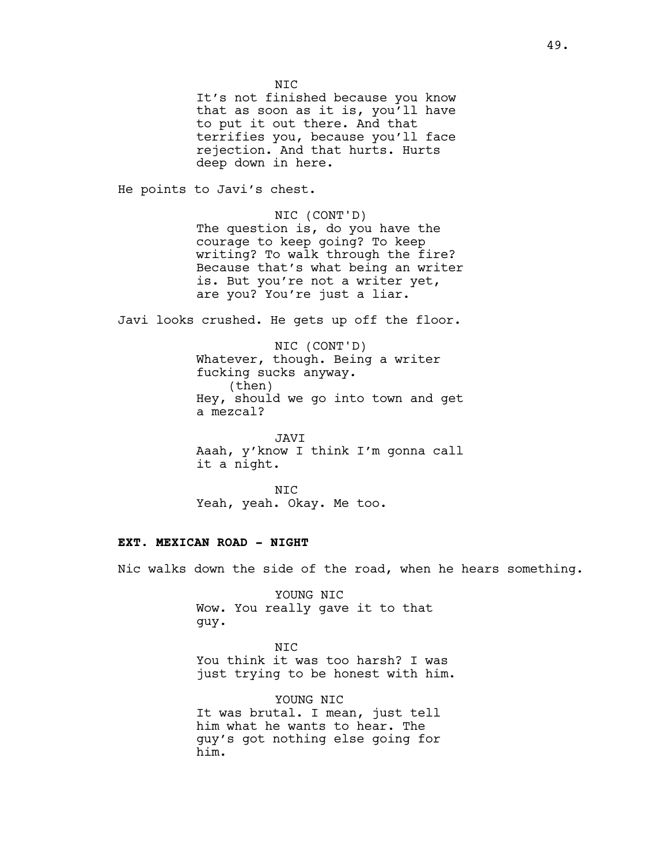N<sub>TC</sub> It's not finished because you know that as soon as it is, you'll have to put it out there. And that terrifies you, because you'll face rejection. And that hurts. Hurts deep down in here.

He points to Javi's chest.

NIC (CONT'D) The question is, do you have the courage to keep going? To keep writing? To walk through the fire? Because that's what being an writer is. But you're not a writer yet, are you? You're just a liar.

Javi looks crushed. He gets up off the floor.

NIC (CONT'D) Whatever, though. Being a writer fucking sucks anyway. (then) Hey, should we go into town and get a mezcal?

JAVI Aaah, y'know I think I'm gonna call it a night.

NIC Yeah, yeah. Okay. Me too.

## **EXT. MEXICAN ROAD - NIGHT**

Nic walks down the side of the road, when he hears something.

YOUNG NIC Wow. You really gave it to that guy.

NIC You think it was too harsh? I was just trying to be honest with him.

YOUNG NIC It was brutal. I mean, just tell him what he wants to hear. The guy's got nothing else going for him.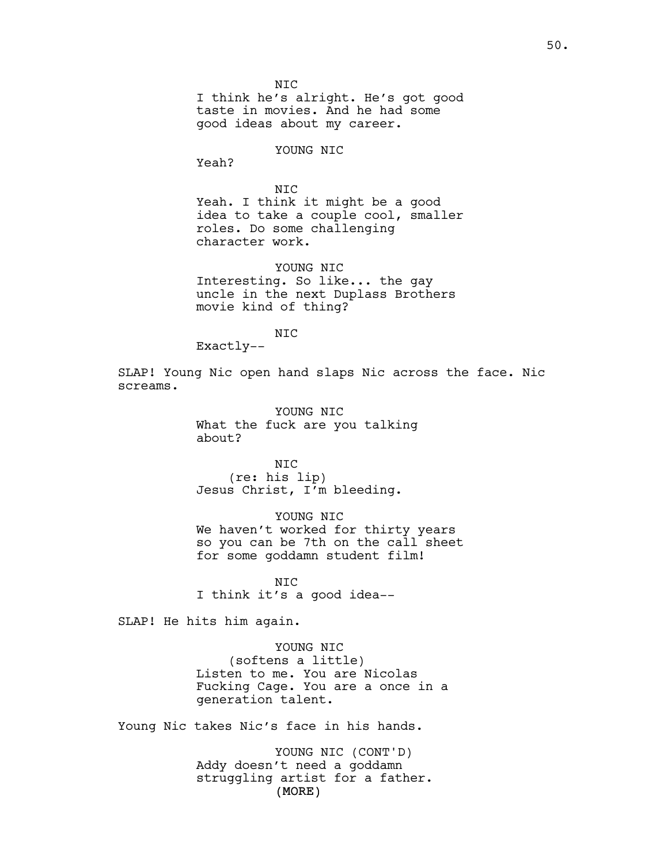NIC I think he's alright. He's got good taste in movies. And he had some good ideas about my career.

YOUNG NIC

Yeah?

NIC Yeah. I think it might be a good idea to take a couple cool, smaller roles. Do some challenging character work.

YOUNG NIC Interesting. So like... the gay uncle in the next Duplass Brothers movie kind of thing?

NIC

Exactly--

SLAP! Young Nic open hand slaps Nic across the face. Nic screams.

> YOUNG NIC What the fuck are you talking about?

NIC (re: his lip) Jesus Christ, I'm bleeding.

YOUNG NIC We haven't worked for thirty years so you can be 7th on the call sheet for some goddamn student film!

NIC I think it's a good idea--

SLAP! He hits him again.

YOUNG NIC (softens a little) Listen to me. You are Nicolas Fucking Cage. You are a once in a generation talent.

Young Nic takes Nic's face in his hands.

(MORE) YOUNG NIC (CONT'D) Addy doesn't need a goddamn struggling artist for a father.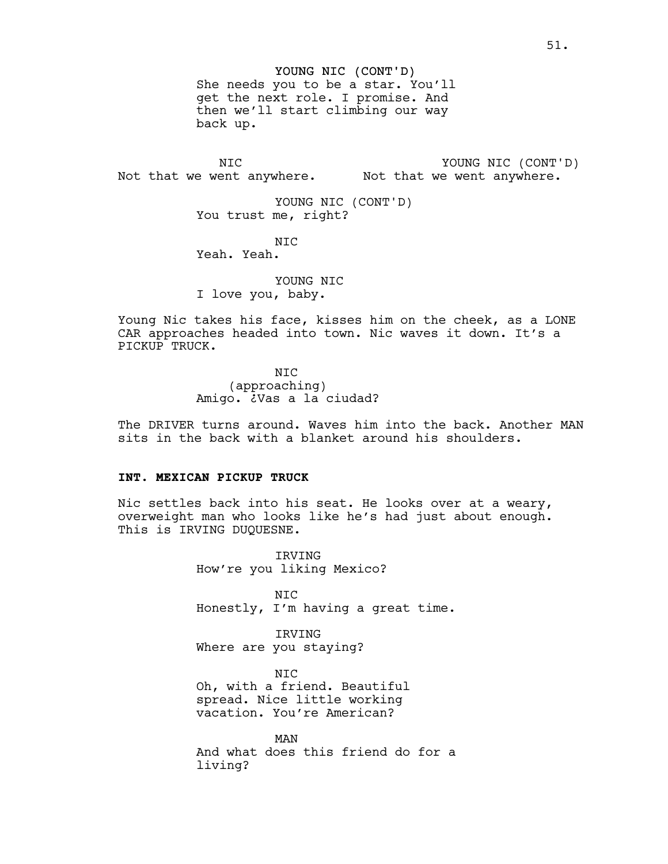#### YOUNG NIC (CONT'D)

She needs you to be a star. You'll get the next role. I promise. And then we'll start climbing our way back up.

NIC Not that we went anywhere. Not that we went anywhere. YOUNG NIC (CONT'D)

> YOUNG NIC (CONT'D) You trust me, right?

NIC Yeah. Yeah.

YOUNG NIC I love you, baby.

Young Nic takes his face, kisses him on the cheek, as a LONE CAR approaches headed into town. Nic waves it down. It's a PICKUP TRUCK.

> NIC (approaching) Amigo. ¿Vas a la ciudad?

The DRIVER turns around. Waves him into the back. Another MAN sits in the back with a blanket around his shoulders.

# **INT. MEXICAN PICKUP TRUCK**

Nic settles back into his seat. He looks over at a weary, overweight man who looks like he's had just about enough. This is IRVING DUQUESNE.

> IRVING How're you liking Mexico?

NIC Honestly, I'm having a great time.

IRVING Where are you staying?

NIC Oh, with a friend. Beautiful spread. Nice little working vacation. You're American?

MAN And what does this friend do for a living?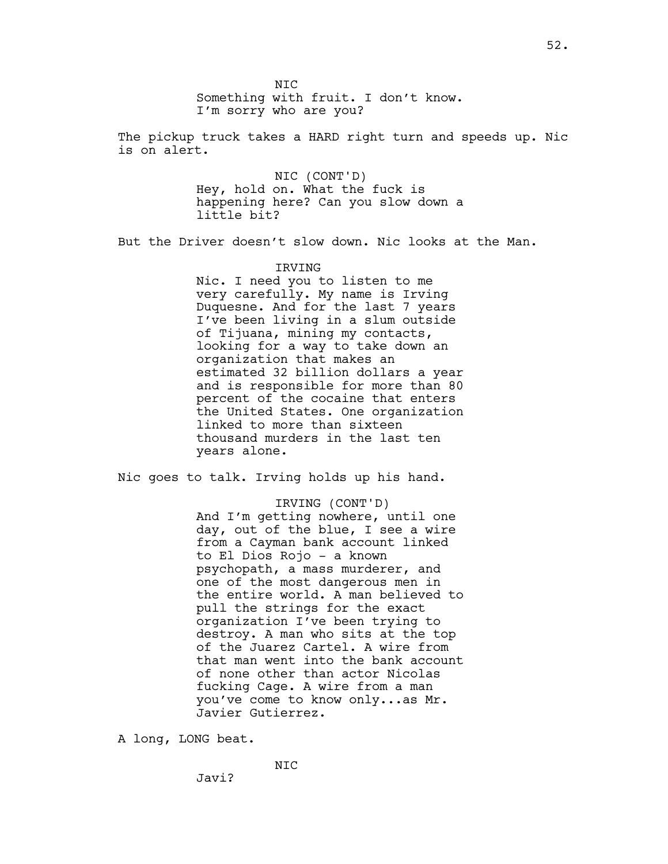The pickup truck takes a HARD right turn and speeds up. Nic is on alert.

> NIC (CONT'D) Hey, hold on. What the fuck is happening here? Can you slow down a little bit?

But the Driver doesn't slow down. Nic looks at the Man.

#### IRVING

Nic. I need you to listen to me very carefully. My name is Irving Duquesne. And for the last 7 years I've been living in a slum outside of Tijuana, mining my contacts, looking for a way to take down an organization that makes an estimated 32 billion dollars a year and is responsible for more than 80 percent of the cocaine that enters the United States. One organization linked to more than sixteen thousand murders in the last ten years alone.

Nic goes to talk. Irving holds up his hand.

#### IRVING (CONT'D)

And I'm getting nowhere, until one day, out of the blue, I see a wire from a Cayman bank account linked to El Dios Rojo - a known psychopath, a mass murderer, and one of the most dangerous men in the entire world. A man believed to pull the strings for the exact organization I've been trying to destroy. A man who sits at the top of the Juarez Cartel. A wire from that man went into the bank account of none other than actor Nicolas fucking Cage. A wire from a man you've come to know only...as Mr. Javier Gutierrez.

A long, LONG beat.

Javi?

NIC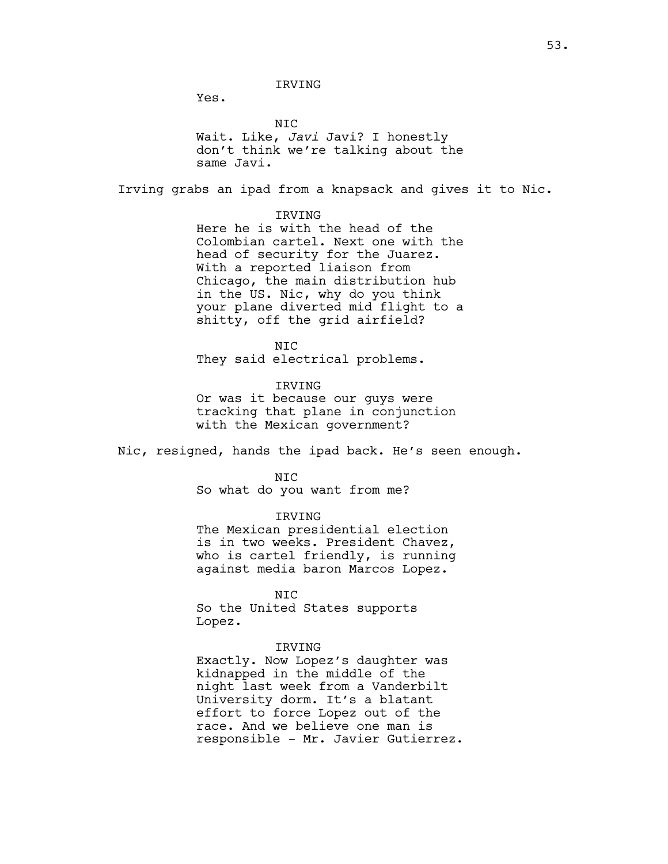IRVING

Yes.

NIC Wait. Like, *Javi* Javi? I honestly don't think we're talking about the same Javi.

Irving grabs an ipad from a knapsack and gives it to Nic.

#### IRVING

Here he is with the head of the Colombian cartel. Next one with the head of security for the Juarez. With a reported liaison from Chicago, the main distribution hub in the US. Nic, why do you think your plane diverted mid flight to a shitty, off the grid airfield?

N<sub>TC</sub> They said electrical problems.

#### IRVING

Or was it because our guys were tracking that plane in conjunction with the Mexican government?

Nic, resigned, hands the ipad back. He's seen enough.

NIC

So what do you want from me?

IRVING

The Mexican presidential election is in two weeks. President Chavez, who is cartel friendly, is running against media baron Marcos Lopez.

NIC So the United States supports Lopez.

#### IRVING

Exactly. Now Lopez's daughter was kidnapped in the middle of the night last week from a Vanderbilt University dorm. It's a blatant effort to force Lopez out of the race. And we believe one man is responsible - Mr. Javier Gutierrez.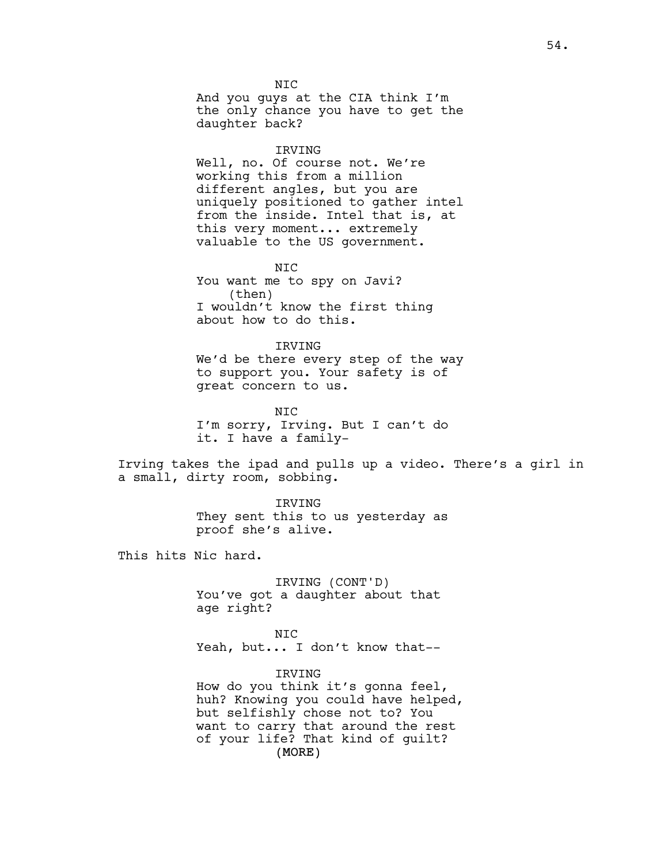N<sub>TC</sub> And you guys at the CIA think I'm the only chance you have to get the daughter back?

#### IRVING

Well, no. Of course not. We're working this from a million different angles, but you are uniquely positioned to gather intel from the inside. Intel that is, at this very moment... extremely valuable to the US government.

NIC You want me to spy on Javi? (then) I wouldn't know the first thing about how to do this.

IRVING We'd be there every step of the way to support you. Your safety is of great concern to us.

NIC I'm sorry, Irving. But I can't do it. I have a family-

Irving takes the ipad and pulls up a video. There's a girl in a small, dirty room, sobbing.

> IRVING They sent this to us yesterday as proof she's alive.

This hits Nic hard.

IRVING (CONT'D) You've got a daughter about that age right?

NIC Yeah, but... I don't know that--

(MORE) IRVING How do you think it's gonna feel, huh? Knowing you could have helped, but selfishly chose not to? You want to carry that around the rest of your life? That kind of guilt?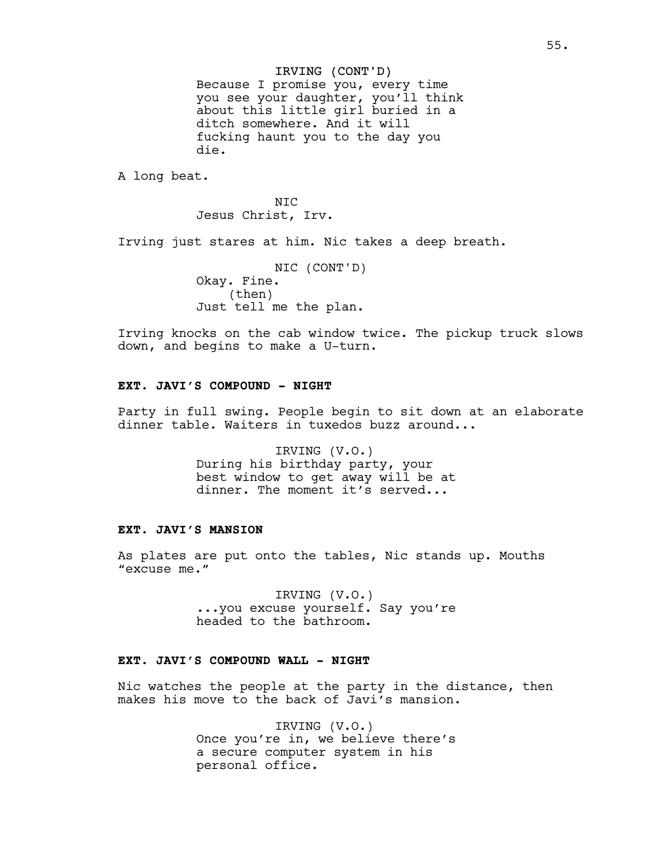# IRVING (CONT'D)

Because I promise you, every time you see your daughter, you'll think about this little girl buried in a ditch somewhere. And it will fucking haunt you to the day you die.

A long beat.

N<sub>TC</sub> Jesus Christ, Irv.

Irving just stares at him. Nic takes a deep breath.

NIC (CONT'D) Okay. Fine. (then) Just tell me the plan.

Irving knocks on the cab window twice. The pickup truck slows down, and begins to make a U-turn.

# **EXT. JAVI'S COMPOUND - NIGHT**

Party in full swing. People begin to sit down at an elaborate dinner table. Waiters in tuxedos buzz around...

> IRVING (V.O.) During his birthday party, your best window to get away will be at dinner. The moment it's served...

# **EXT. JAVI'S MANSION**

As plates are put onto the tables, Nic stands up. Mouths "excuse me."

> IRVING (V.O.) ...you excuse yourself. Say you're headed to the bathroom.

# **EXT. JAVI'S COMPOUND WALL - NIGHT**

Nic watches the people at the party in the distance, then makes his move to the back of Javi's mansion.

> IRVING (V.O.) Once you're in, we believe there's a secure computer system in his personal office.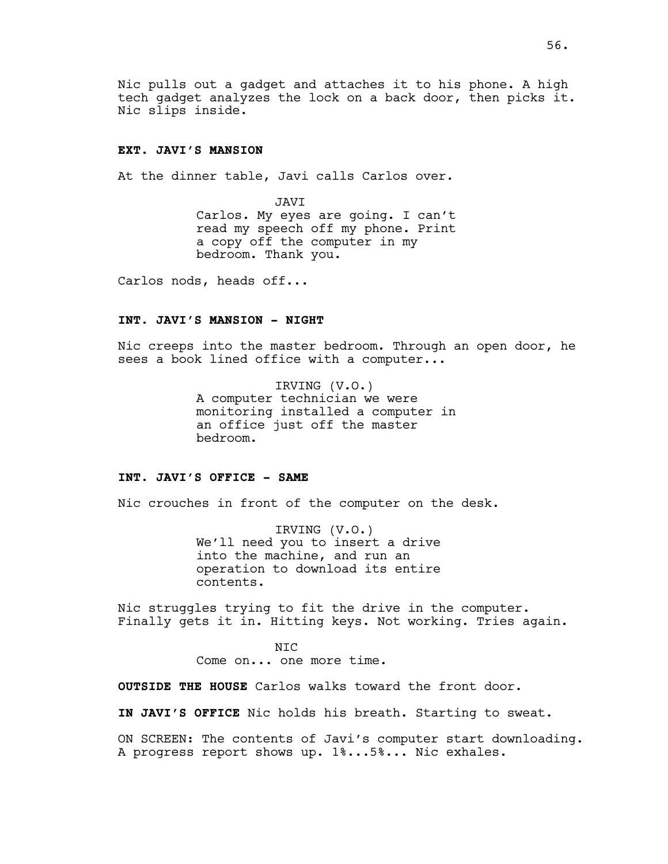Nic pulls out a gadget and attaches it to his phone. A high tech gadget analyzes the lock on a back door, then picks it. Nic slips inside.

## **EXT. JAVI'S MANSION**

At the dinner table, Javi calls Carlos over.

JAVI Carlos. My eyes are going. I can't read my speech off my phone. Print a copy off the computer in my bedroom. Thank you.

Carlos nods, heads off...

#### **INT. JAVI'S MANSION - NIGHT**

Nic creeps into the master bedroom. Through an open door, he sees a book lined office with a computer...

> IRVING (V.O.) A computer technician we were monitoring installed a computer in an office just off the master bedroom.

## **INT. JAVI'S OFFICE - SAME**

Nic crouches in front of the computer on the desk.

IRVING (V.O.) We'll need you to insert a drive into the machine, and run an operation to download its entire contents.

Nic struggles trying to fit the drive in the computer. Finally gets it in. Hitting keys. Not working. Tries again.

> NIC Come on... one more time.

**OUTSIDE THE HOUSE** Carlos walks toward the front door.

**IN JAVI'S OFFICE** Nic holds his breath. Starting to sweat.

ON SCREEN: The contents of Javi's computer start downloading. A progress report shows up. 1%...5%... Nic exhales.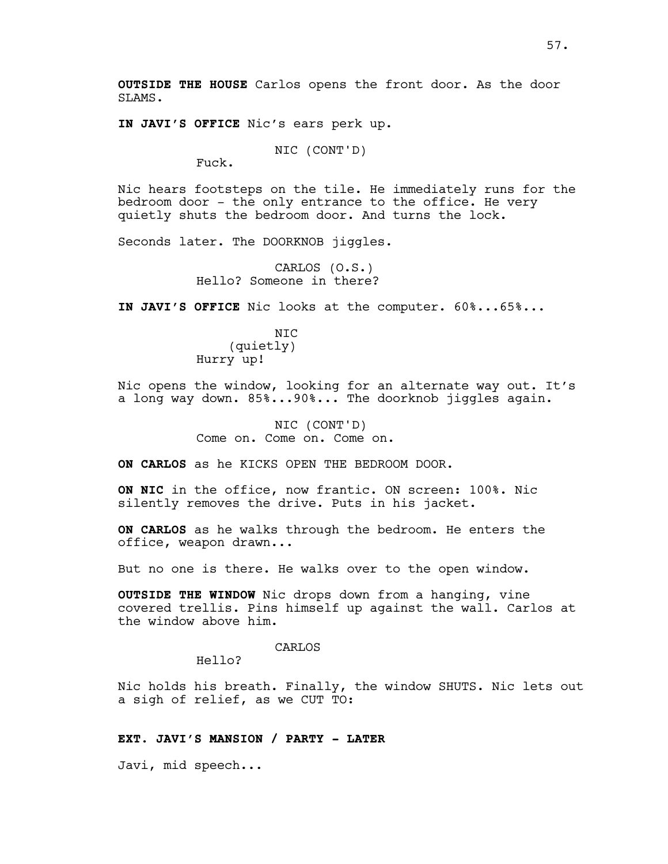**OUTSIDE THE HOUSE** Carlos opens the front door. As the door SLAMS.

**IN JAVI'S OFFICE** Nic's ears perk up.

NIC (CONT'D)

Fuck.

Nic hears footsteps on the tile. He immediately runs for the bedroom door - the only entrance to the office. He very quietly shuts the bedroom door. And turns the lock.

Seconds later. The DOORKNOB jiggles.

CARLOS (O.S.) Hello? Someone in there?

**IN JAVI'S OFFICE** Nic looks at the computer. 60%...65%...

N<sub>TC</sub> (quietly) Hurry up!

Nic opens the window, looking for an alternate way out. It's a long way down. 85%...90%... The doorknob jiggles again.

> NIC (CONT'D) Come on. Come on. Come on.

**ON CARLOS** as he KICKS OPEN THE BEDROOM DOOR.

**ON NIC** in the office, now frantic. ON screen: 100%. Nic silently removes the drive. Puts in his jacket.

**ON CARLOS** as he walks through the bedroom. He enters the office, weapon drawn...

But no one is there. He walks over to the open window.

**OUTSIDE THE WINDOW** Nic drops down from a hanging, vine covered trellis. Pins himself up against the wall. Carlos at the window above him.

CARLOS

Hello?

Nic holds his breath. Finally, the window SHUTS. Nic lets out a sigh of relief, as we CUT TO:

# **EXT. JAVI'S MANSION / PARTY - LATER**

Javi, mid speech...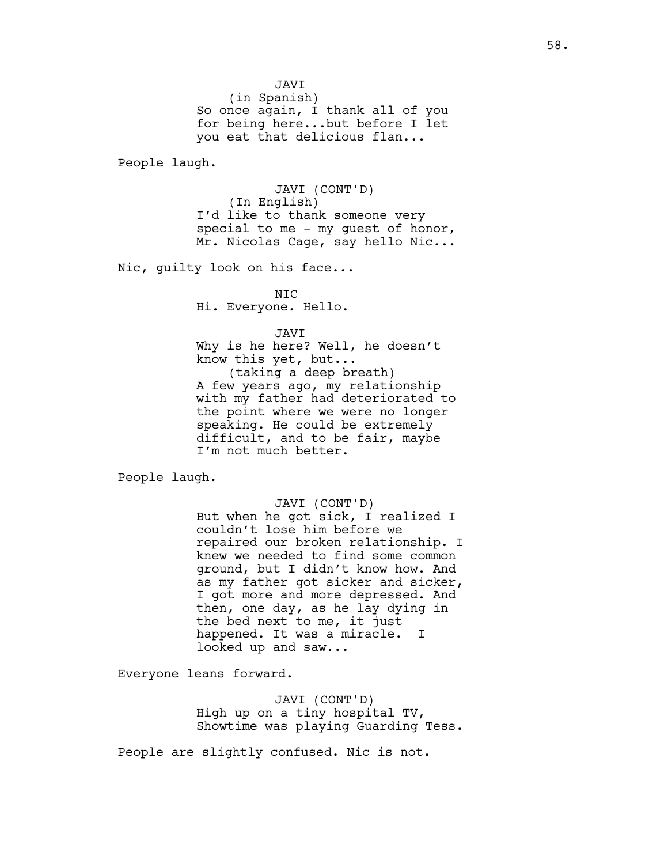JAVI

(in Spanish) So once again, I thank all of you for being here...but before I let you eat that delicious flan...

People laugh.

JAVI (CONT'D) (In English) I'd like to thank someone very special to me - my guest of honor, Mr. Nicolas Cage, say hello Nic...

Nic, guilty look on his face...

NIC Hi. Everyone. Hello.

#### JAVI

Why is he here? Well, he doesn't know this yet, but... (taking a deep breath) A few years ago, my relationship with my father had deteriorated to the point where we were no longer speaking. He could be extremely difficult, and to be fair, maybe I'm not much better.

People laugh.

#### JAVI (CONT'D)

But when he got sick, I realized I couldn't lose him before we repaired our broken relationship. I knew we needed to find some common ground, but I didn't know how. And as my father got sicker and sicker, I got more and more depressed. And then, one day, as he lay dying in the bed next to me, it just happened. It was a miracle. I looked up and saw...

Everyone leans forward.

JAVI (CONT'D) High up on a tiny hospital TV, Showtime was playing Guarding Tess.

People are slightly confused. Nic is not.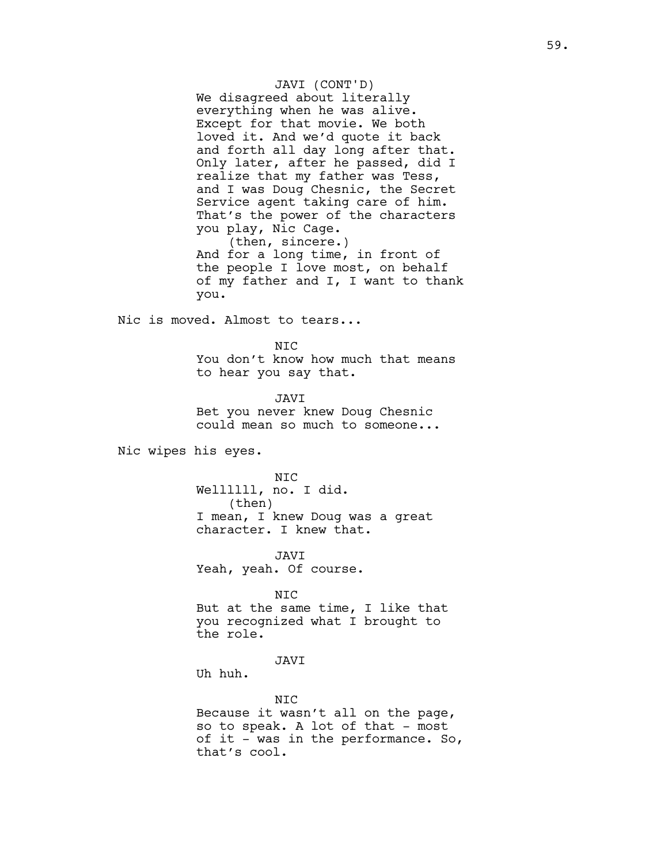JAVI (CONT'D) We disagreed about literally everything when he was alive. Except for that movie. We both loved it. And we'd quote it back and forth all day long after that. Only later, after he passed, did I realize that my father was Tess, and I was Doug Chesnic, the Secret Service agent taking care of him. That's the power of the characters you play, Nic Cage.

(then, sincere.) And for a long time, in front of the people I love most, on behalf of my father and I, I want to thank you.

Nic is moved. Almost to tears...

N<sub>TC</sub> You don't know how much that means to hear you say that.

JAVI Bet you never knew Doug Chesnic could mean so much to someone...

Nic wipes his eyes.

NIC Wellllll, no. I did. (then) I mean, I knew Doug was a great character. I knew that.

JAVI Yeah, yeah. Of course.

NIC But at the same time, I like that you recognized what I brought to the role.

JAVI

Uh huh.

NIC Because it wasn't all on the page, so to speak. A lot of that - most of it - was in the performance. So, that's cool.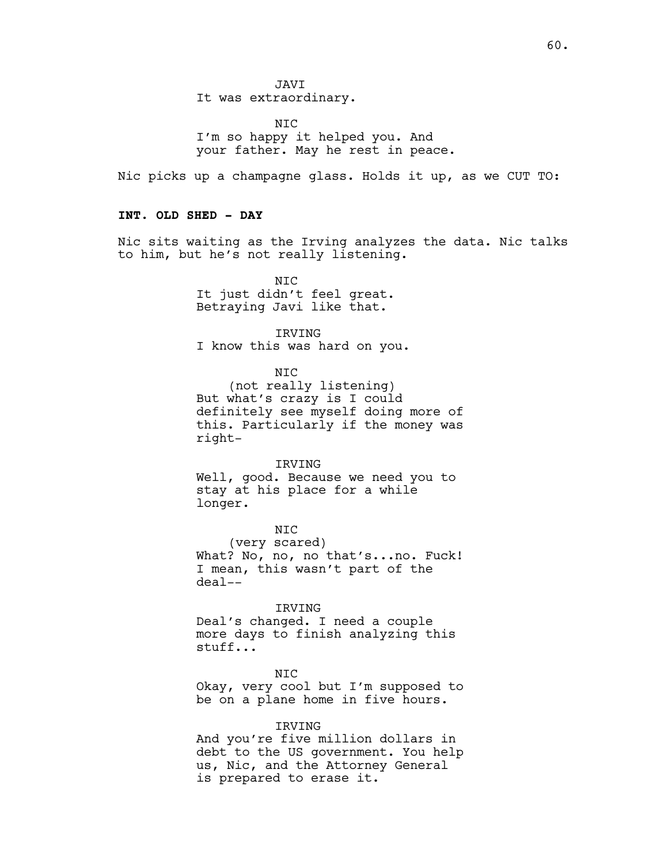JAVI It was extraordinary.

N<sub>TC</sub> I'm so happy it helped you. And your father. May he rest in peace.

Nic picks up a champagne glass. Holds it up, as we CUT TO:

# **INT. OLD SHED - DAY**

Nic sits waiting as the Irving analyzes the data. Nic talks to him, but he's not really listening.

> NIC It just didn't feel great. Betraying Javi like that.

IRVING I know this was hard on you.

NIC

(not really listening) But what's crazy is I could definitely see myself doing more of this. Particularly if the money was right-

IRVING

Well, good. Because we need you to stay at his place for a while longer.

NIC (very scared) What? No, no, no that's...no. Fuck! I mean, this wasn't part of the deal--

IRVING Deal's changed. I need a couple more days to finish analyzing this stuff...

NIC Okay, very cool but I'm supposed to be on a plane home in five hours.

#### IRVING

And you're five million dollars in debt to the US government. You help us, Nic, and the Attorney General is prepared to erase it.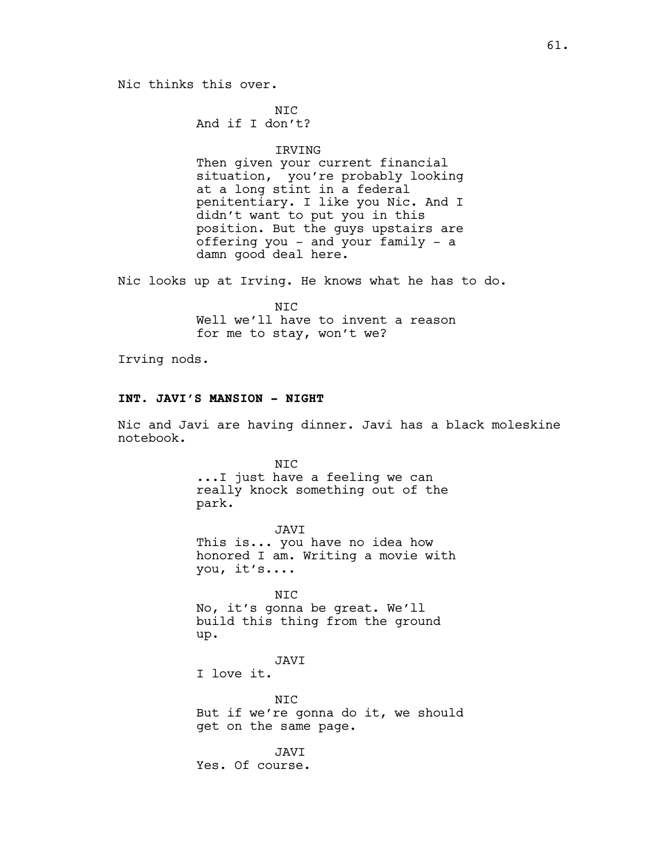# Nic thinks this over.

N<sub>TC</sub> And if I don't?

### IRVING

Then given your current financial situation, you're probably looking at a long stint in a federal penitentiary. I like you Nic. And I didn't want to put you in this position. But the guys upstairs are offering you - and your family - a damn good deal here.

Nic looks up at Irving. He knows what he has to do.

NIC Well we'll have to invent a reason for me to stay, won't we?

Irving nods.

#### **INT. JAVI'S MANSION - NIGHT**

Nic and Javi are having dinner. Javi has a black moleskine notebook.

> NIC ...I just have a feeling we can really knock something out of the park.

JAVI This is... you have no idea how honored I am. Writing a movie with you, it's....

NIC No, it's gonna be great. We'll build this thing from the ground up.

JAVI I love it.

NIC But if we're gonna do it, we should get on the same page.

JAVI Yes. Of course.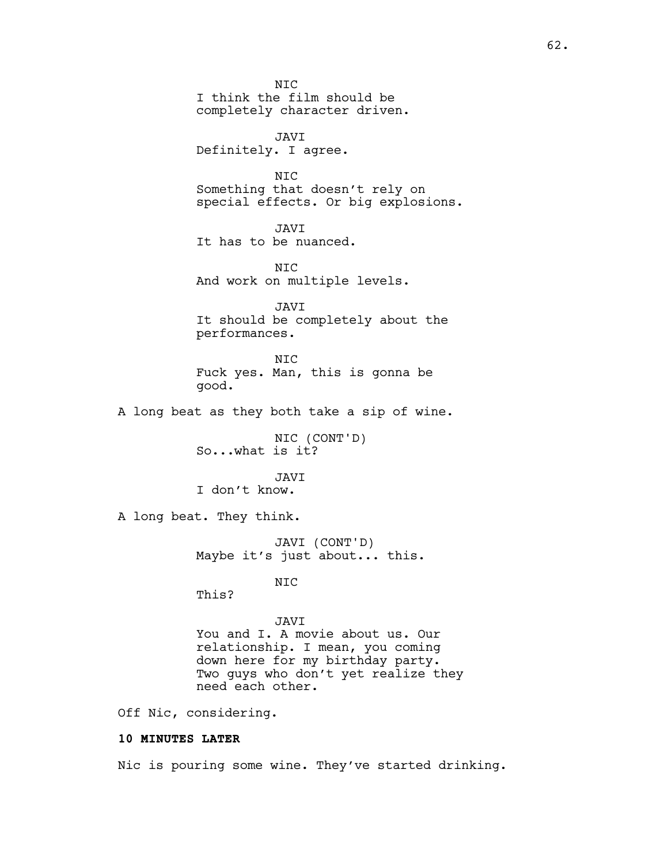**NTC** I think the film should be completely character driven. JAVI Definitely. I agree. NIC Something that doesn't rely on special effects. Or big explosions. JAVI It has to be nuanced. NIC And work on multiple levels. JAVI It should be completely about the performances. NIC Fuck yes. Man, this is gonna be good. A long beat as they both take a sip of wine. NIC (CONT'D) So...what is it? JAVI I don't know. A long beat. They think. JAVI (CONT'D) Maybe it's just about... this. NIC This? JAVI You and I. A movie about us. Our relationship. I mean, you coming down here for my birthday party. Two guys who don't yet realize they need each other. Off Nic, considering. **10 MINUTES LATER**

Nic is pouring some wine. They've started drinking.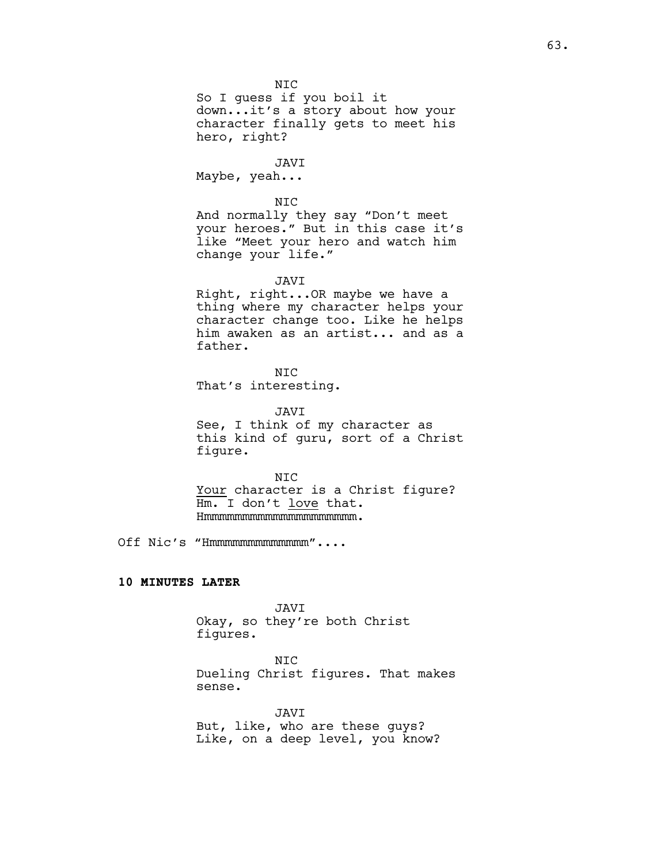NIC

So I guess if you boil it down...it's a story about how your character finally gets to meet his hero, right?

JAVI Maybe, yeah...

NIC And normally they say "Don't meet your heroes." But in this case it's like "Meet your hero and watch him change your life."

JAVI

Right, right...OR maybe we have a thing where my character helps your character change too. Like he helps him awaken as an artist... and as a father.

N<sub>TC</sub> That's interesting.

JAVI See, I think of my character as

this kind of guru, sort of a Christ figure.

NIC Your character is a Christ figure? Hm. I don't love that. Hmmmmmmmmmmmmmmmmmmmm.

Off Nic's "Hmmmmmmmmmmmmm"....

## **10 MINUTES LATER**

JAVI Okay, so they're both Christ figures.

NIC

Dueling Christ figures. That makes sense.

JAVI But, like, who are these guys? Like, on a deep level, you know?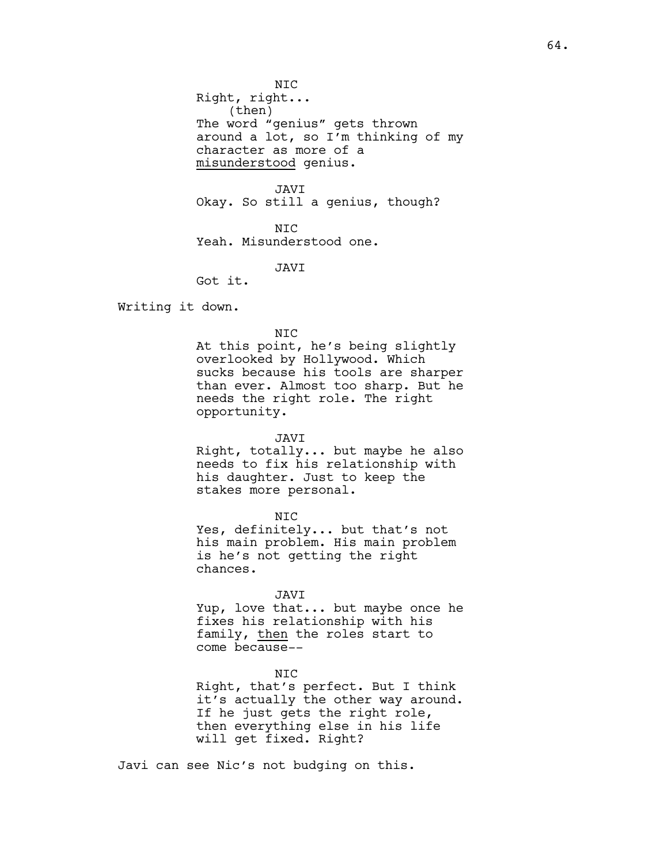NIC

Right, right... (then) The word "genius" gets thrown around a lot, so I'm thinking of my character as more of a misunderstood genius.

JAVI Okay. So still a genius, though?

N<sub>TC</sub> Yeah. Misunderstood one.

JAVI

Got it.

Writing it down.

### NIC

At this point, he's being slightly overlooked by Hollywood. Which sucks because his tools are sharper than ever. Almost too sharp. But he needs the right role. The right opportunity.

#### JAVI

Right, totally... but maybe he also needs to fix his relationship with his daughter. Just to keep the stakes more personal.

NIC

Yes, definitely... but that's not his main problem. His main problem is he's not getting the right chances.

#### JAVI

Yup, love that... but maybe once he fixes his relationship with his family, then the roles start to come because--

NIC

Right, that's perfect. But I think it's actually the other way around. If he just gets the right role, then everything else in his life will get fixed. Right?

Javi can see Nic's not budging on this.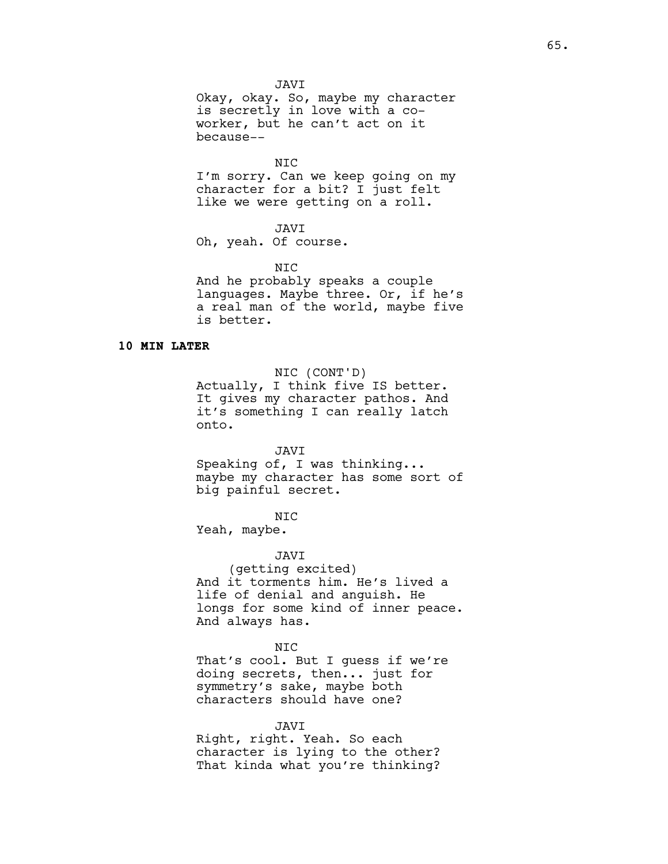JAVI

Okay, okay. So, maybe my character is secretly in love with a coworker, but he can't act on it because--

NIC

I'm sorry. Can we keep going on my character for a bit? I just felt like we were getting on a roll.

### JAVI

Oh, yeah. Of course.

NIC

And he probably speaks a couple languages. Maybe three. Or, if he's a real man of the world, maybe five is better.

### **10 MIN LATER**

NIC (CONT'D)

Actually, I think five IS better. It gives my character pathos. And it's something I can really latch onto.

JAVI

Speaking of, I was thinking... maybe my character has some sort of big painful secret.

NIC

Yeah, maybe.

JAVI

(getting excited) And it torments him. He's lived a life of denial and anguish. He longs for some kind of inner peace. And always has.

#### NIC

That's cool. But I guess if we're doing secrets, then... just for symmetry's sake, maybe both characters should have one?

JAVI Right, right. Yeah. So each character is lying to the other? That kinda what you're thinking?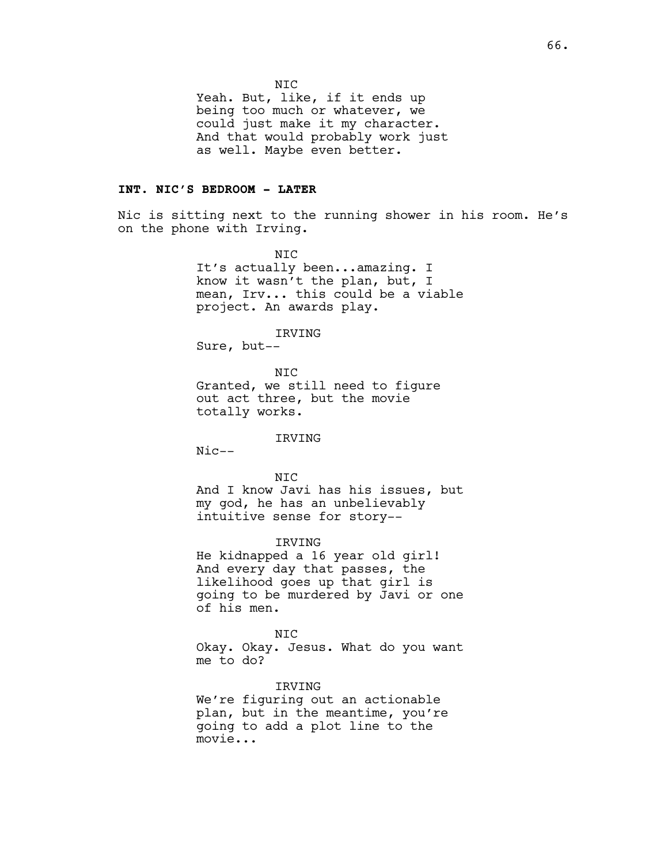NIC

Yeah. But, like, if it ends up being too much or whatever, we could just make it my character. And that would probably work just as well. Maybe even better.

### **INT. NIC'S BEDROOM - LATER**

Nic is sitting next to the running shower in his room. He's on the phone with Irving.

> NIC It's actually been...amazing. I know it wasn't the plan, but, I mean, Irv... this could be a viable project. An awards play.

#### IRVING

Sure, but--

NIC Granted, we still need to figure out act three, but the movie totally works.

### IRVING

Nic--

#### NIC

And I know Javi has his issues, but my god, he has an unbelievably intuitive sense for story--

#### IRVING

He kidnapped a 16 year old girl! And every day that passes, the likelihood goes up that girl is going to be murdered by Javi or one of his men.

NIC Okay. Okay. Jesus. What do you want me to do?

# IRVING

We're figuring out an actionable plan, but in the meantime, you're going to add a plot line to the movie...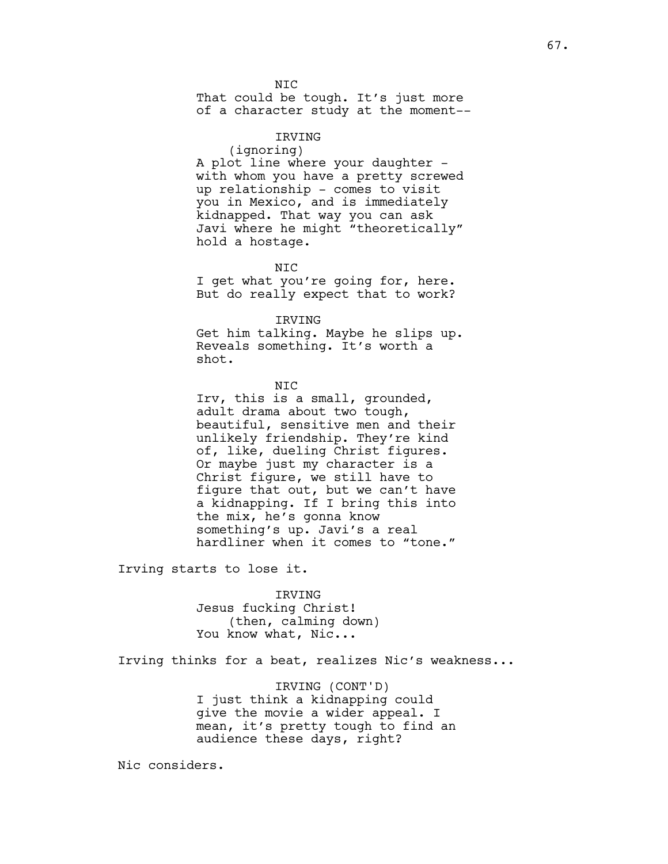N<sub>TC</sub> That could be tough. It's just more of a character study at the moment--

### IRVING

(ignoring)

A plot line where your daughter with whom you have a pretty screwed up relationship - comes to visit you in Mexico, and is immediately kidnapped. That way you can ask Javi where he might "theoretically" hold a hostage.

NIC

I get what you're going for, here. But do really expect that to work?

IRVING

Get him talking. Maybe he slips up. Reveals something. It's worth a shot.

NIC

Irv, this is a small, grounded, adult drama about two tough, beautiful, sensitive men and their unlikely friendship. They're kind of, like, dueling Christ figures. Or maybe just my character is a Christ figure, we still have to figure that out, but we can't have a kidnapping. If I bring this into the mix, he's gonna know something's up. Javi's a real hardliner when it comes to "tone."

Irving starts to lose it.

IRVING Jesus fucking Christ! (then, calming down) You know what, Nic...

Irving thinks for a beat, realizes Nic's weakness...

IRVING (CONT'D) I just think a kidnapping could give the movie a wider appeal. I mean, it's pretty tough to find an audience these days, right?

Nic considers.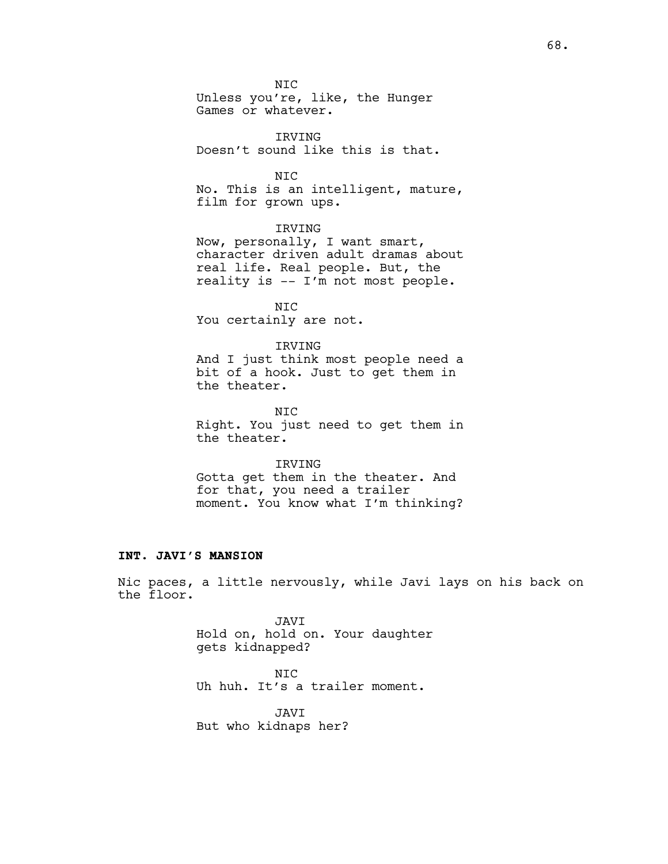NIC Unless you're, like, the Hunger Games or whatever.

IRVING Doesn't sound like this is that.

NIC No. This is an intelligent, mature, film for grown ups.

### IRVING

Now, personally, I want smart, character driven adult dramas about real life. Real people. But, the reality is -- I'm not most people.

NIC You certainly are not.

### IRVING

And I just think most people need a bit of a hook. Just to get them in the theater.

NIC Right. You just need to get them in the theater.

#### IRVING

Gotta get them in the theater. And for that, you need a trailer moment. You know what I'm thinking?

#### **INT. JAVI'S MANSION**

Nic paces, a little nervously, while Javi lays on his back on the floor.

> JAVI Hold on, hold on. Your daughter gets kidnapped?

NIC Uh huh. It's a trailer moment.

JAVI But who kidnaps her?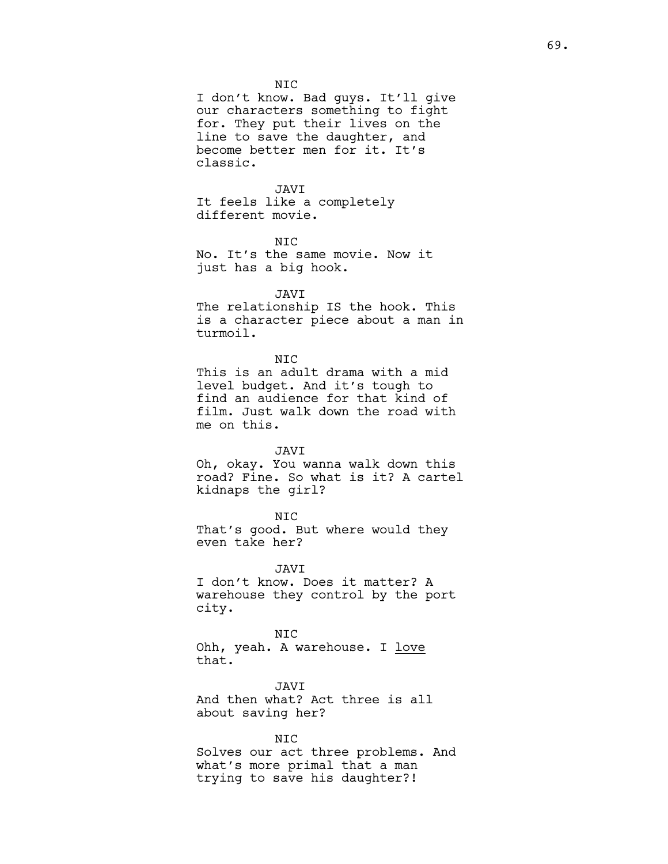I don't know. Bad guys. It'll give our characters something to fight for. They put their lives on the line to save the daughter, and become better men for it. It's classic.

#### JAVI

It feels like a completely different movie.

### NIC

No. It's the same movie. Now it just has a big hook.

#### JAVI

The relationship IS the hook. This is a character piece about a man in turmoil.

#### NIC

This is an adult drama with a mid level budget. And it's tough to find an audience for that kind of film. Just walk down the road with me on this.

#### JAVI

Oh, okay. You wanna walk down this road? Fine. So what is it? A cartel kidnaps the girl?

### NIC

That's good. But where would they even take her?

JAVI

I don't know. Does it matter? A warehouse they control by the port city.

NIC Ohh, yeah. A warehouse. I love that.

JAVI And then what? Act three is all about saving her?

#### NIC

Solves our act three problems. And what's more primal that a man trying to save his daughter?!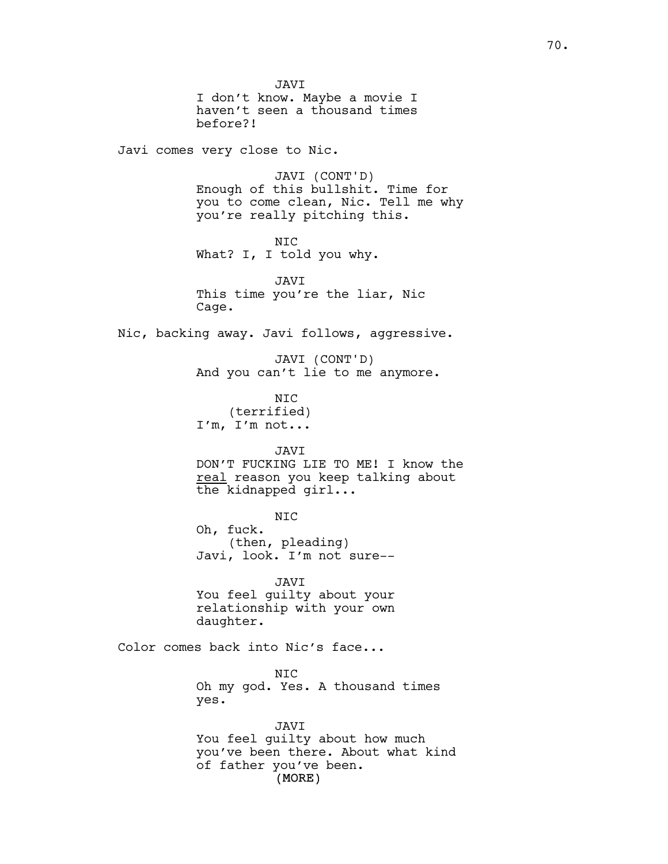(MORE) JAVI I don't know. Maybe a movie I haven't seen a thousand times before?! Javi comes very close to Nic. JAVI (CONT'D) Enough of this bullshit. Time for you to come clean, Nic. Tell me why you're really pitching this. NIC What? I, I told you why. JAVI This time you're the liar, Nic Cage. Nic, backing away. Javi follows, aggressive. JAVI (CONT'D) And you can't lie to me anymore. NIC (terrified) I'm, I'm not... JAVI DON'T FUCKING LIE TO ME! I know the real reason you keep talking about the kidnapped girl... NIC Oh, fuck. (then, pleading) Javi, look. I'm not sure-- JAVI You feel guilty about your relationship with your own daughter. Color comes back into Nic's face... NIC Oh my god. Yes. A thousand times yes. JAVI You feel guilty about how much you've been there. About what kind of father you've been.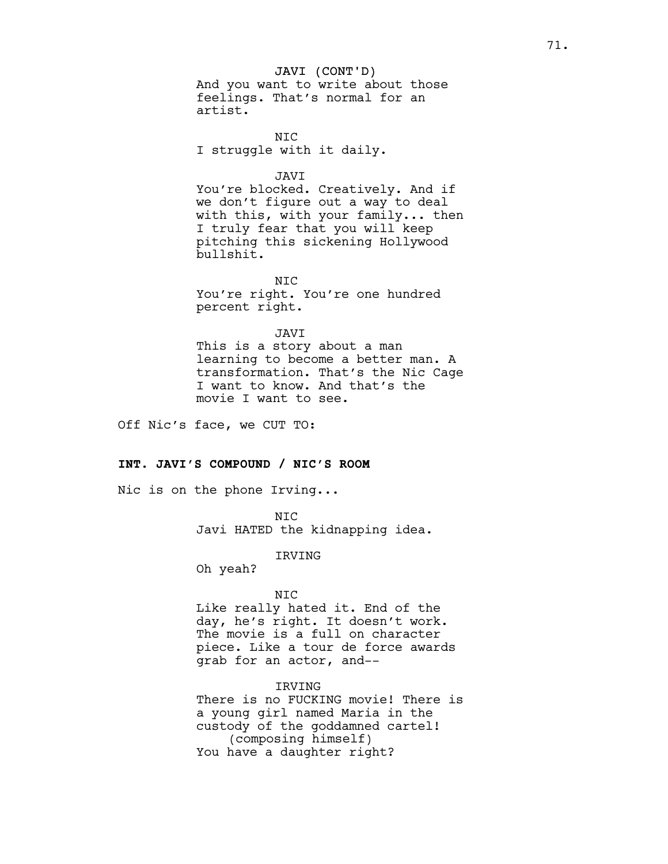JAVI (CONT'D) And you want to write about those feelings. That's normal for an artist.

NIC I struggle with it daily.

#### JAVI

You're blocked. Creatively. And if we don't figure out a way to deal with this, with your family... then I truly fear that you will keep pitching this sickening Hollywood bullshit.

N<sub>TC</sub> You're right. You're one hundred percent right.

#### JAVI

This is a story about a man learning to become a better man. A transformation. That's the Nic Cage I want to know. And that's the movie I want to see.

Off Nic's face, we CUT TO:

### **INT. JAVI'S COMPOUND / NIC'S ROOM**

Nic is on the phone Irving...

NIC Javi HATED the kidnapping idea.

#### IRVING

Oh yeah?

#### NIC

Like really hated it. End of the day, he's right. It doesn't work. The movie is a full on character piece. Like a tour de force awards grab for an actor, and--

## IRVING

There is no FUCKING movie! There is a young girl named Maria in the custody of the goddamned cartel! (composing himself) You have a daughter right?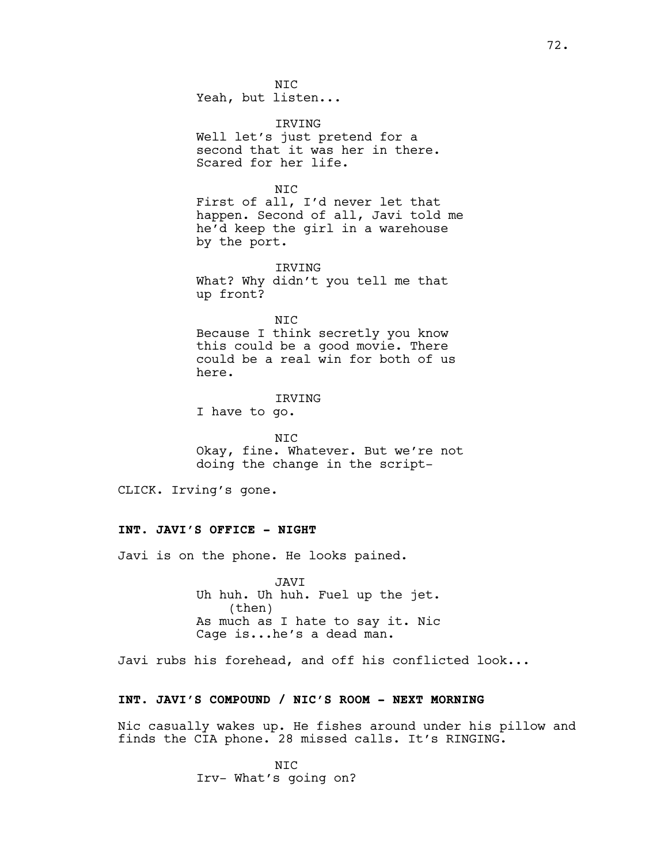NIC Yeah, but listen...

IRVING Well let's just pretend for a second that it was her in there. Scared for her life.

NIC First of all, I'd never let that happen. Second of all, Javi told me he'd keep the girl in a warehouse by the port.

IRVING What? Why didn't you tell me that up front?

NIC Because I think secretly you know this could be a good movie. There could be a real win for both of us here.

IRVING I have to go.

NIC Okay, fine. Whatever. But we're not doing the change in the script-

CLICK. Irving's gone.

# **INT. JAVI'S OFFICE - NIGHT**

Javi is on the phone. He looks pained.

JAVI Uh huh. Uh huh. Fuel up the jet. (then) As much as I hate to say it. Nic Cage is...he's a dead man.

Javi rubs his forehead, and off his conflicted look...

# **INT. JAVI'S COMPOUND / NIC'S ROOM - NEXT MORNING**

Nic casually wakes up. He fishes around under his pillow and finds the CIA phone. 28 missed calls. It's RINGING.

> NIC Irv- What's going on?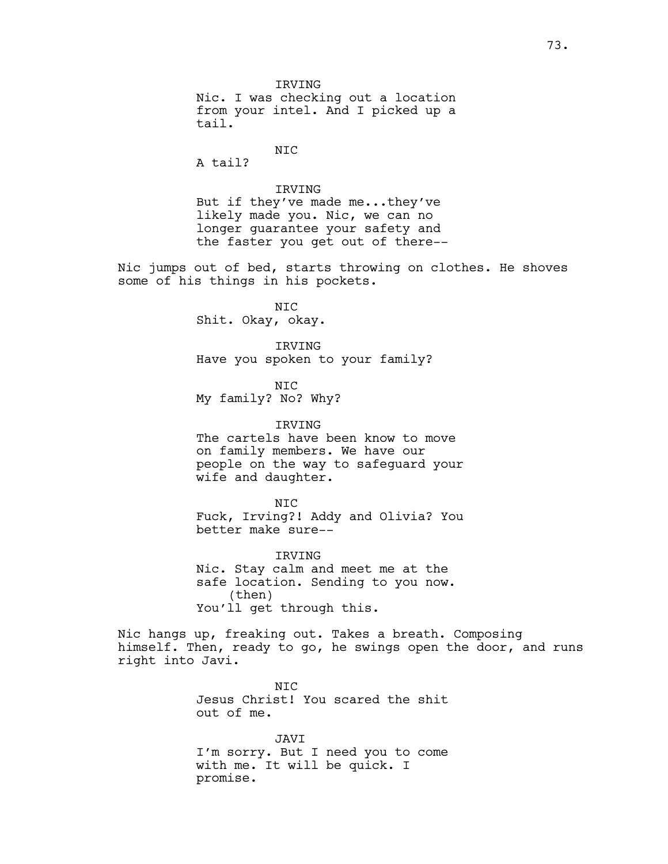**TRVTNG** Nic. I was checking out a location from your intel. And I picked up a tail.

# NIC

A tail?

# IRVING

But if they've made me...they've likely made you. Nic, we can no longer guarantee your safety and the faster you get out of there--

Nic jumps out of bed, starts throwing on clothes. He shoves some of his things in his pockets.

> NIC Shit. Okay, okay.

IRVING Have you spoken to your family?

NIC My family? No? Why?

IRVING The cartels have been know to move on family members. We have our people on the way to safeguard your wife and daughter.

NIC Fuck, Irving?! Addy and Olivia? You better make sure--

IRVING Nic. Stay calm and meet me at the safe location. Sending to you now. (then) You'll get through this.

Nic hangs up, freaking out. Takes a breath. Composing himself. Then, ready to go, he swings open the door, and runs right into Javi.

> N<sub>TC</sub> Jesus Christ! You scared the shit out of me.

> JAVI I'm sorry. But I need you to come with me. It will be quick. I promise.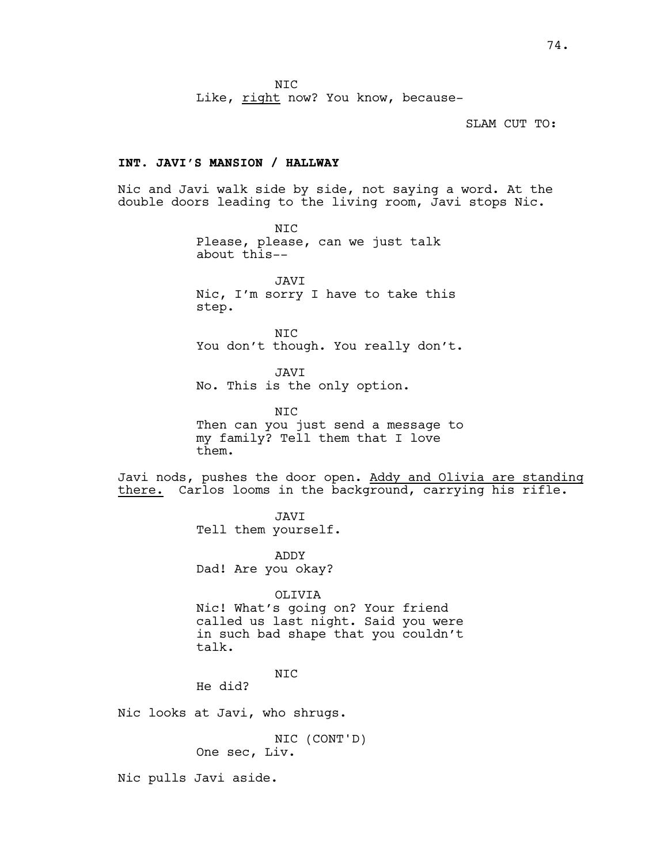NIC

Like, right now? You know, because-

SLAM CUT TO:

## **INT. JAVI'S MANSION / HALLWAY**

Nic and Javi walk side by side, not saying a word. At the double doors leading to the living room, Javi stops Nic.

> NIC Please, please, can we just talk about this--

JAVI Nic, I'm sorry I have to take this step.

NIC You don't though. You really don't.

JAVI No. This is the only option.

NIC Then can you just send a message to my family? Tell them that I love them.

Javi nods, pushes the door open. Addy and Olivia are standing there. Carlos looms in the background, carrying his rifle.

> JAVI Tell them yourself.

ADDY Dad! Are you okay?

OLIVIA

Nic! What's going on? Your friend called us last night. Said you were in such bad shape that you couldn't talk.

NIC

He did?

Nic looks at Javi, who shrugs.

NIC (CONT'D) One sec, Liv.

Nic pulls Javi aside.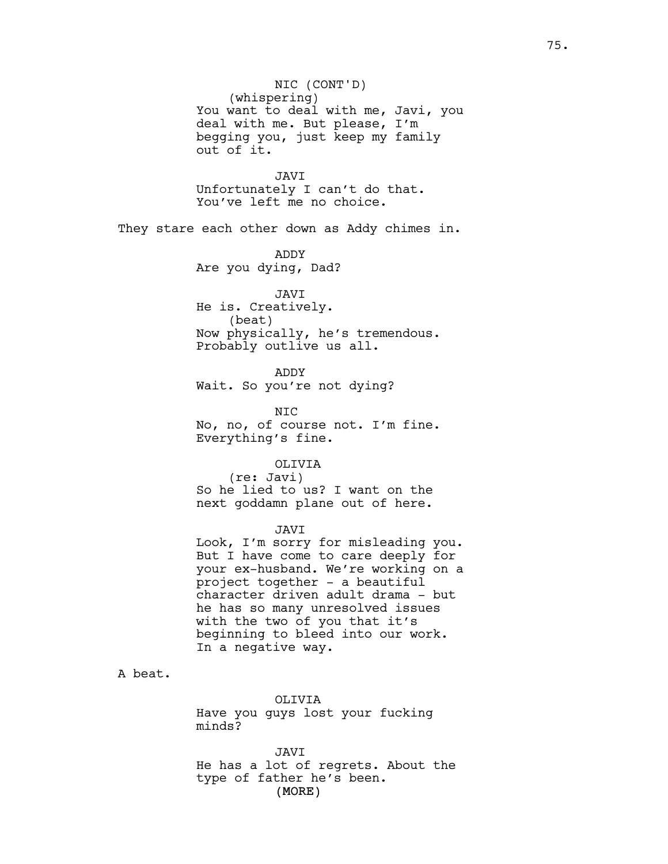NIC (CONT'D) (whispering) You want to deal with me, Javi, you deal with me. But please, I'm begging you, just keep my family out of it.

JAVI Unfortunately I can't do that. You've left me no choice.

They stare each other down as Addy chimes in.

ADDY Are you dying, Dad?

JAVI He is. Creatively. (beat) Now physically, he's tremendous. Probably outlive us all.

ADDY Wait. So you're not dying?

NIC No, no, of course not. I'm fine. Everything's fine.

OLIVIA

(re: Javi) So he lied to us? I want on the next goddamn plane out of here.

#### JAVI

Look, I'm sorry for misleading you. But I have come to care deeply for your ex-husband. We're working on a project together - a beautiful character driven adult drama - but he has so many unresolved issues with the two of you that it's beginning to bleed into our work. In a negative way.

A beat.

OLIVIA Have you guys lost your fucking minds?

(MORE) JAVI He has a lot of regrets. About the type of father he's been.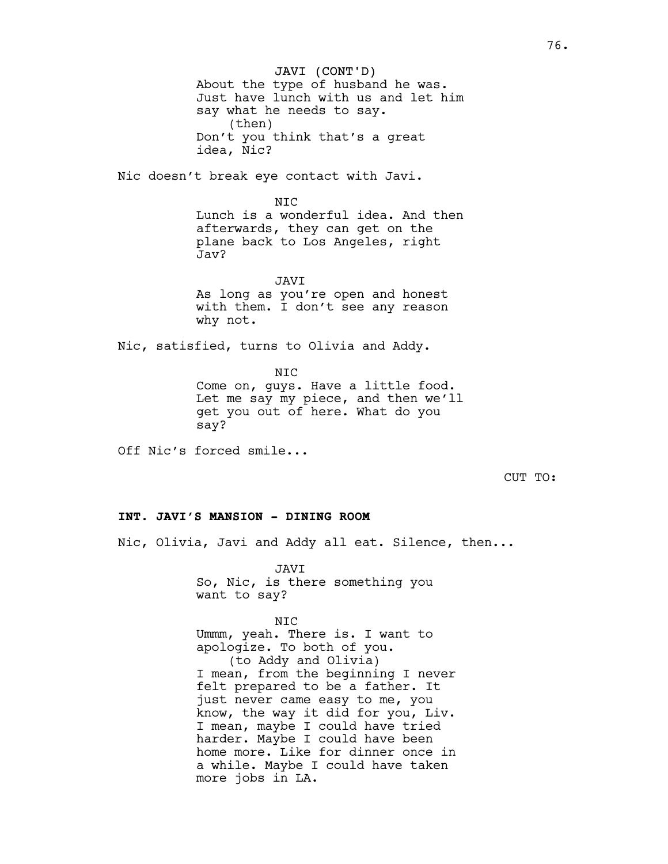JAVI (CONT'D) About the type of husband he was. Just have lunch with us and let him say what he needs to say. (then) Don't you think that's a great idea, Nic?

Nic doesn't break eye contact with Javi.

N<sub>TC</sub> Lunch is a wonderful idea. And then afterwards, they can get on the plane back to Los Angeles, right Jav?

JAVI As long as you're open and honest with them. I don't see any reason why not.

Nic, satisfied, turns to Olivia and Addy.

NIC

Come on, guys. Have a little food. Let me say my piece, and then we'll get you out of here. What do you say?

Off Nic's forced smile...

CUT TO:

# **INT. JAVI'S MANSION - DINING ROOM**

Nic, Olivia, Javi and Addy all eat. Silence, then...

JAVI So, Nic, is there something you want to say?

NIC Ummm, yeah. There is. I want to apologize. To both of you. (to Addy and Olivia) I mean, from the beginning I never felt prepared to be a father. It just never came easy to me, you know, the way it did for you, Liv. I mean, maybe I could have tried harder. Maybe I could have been home more. Like for dinner once in a while. Maybe I could have taken more jobs in LA.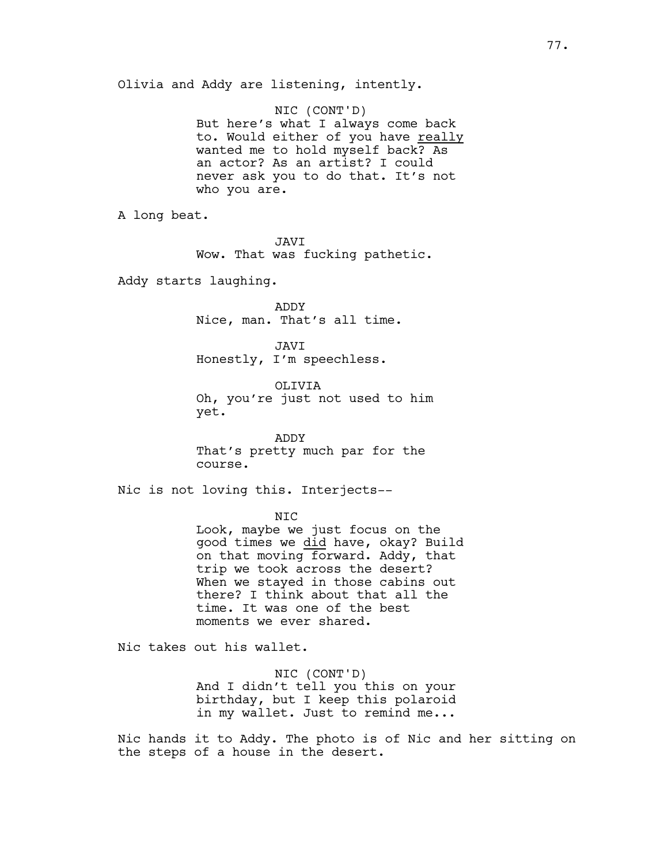Olivia and Addy are listening, intently.

NIC (CONT'D) But here's what I always come back to. Would either of you have really wanted me to hold myself back? As an actor? As an artist? I could never ask you to do that. It's not who you are.

A long beat.

JAVI Wow. That was fucking pathetic.

Addy starts laughing.

ADDY Nice, man. That's all time.

JAVI Honestly, I'm speechless.

OLIVIA Oh, you're just not used to him yet.

ADDY That's pretty much par for the course.

Nic is not loving this. Interjects--

NIC

Look, maybe we just focus on the good times we did have, okay? Build on that moving forward. Addy, that trip we took across the desert? When we stayed in those cabins out there? I think about that all the time. It was one of the best moments we ever shared.

Nic takes out his wallet.

NIC (CONT'D) And I didn't tell you this on your birthday, but I keep this polaroid in my wallet. Just to remind me...

Nic hands it to Addy. The photo is of Nic and her sitting on the steps of a house in the desert.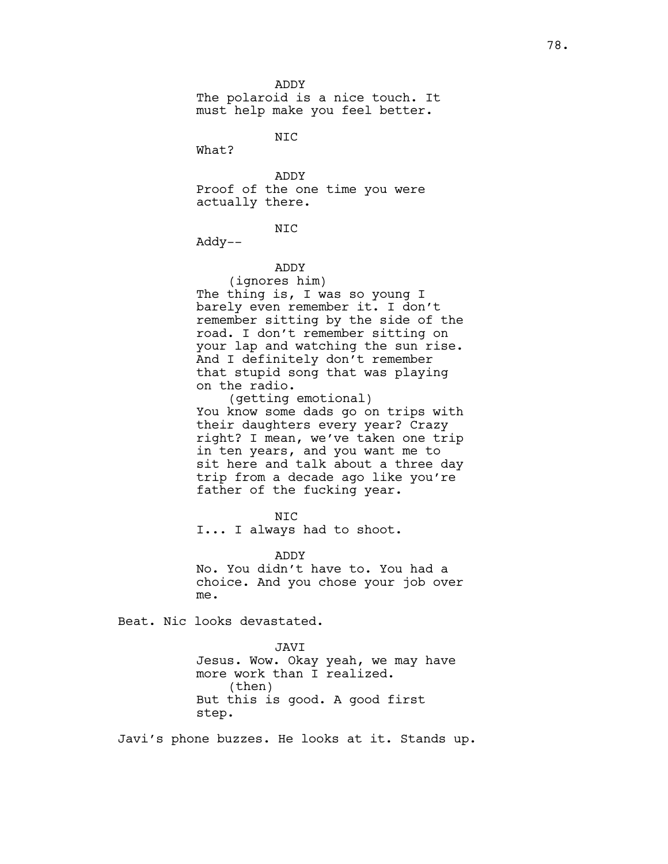ADDY The polaroid is a nice touch. It must help make you feel better.

NIC

What?

ADDY Proof of the one time you were actually there.

NIC

Addy--

ADDY

(ignores him) The thing is, I was so young I barely even remember it. I don't remember sitting by the side of the road. I don't remember sitting on your lap and watching the sun rise. And I definitely don't remember that stupid song that was playing on the radio.

(getting emotional) You know some dads go on trips with their daughters every year? Crazy right? I mean, we've taken one trip in ten years, and you want me to sit here and talk about a three day trip from a decade ago like you're father of the fucking year.

NIC

I... I always had to shoot.

ADDY

No. You didn't have to. You had a choice. And you chose your job over me.

Beat. Nic looks devastated.

JAVI Jesus. Wow. Okay yeah, we may have more work than I realized. (then) But this is good. A good first step.

Javi's phone buzzes. He looks at it. Stands up.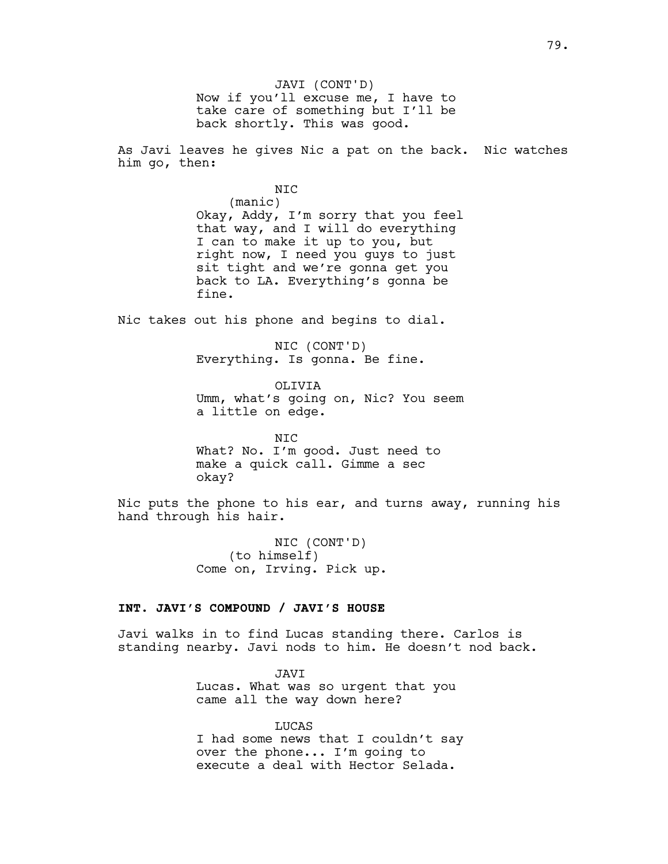JAVI (CONT'D) Now if you'll excuse me, I have to take care of something but I'll be back shortly. This was good.

As Javi leaves he gives Nic a pat on the back. Nic watches him go, then:

> NIC (manic) Okay, Addy, I'm sorry that you feel that way, and I will do everything I can to make it up to you, but right now, I need you guys to just sit tight and we're gonna get you back to LA. Everything's gonna be fine.

Nic takes out his phone and begins to dial.

NIC (CONT'D) Everything. Is gonna. Be fine.

OLIVIA Umm, what's going on, Nic? You seem a little on edge.

NIC What? No. I'm good. Just need to make a quick call. Gimme a sec okay?

Nic puts the phone to his ear, and turns away, running his hand through his hair.

> NIC (CONT'D) (to himself) Come on, Irving. Pick up.

### **INT. JAVI'S COMPOUND / JAVI'S HOUSE**

Javi walks in to find Lucas standing there. Carlos is standing nearby. Javi nods to him. He doesn't nod back.

> JAVI Lucas. What was so urgent that you came all the way down here?

LUCAS I had some news that I couldn't say over the phone... I'm going to execute a deal with Hector Selada.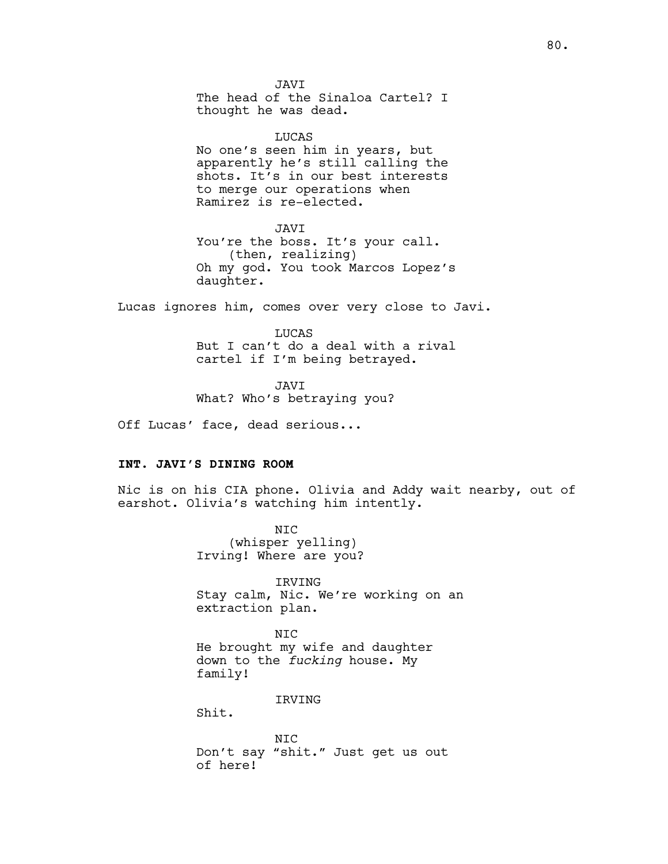JAVI The head of the Sinaloa Cartel? I thought he was dead.

LUCAS No one's seen him in years, but apparently he's still calling the shots. It's in our best interests to merge our operations when Ramirez is re-elected.

JAVI You're the boss. It's your call. (then, realizing) Oh my god. You took Marcos Lopez's daughter.

Lucas ignores him, comes over very close to Javi.

LUCAS But I can't do a deal with a rival cartel if I'm being betrayed.

JAVI What? Who's betraying you?

Off Lucas' face, dead serious...

## **INT. JAVI'S DINING ROOM**

Nic is on his CIA phone. Olivia and Addy wait nearby, out of earshot. Olivia's watching him intently.

> NIC (whisper yelling) Irving! Where are you?

IRVING Stay calm, Nic. We're working on an extraction plan.

NIC He brought my wife and daughter down to the *fucking* house. My family!

IRVING

Shit.

NIC Don't say "shit." Just get us out of here!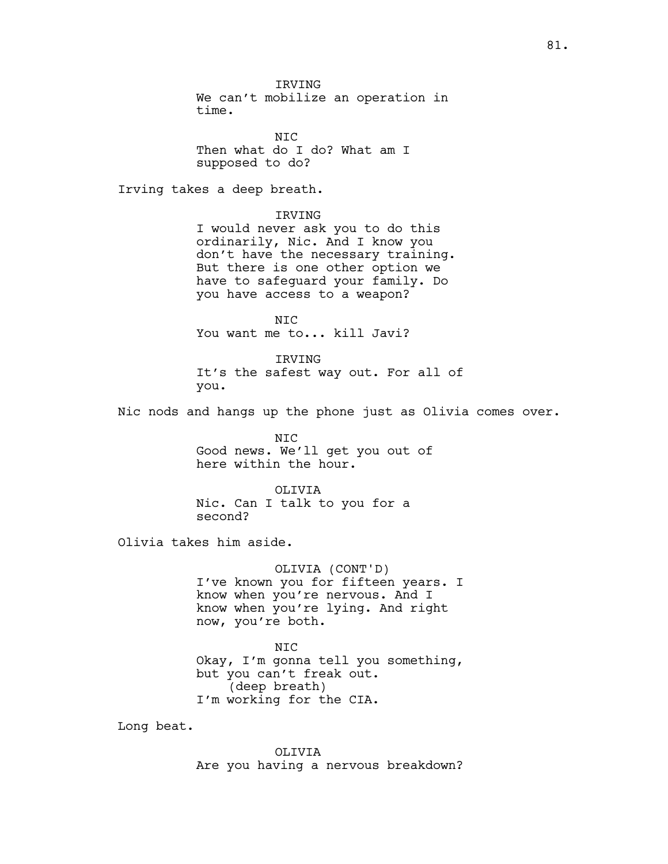IRVING We can't mobilize an operation in time.

N<sub>TC</sub> Then what do I do? What am I supposed to do?

Irving takes a deep breath.

IRVING

I would never ask you to do this ordinarily, Nic. And I know you don't have the necessary training. But there is one other option we have to safeguard your family. Do you have access to a weapon?

NIC You want me to... kill Javi?

IRVING It's the safest way out. For all of you.

Nic nods and hangs up the phone just as Olivia comes over.

NIC Good news. We'll get you out of here within the hour.

OLIVIA Nic. Can I talk to you for a second?

Olivia takes him aside.

OLIVIA (CONT'D) I've known you for fifteen years. I know when you're nervous. And I know when you're lying. And right now, you're both.

NIC Okay, I'm gonna tell you something, but you can't freak out. (deep breath) I'm working for the CIA.

Long beat.

OLIVIA Are you having a nervous breakdown?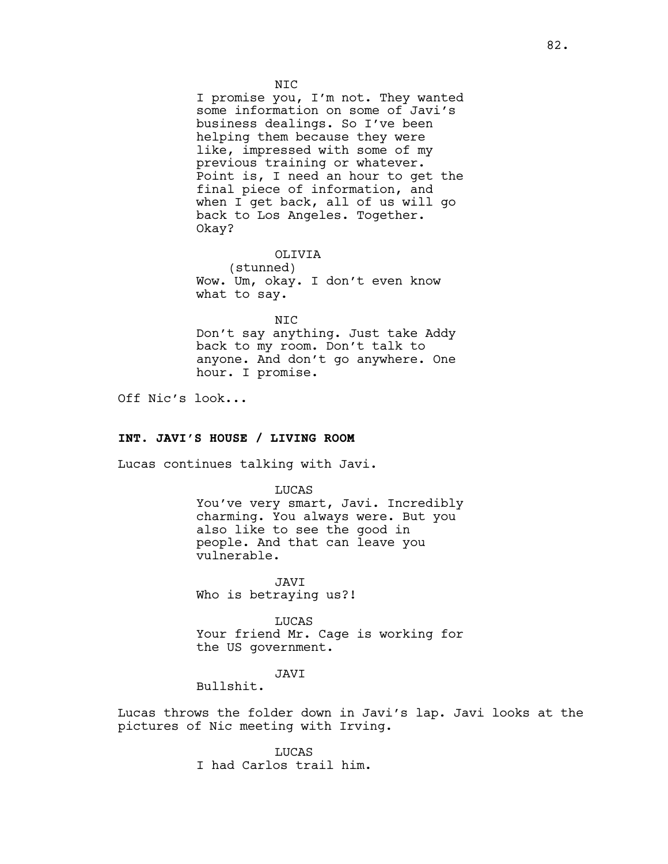I promise you, I'm not. They wanted some information on some of Javi's business dealings. So I've been helping them because they were like, impressed with some of my previous training or whatever. Point is, I need an hour to get the final piece of information, and when I get back, all of us will go back to Los Angeles. Together. Okay?

OLIVIA

(stunned) Wow. Um, okay. I don't even know what to say.

NIC Don't say anything. Just take Addy back to my room. Don't talk to anyone. And don't go anywhere. One hour. I promise.

Off Nic's look...

# **INT. JAVI'S HOUSE / LIVING ROOM**

Lucas continues talking with Javi.

LUCAS You've very smart, Javi. Incredibly charming. You always were. But you also like to see the good in people. And that can leave you vulnerable.

JAVI Who is betraying us?!

LUCAS Your friend Mr. Cage is working for the US government.

JAVI

Bullshit.

Lucas throws the folder down in Javi's lap. Javi looks at the pictures of Nic meeting with Irving.

> LUCAS I had Carlos trail him.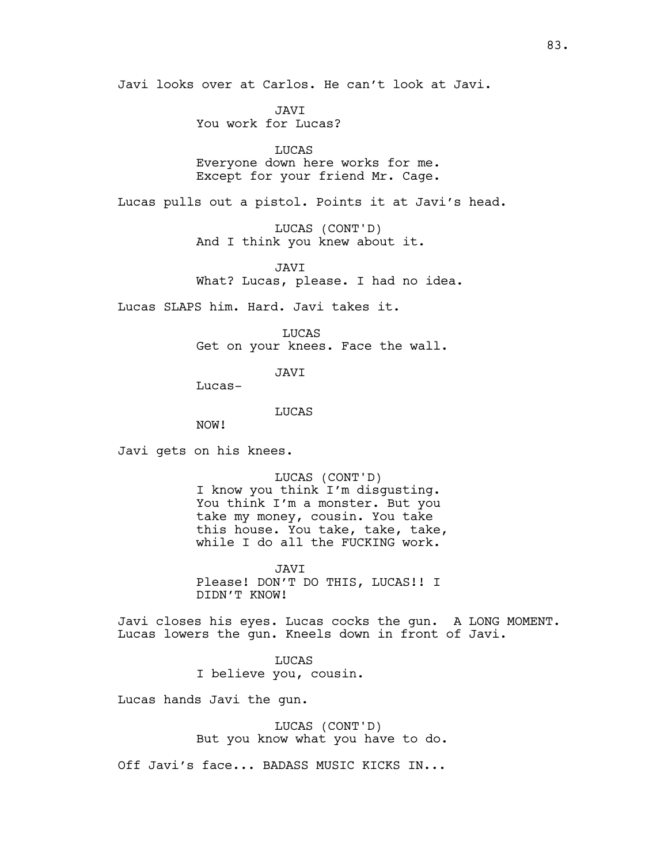Javi looks over at Carlos. He can't look at Javi.

JAVI You work for Lucas?

LUCAS Everyone down here works for me. Except for your friend Mr. Cage.

Lucas pulls out a pistol. Points it at Javi's head.

LUCAS (CONT'D) And I think you knew about it.

JAVI What? Lucas, please. I had no idea.

Lucas SLAPS him. Hard. Javi takes it.

LUCAS Get on your knees. Face the wall.

JAVI

Lucas-

LUCAS

NOW!

Javi gets on his knees.

LUCAS (CONT'D) I know you think I'm disgusting. You think I'm a monster. But you take my money, cousin. You take this house. You take, take, take, while I do all the FUCKING work.

JAVI Please! DON'T DO THIS, LUCAS!! I DIDN'T KNOW!

Javi closes his eyes. Lucas cocks the gun. A LONG MOMENT. Lucas lowers the gun. Kneels down in front of Javi.

> LUCAS I believe you, cousin.

Lucas hands Javi the gun.

LUCAS (CONT'D) But you know what you have to do.

Off Javi's face... BADASS MUSIC KICKS IN...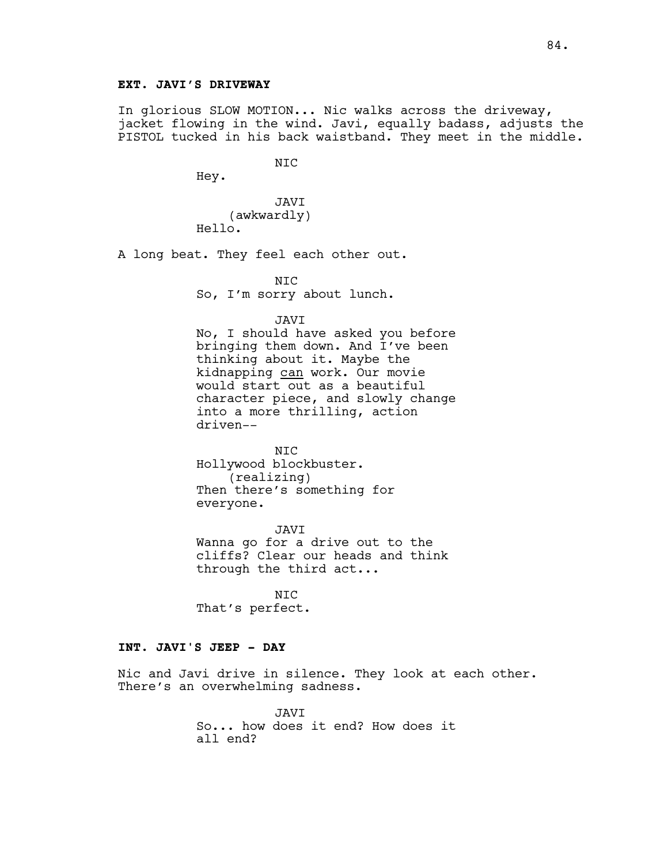In glorious SLOW MOTION... Nic walks across the driveway, jacket flowing in the wind. Javi, equally badass, adjusts the PISTOL tucked in his back waistband. They meet in the middle.

NIC

Hey.

JAVI (awkwardly) Hello.

A long beat. They feel each other out.

NIC

So, I'm sorry about lunch.

### JAVI

No, I should have asked you before bringing them down. And I've been thinking about it. Maybe the kidnapping can work. Our movie would start out as a beautiful character piece, and slowly change into a more thrilling, action driven--

NIC Hollywood blockbuster. (realizing) Then there's something for everyone.

JAVI Wanna go for a drive out to the cliffs? Clear our heads and think through the third act...

NIC That's perfect.

# **INT. JAVI'S JEEP - DAY**

Nic and Javi drive in silence. They look at each other. There's an overwhelming sadness.

> JAVI So... how does it end? How does it all end?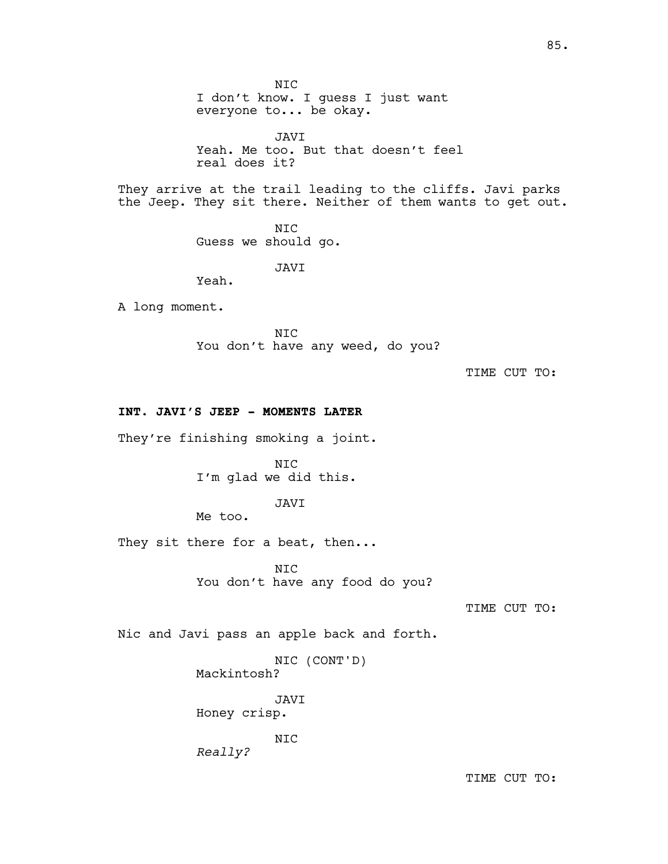NIC I don't know. I guess I just want everyone to... be okay. JAVI Yeah. Me too. But that doesn't feel real does it? They arrive at the trail leading to the cliffs. Javi parks the Jeep. They sit there. Neither of them wants to get out. NIC Guess we should go. JAVI Yeah. A long moment. NIC You don't have any weed, do you? TIME CUT TO: **INT. JAVI'S JEEP - MOMENTS LATER** They're finishing smoking a joint. NIC I'm glad we did this. JAVI

Me too.

They sit there for a beat, then...

NIC You don't have any food do you?

TIME CUT TO:

Nic and Javi pass an apple back and forth.

NIC (CONT'D) Mackintosh?

JAVI Honey crisp.

NIC

*Really?*

TIME CUT TO: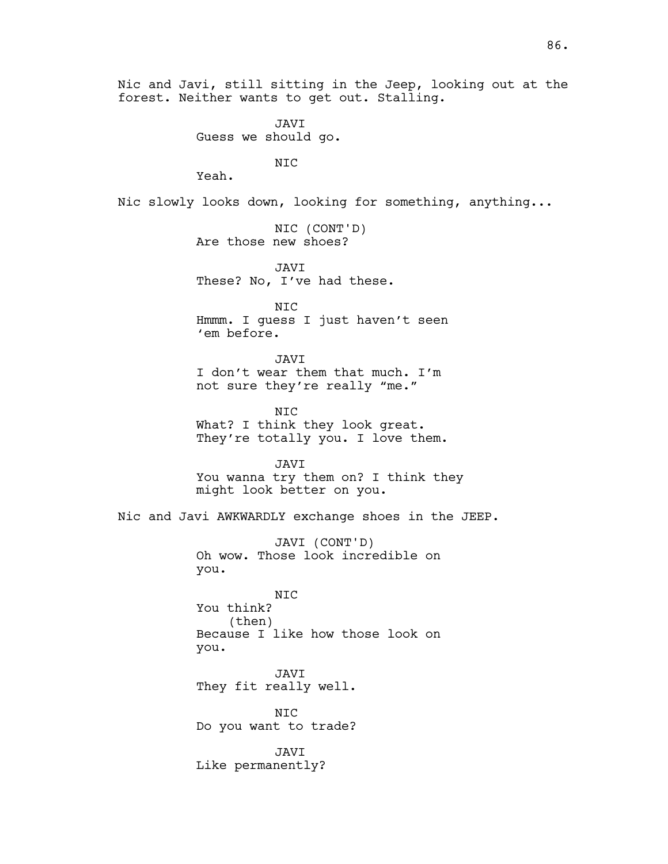Nic and Javi, still sitting in the Jeep, looking out at the forest. Neither wants to get out. Stalling.

> JAVI Guess we should go.

> > NIC

Yeah.

Nic slowly looks down, looking for something, anything...

NIC (CONT'D) Are those new shoes?

JAVI These? No, I've had these.

NIC Hmmm. I guess I just haven't seen 'em before.

JAVI I don't wear them that much. I'm not sure they're really "me."

NIC What? I think they look great. They're totally you. I love them.

JAVI You wanna try them on? I think they might look better on you.

Nic and Javi AWKWARDLY exchange shoes in the JEEP.

JAVI (CONT'D) Oh wow. Those look incredible on you.

NIC You think? (then) Because I like how those look on you.

JAVI They fit really well.

NIC Do you want to trade?

JAVI Like permanently?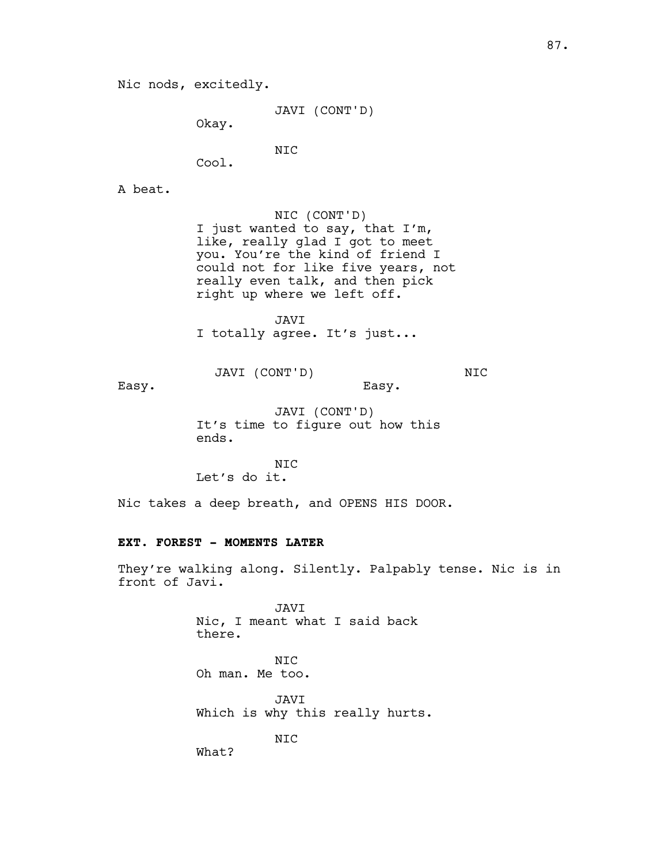Nic nods, excitedly.

JAVI (CONT'D)

Okay.

NIC

Cool.

A beat.

NIC (CONT'D) I just wanted to say, that I'm, like, really glad I got to meet you. You're the kind of friend I could not for like five years, not really even talk, and then pick right up where we left off.

JAVI I totally agree. It's just...

JAVI (CONT'D)

NIC

Easy.

JAVI (CONT'D) It's time to figure out how this ends.

Easy.

NIC Let's do it.

Nic takes a deep breath, and OPENS HIS DOOR.

# **EXT. FOREST - MOMENTS LATER**

They're walking along. Silently. Palpably tense. Nic is in front of Javi.

> JAVI Nic, I meant what I said back there.

NIC Oh man. Me too.

JAVI Which is why this really hurts.

NIC

What?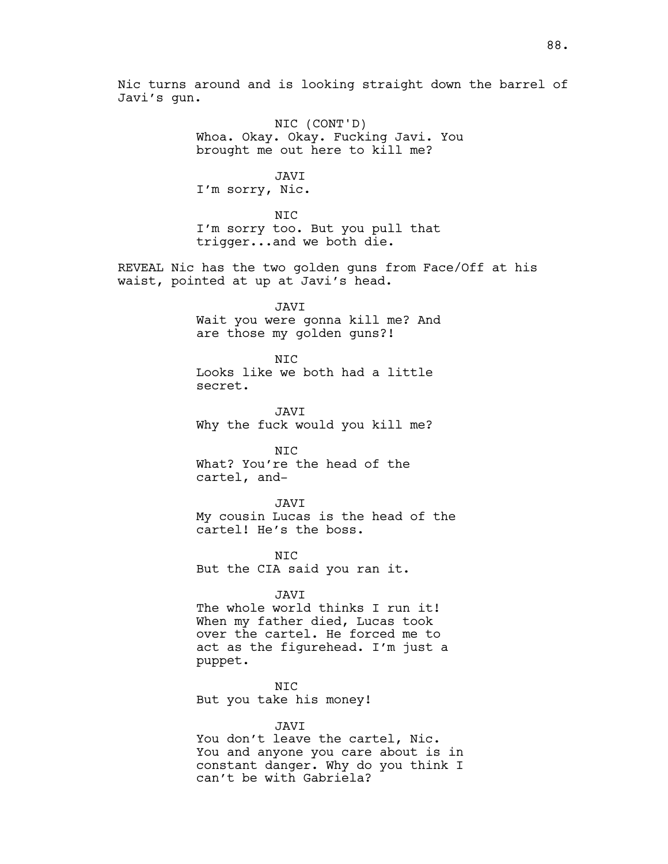Nic turns around and is looking straight down the barrel of Javi's gun.

> NIC (CONT'D) Whoa. Okay. Okay. Fucking Javi. You brought me out here to kill me?

> > JAVI

I'm sorry, Nic.

NIC I'm sorry too. But you pull that trigger...and we both die.

REVEAL Nic has the two golden guns from Face/Off at his waist, pointed at up at Javi's head.

JAVI

Wait you were gonna kill me? And are those my golden guns?!

NIC

Looks like we both had a little secret.

JAVI Why the fuck would you kill me?

NIC What? You're the head of the cartel, and-

JAVI

My cousin Lucas is the head of the cartel! He's the boss.

NIC But the CIA said you ran it.

#### JAVI

The whole world thinks I run it! When my father died, Lucas took over the cartel. He forced me to act as the figurehead. I'm just a puppet.

NIC But you take his money!

JAVI

You don't leave the cartel, Nic. You and anyone you care about is in constant danger. Why do you think I can't be with Gabriela?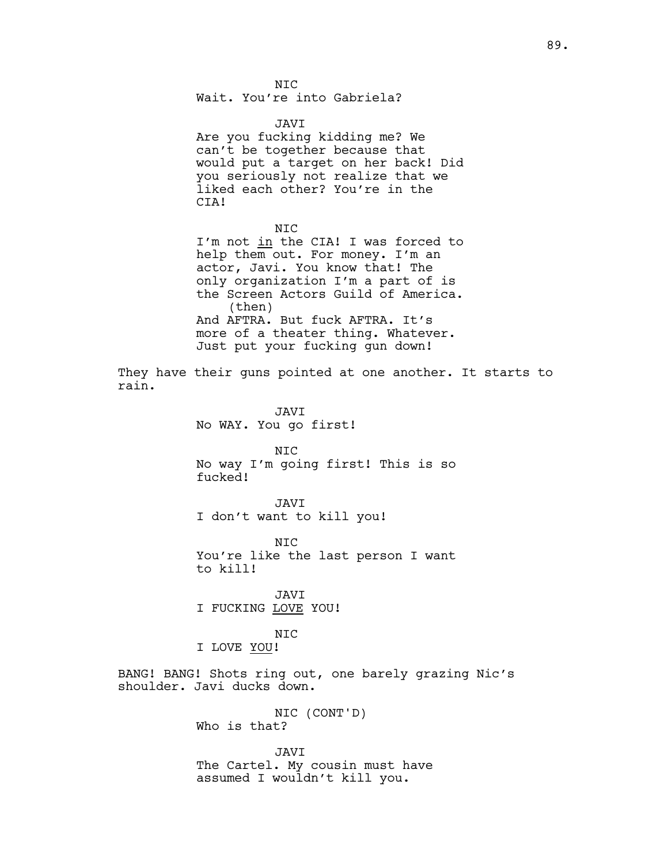Wait. You're into Gabriela?

#### JAVI

Are you fucking kidding me? We can't be together because that would put a target on her back! Did you seriously not realize that we liked each other? You're in the CIA!

#### NIC

I'm not in the CIA! I was forced to help them out. For money. I'm an actor, Javi. You know that! The only organization I'm a part of is the Screen Actors Guild of America. (then) And AFTRA. But fuck AFTRA. It's more of a theater thing. Whatever. Just put your fucking gun down!

They have their guns pointed at one another. It starts to rain.

> JAVI No WAY. You go first!

NIC No way I'm going first! This is so fucked!

JAVI I don't want to kill you!

NIC You're like the last person I want to kill!

JAVI I FUCKING LOVE YOU!

## NIC

I LOVE YOU!

BANG! BANG! Shots ring out, one barely grazing Nic's shoulder. Javi ducks down.

> NIC (CONT'D) Who is that?

JAVI The Cartel. My cousin must have assumed I wouldn't kill you.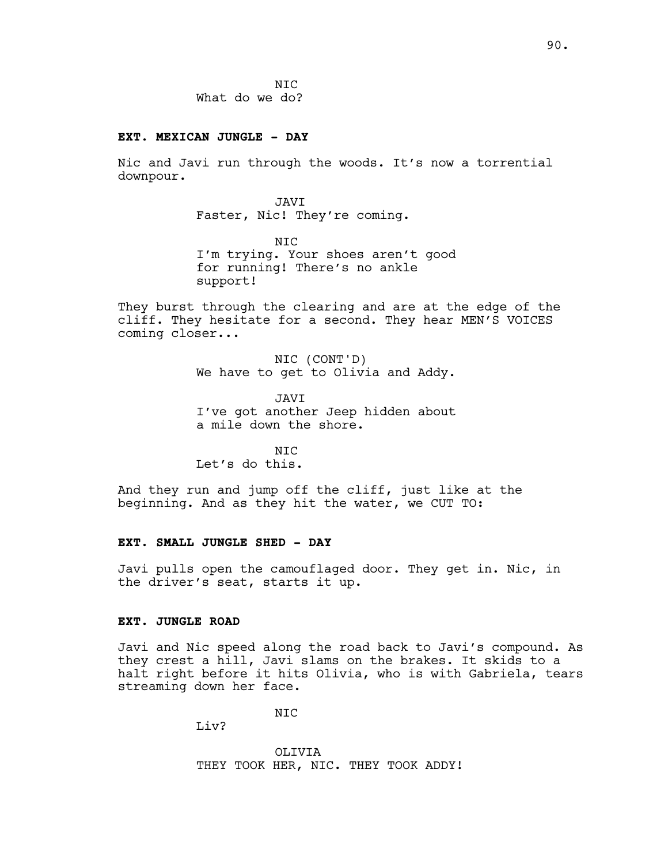N<sub>TC</sub> What do we do?

#### **EXT. MEXICAN JUNGLE - DAY**

Nic and Javi run through the woods. It's now a torrential downpour.

> JAVI Faster, Nic! They're coming.

NIC I'm trying. Your shoes aren't good for running! There's no ankle support!

They burst through the clearing and are at the edge of the cliff. They hesitate for a second. They hear MEN'S VOICES coming closer...

> NIC (CONT'D) We have to get to Olivia and Addy.

> JAVI I've got another Jeep hidden about a mile down the shore.

N<sub>TC</sub> Let's do this.

And they run and jump off the cliff, just like at the beginning. And as they hit the water, we CUT TO:

#### **EXT. SMALL JUNGLE SHED - DAY**

Javi pulls open the camouflaged door. They get in. Nic, in the driver's seat, starts it up.

#### **EXT. JUNGLE ROAD**

Javi and Nic speed along the road back to Javi's compound. As they crest a hill, Javi slams on the brakes. It skids to a halt right before it hits Olivia, who is with Gabriela, tears streaming down her face.

NIC

Liv?

OLIVIA THEY TOOK HER, NIC. THEY TOOK ADDY!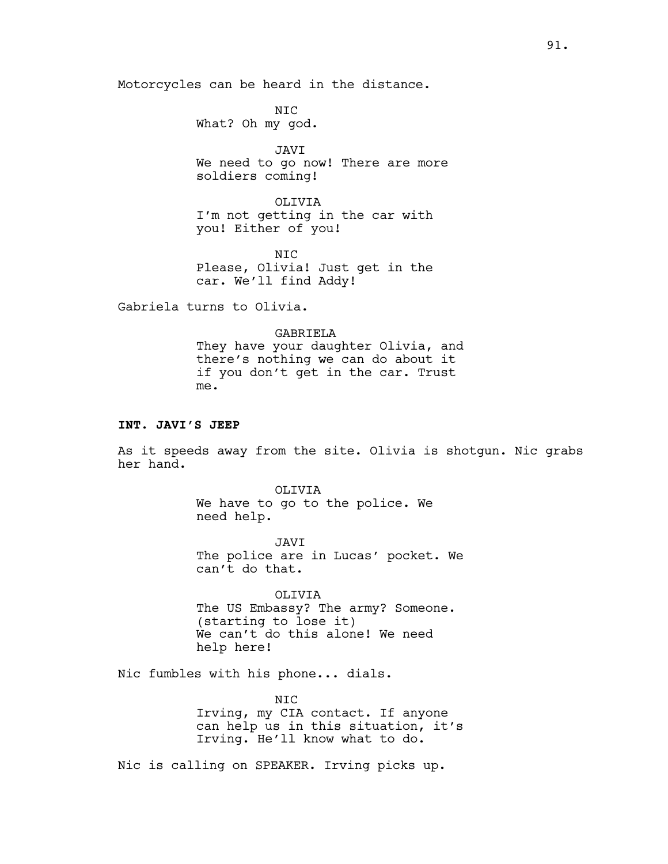Motorcycles can be heard in the distance.

NIC What? Oh my god.

JAVI We need to go now! There are more soldiers coming!

OLIVIA I'm not getting in the car with you! Either of you!

N<sub>TC</sub> Please, Olivia! Just get in the car. We'll find Addy!

Gabriela turns to Olivia.

GABRIELA They have your daughter Olivia, and there's nothing we can do about it if you don't get in the car. Trust me.

#### **INT. JAVI'S JEEP**

As it speeds away from the site. Olivia is shotgun. Nic grabs her hand.

> OLIVIA We have to go to the police. We need help.

JAVI The police are in Lucas' pocket. We can't do that.

OLIVIA The US Embassy? The army? Someone. (starting to lose it) We can't do this alone! We need help here!

Nic fumbles with his phone... dials.

NIC Irving, my CIA contact. If anyone can help us in this situation, it's Irving. He'll know what to do.

Nic is calling on SPEAKER. Irving picks up.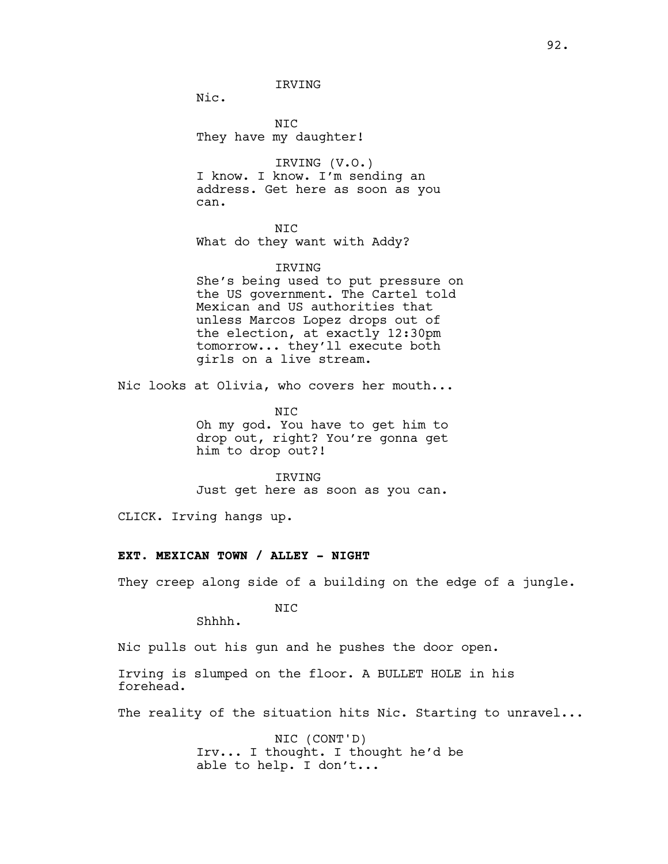IRVING

Nic.

NIC They have my daughter!

IRVING (V.O.) I know. I know. I'm sending an address. Get here as soon as you can.

NIC What do they want with Addy?

#### IRVING

She's being used to put pressure on the US government. The Cartel told Mexican and US authorities that unless Marcos Lopez drops out of the election, at exactly 12:30pm tomorrow... they'll execute both girls on a live stream.

Nic looks at Olivia, who covers her mouth...

NIC Oh my god. You have to get him to drop out, right? You're gonna get him to drop out?!

IRVING Just get here as soon as you can.

CLICK. Irving hangs up.

## **EXT. MEXICAN TOWN / ALLEY - NIGHT**

They creep along side of a building on the edge of a jungle.

NIC

Shhhh.

Nic pulls out his gun and he pushes the door open.

Irving is slumped on the floor. A BULLET HOLE in his forehead.

The reality of the situation hits Nic. Starting to unravel...

NIC (CONT'D) Irv... I thought. I thought he'd be able to help. I don't...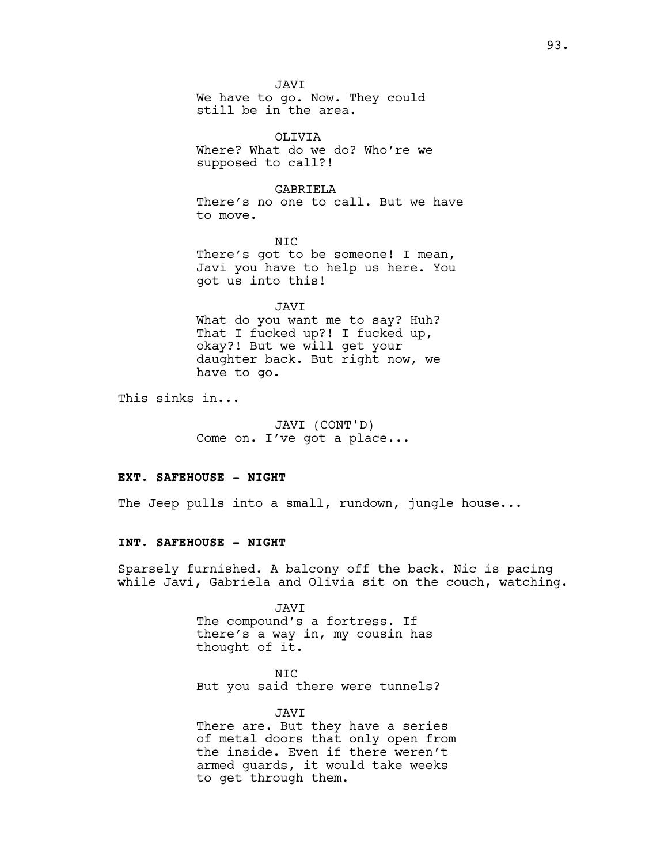JAVI We have to go. Now. They could still be in the area.

OLIVIA Where? What do we do? Who're we supposed to call?!

GABRIELA There's no one to call. But we have to move.

NIC There's got to be someone! I mean, Javi you have to help us here. You got us into this!

JAVI

What do you want me to say? Huh? That I fucked up?! I fucked up, okay?! But we will get your daughter back. But right now, we have to go.

This sinks in...

JAVI (CONT'D) Come on. I've got a place...

#### **EXT. SAFEHOUSE - NIGHT**

The Jeep pulls into a small, rundown, jungle house...

## **INT. SAFEHOUSE - NIGHT**

Sparsely furnished. A balcony off the back. Nic is pacing while Javi, Gabriela and Olivia sit on the couch, watching.

> JAVI The compound's a fortress. If there's a way in, my cousin has thought of it.

NIC But you said there were tunnels?

JAVI There are. But they have a series of metal doors that only open from the inside. Even if there weren't armed guards, it would take weeks to get through them.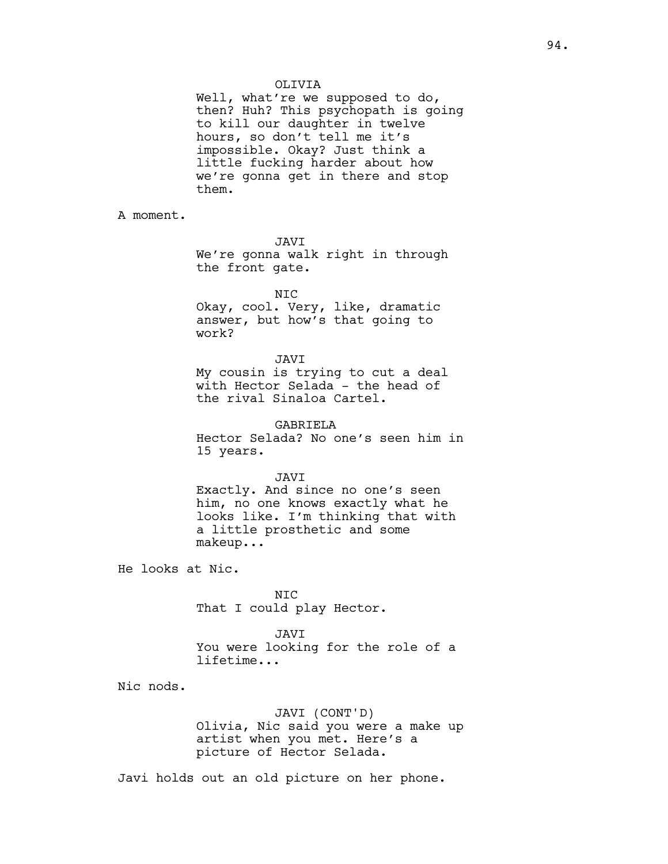OLIVIA

Well, what're we supposed to do, then? Huh? This psychopath is going to kill our daughter in twelve hours, so don't tell me it's impossible. Okay? Just think a little fucking harder about how we're gonna get in there and stop them.

A moment.

JAVI

We're gonna walk right in through the front gate.

NIC

Okay, cool. Very, like, dramatic answer, but how's that going to work?

#### JAVI

My cousin is trying to cut a deal with Hector Selada - the head of the rival Sinaloa Cartel.

GABRIELA Hector Selada? No one's seen him in

15 years.

JAVI

Exactly. And since no one's seen him, no one knows exactly what he looks like. I'm thinking that with a little prosthetic and some makeup...

He looks at Nic.

NIC That I could play Hector.

JAVI You were looking for the role of a lifetime...

Nic nods.

JAVI (CONT'D) Olivia, Nic said you were a make up artist when you met. Here's a picture of Hector Selada.

Javi holds out an old picture on her phone.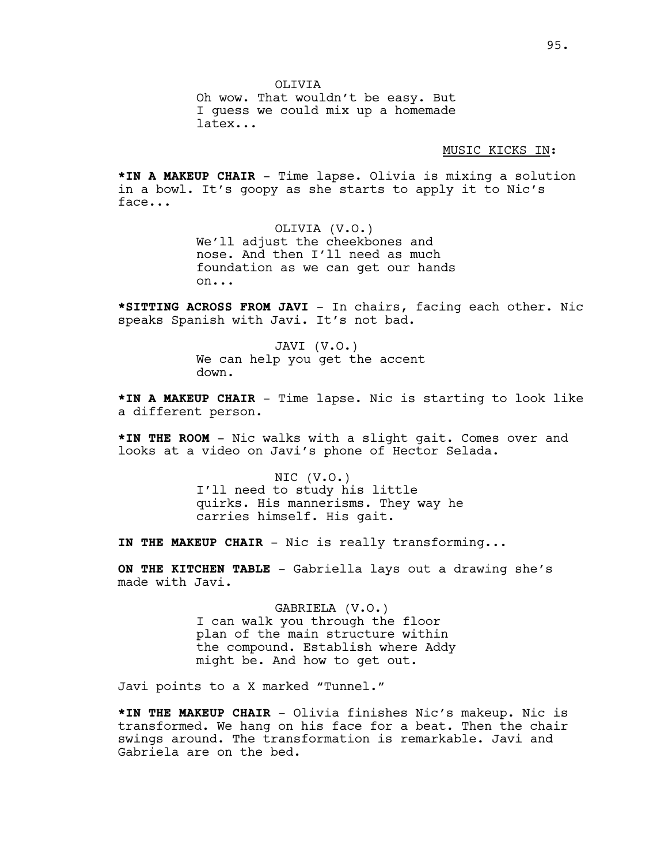OLIVIA Oh wow. That wouldn't be easy. But I guess we could mix up a homemade latex...

MUSIC KICKS IN:

**\*IN A MAKEUP CHAIR** - Time lapse. Olivia is mixing a solution in a bowl. It's goopy as she starts to apply it to Nic's face...

> OLIVIA (V.O.) We'll adjust the cheekbones and nose. And then I'll need as much foundation as we can get our hands on...

**\*SITTING ACROSS FROM JAVI** - In chairs, facing each other. Nic speaks Spanish with Javi. It's not bad.

> JAVI (V.O.) We can help you get the accent down.

**\*IN A MAKEUP CHAIR** - Time lapse. Nic is starting to look like a different person.

**\*IN THE ROOM** - Nic walks with a slight gait. Comes over and looks at a video on Javi's phone of Hector Selada.

> NIC (V.O.) I'll need to study his little quirks. His mannerisms. They way he carries himself. His gait.

**IN THE MAKEUP CHAIR** - Nic is really transforming...

**ON THE KITCHEN TABLE** - Gabriella lays out a drawing she's made with Javi.

> GABRIELA (V.O.) I can walk you through the floor plan of the main structure within the compound. Establish where Addy might be. And how to get out.

Javi points to a X marked "Tunnel."

**\*IN THE MAKEUP CHAIR** - Olivia finishes Nic's makeup. Nic is transformed. We hang on his face for a beat. Then the chair swings around. The transformation is remarkable. Javi and Gabriela are on the bed.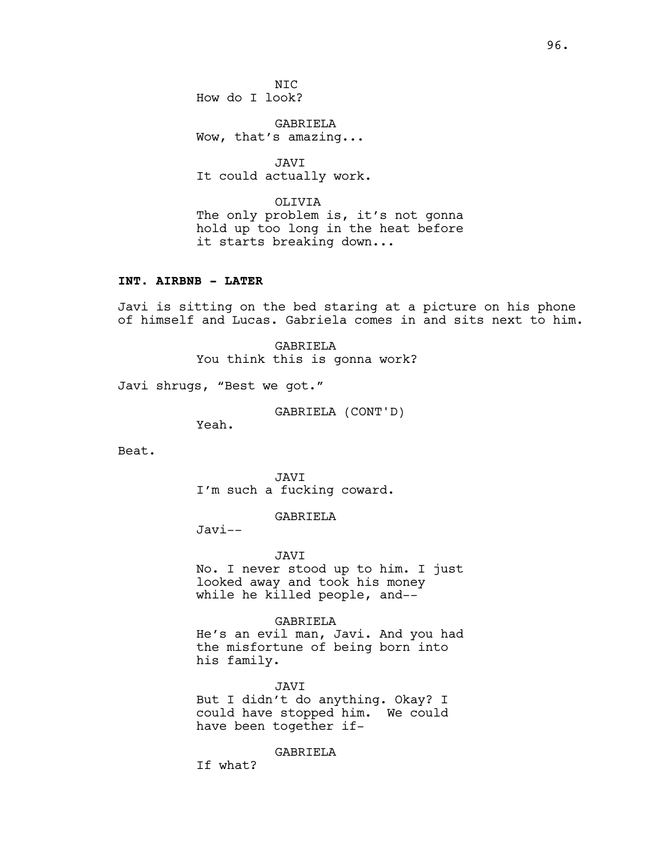N<sub>TC</sub> How do I look?

GABRIELA Wow, that's amazing...

JAVI It could actually work.

OLIVIA The only problem is, it's not gonna hold up too long in the heat before it starts breaking down...

## **INT. AIRBNB - LATER**

Javi is sitting on the bed staring at a picture on his phone of himself and Lucas. Gabriela comes in and sits next to him.

> GABRIELA You think this is gonna work?

Javi shrugs, "Best we got."

GABRIELA (CONT'D)

Yeah.

Beat.

JAVI I'm such a fucking coward.

GABRIELA

Javi--

JAVI

No. I never stood up to him. I just looked away and took his money while he killed people, and--

GABRIELA

He's an evil man, Javi. And you had the misfortune of being born into his family.

JAVI But I didn't do anything. Okay? I could have stopped him. We could have been together if-

GABRIELA

If what?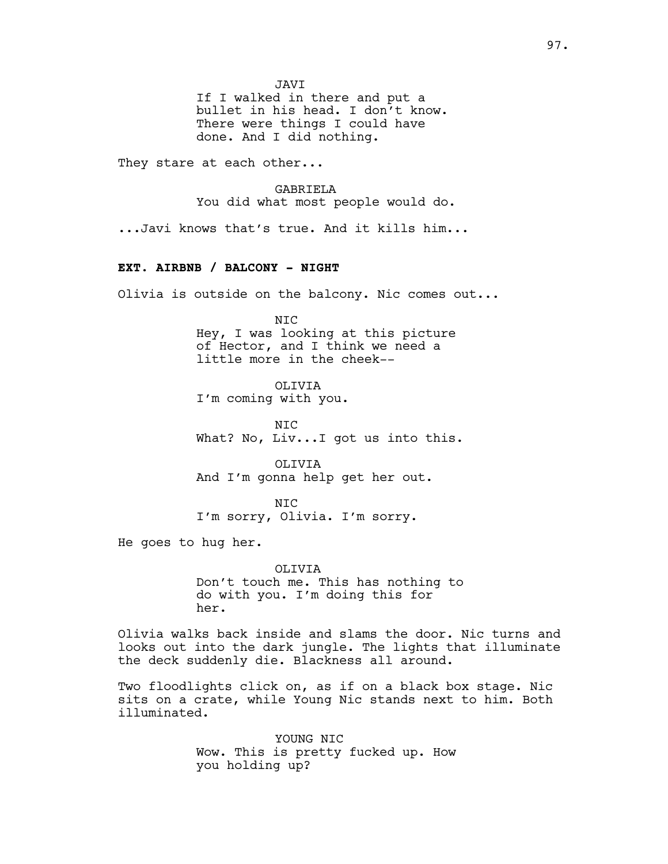JAVI

If I walked in there and put a bullet in his head. I don't know. There were things I could have done. And I did nothing.

They stare at each other...

GABRIELA

You did what most people would do.

...Javi knows that's true. And it kills him...

## **EXT. AIRBNB / BALCONY - NIGHT**

Olivia is outside on the balcony. Nic comes out...

NIC Hey, I was looking at this picture of Hector, and I think we need a little more in the cheek--

OLIVIA I'm coming with you.

N<sub>TC</sub> What? No, Liv...I got us into this.

OLIVIA And I'm gonna help get her out.

NIC I'm sorry, Olivia. I'm sorry.

He goes to hug her.

OLIVIA Don't touch me. This has nothing to do with you. I'm doing this for her.

Olivia walks back inside and slams the door. Nic turns and looks out into the dark jungle. The lights that illuminate the deck suddenly die. Blackness all around.

Two floodlights click on, as if on a black box stage. Nic sits on a crate, while Young Nic stands next to him. Both illuminated.

> YOUNG NIC Wow. This is pretty fucked up. How you holding up?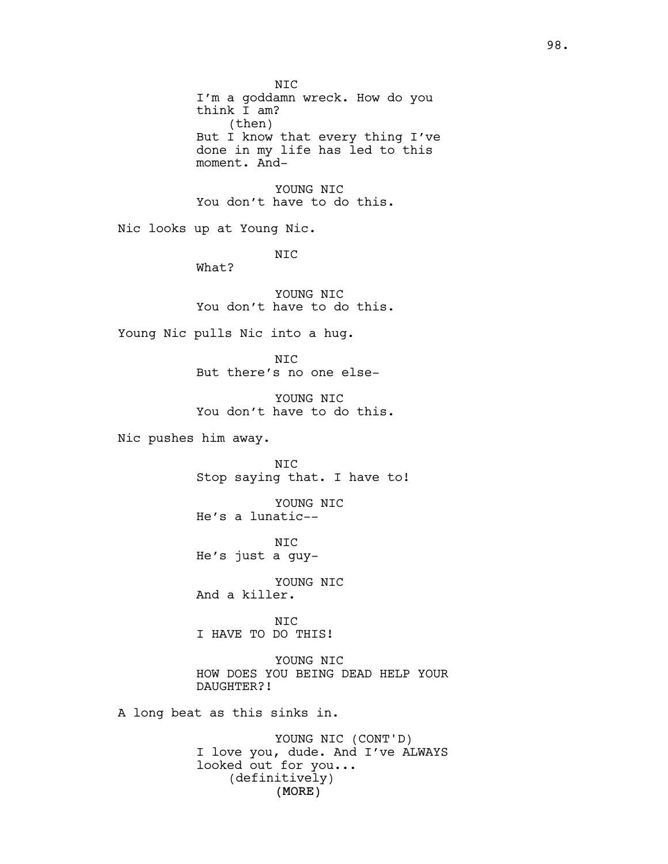(MORE) NIC I'm a goddamn wreck. How do you think I am? (then) But I know that every thing I've done in my life has led to this moment. And-YOUNG NIC You don't have to do this. Nic looks up at Young Nic. NIC What? YOUNG NIC You don't have to do this. Young Nic pulls Nic into a hug. NIC But there's no one else-YOUNG NIC You don't have to do this. Nic pushes him away. NIC Stop saying that. I have to! YOUNG NIC He's a lunatic-- NIC He's just a guy-YOUNG NIC And a killer. NIC I HAVE TO DO THIS! YOUNG NIC HOW DOES YOU BEING DEAD HELP YOUR DAUGHTER?! A long beat as this sinks in. YOUNG NIC (CONT'D) I love you, dude. And I've ALWAYS looked out for you... (definitively)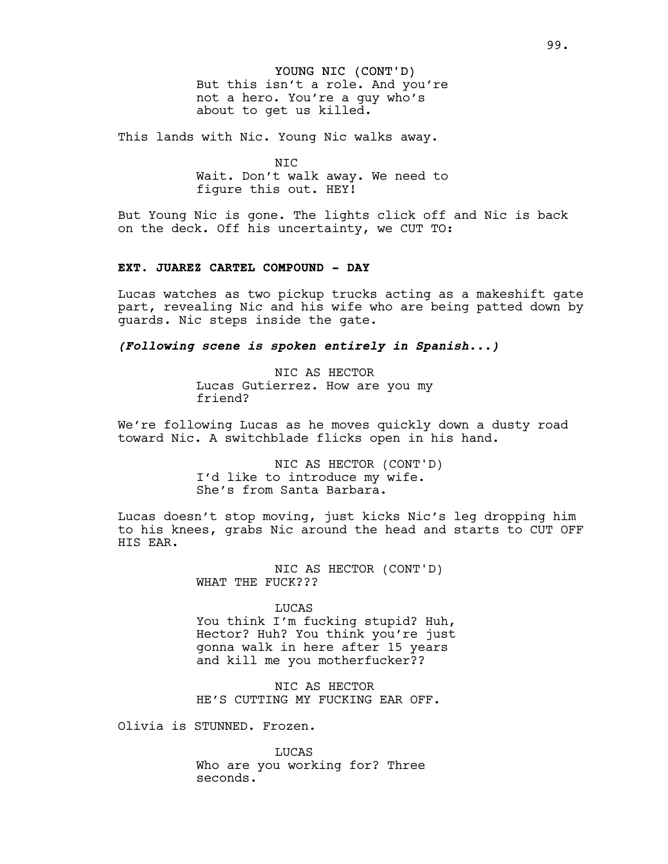# YOUNG NIC (CONT'D)

But this isn't a role. And you're not a hero. You're a guy who's about to get us killed.

This lands with Nic. Young Nic walks away.

NIC Wait. Don't walk away. We need to figure this out. HEY!

But Young Nic is gone. The lights click off and Nic is back on the deck. Off his uncertainty, we CUT TO:

## **EXT. JUAREZ CARTEL COMPOUND - DAY**

Lucas watches as two pickup trucks acting as a makeshift gate part, revealing Nic and his wife who are being patted down by guards. Nic steps inside the gate.

*(Following scene is spoken entirely in Spanish...)*

NIC AS HECTOR Lucas Gutierrez. How are you my friend?

We're following Lucas as he moves quickly down a dusty road toward Nic. A switchblade flicks open in his hand.

> NIC AS HECTOR (CONT'D) I'd like to introduce my wife. She's from Santa Barbara.

Lucas doesn't stop moving, just kicks Nic's leg dropping him to his knees, grabs Nic around the head and starts to CUT OFF HIS EAR.

> NIC AS HECTOR (CONT'D) WHAT THE FUCK???

> > LUCAS

You think I'm fucking stupid? Huh, Hector? Huh? You think you're just gonna walk in here after 15 years and kill me you motherfucker??

NIC AS HECTOR HE'S CUTTING MY FUCKING EAR OFF.

Olivia is STUNNED. Frozen.

LUCAS Who are you working for? Three seconds.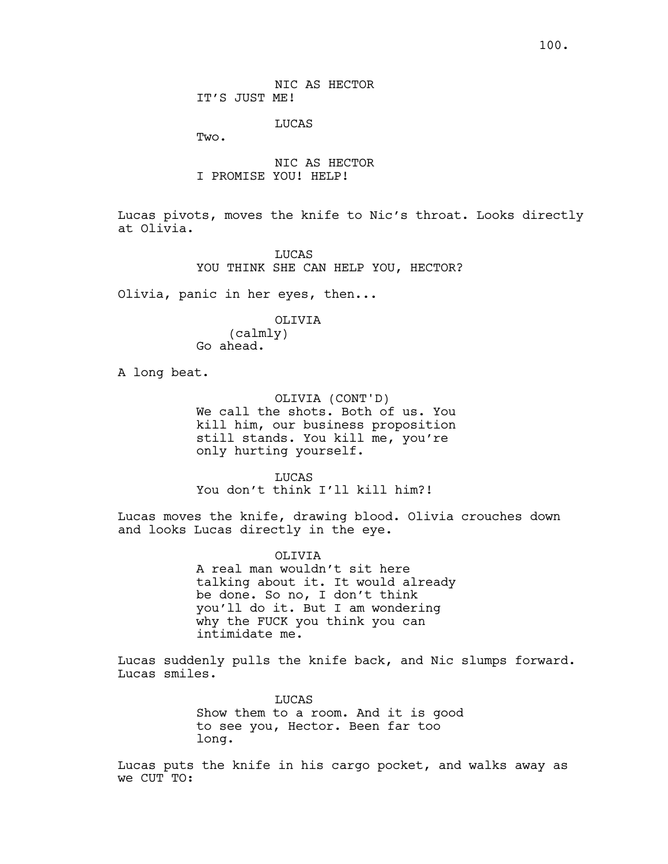NIC AS HECTOR IT'S JUST ME!

LUCAS

Two.

NIC AS HECTOR I PROMISE YOU! HELP!

Lucas pivots, moves the knife to Nic's throat. Looks directly at Olivia.

> **LUCAS** YOU THINK SHE CAN HELP YOU, HECTOR?

Olivia, panic in her eyes, then...

OLIVIA

(calmly) Go ahead.

A long beat.

OLIVIA (CONT'D) We call the shots. Both of us. You kill him, our business proposition still stands. You kill me, you're only hurting yourself.

LUCAS You don't think I'll kill him?!

Lucas moves the knife, drawing blood. Olivia crouches down and looks Lucas directly in the eye.

OLIVIA

A real man wouldn't sit here talking about it. It would already be done. So no, I don't think you'll do it. But I am wondering why the FUCK you think you can intimidate me.

Lucas suddenly pulls the knife back, and Nic slumps forward. Lucas smiles.

> LUCAS Show them to a room. And it is good to see you, Hector. Been far too long.

Lucas puts the knife in his cargo pocket, and walks away as we CUT TO: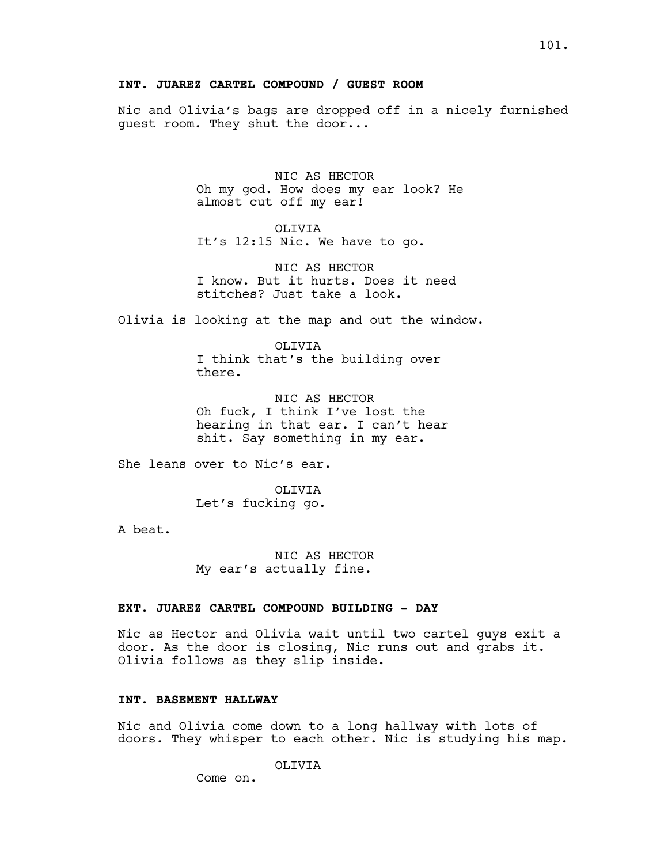## **INT. JUAREZ CARTEL COMPOUND / GUEST ROOM**

Nic and Olivia's bags are dropped off in a nicely furnished guest room. They shut the door...

> NIC AS HECTOR Oh my god. How does my ear look? He almost cut off my ear!

OLIVIA It's 12:15 Nic. We have to go.

NIC AS HECTOR I know. But it hurts. Does it need stitches? Just take a look.

Olivia is looking at the map and out the window.

OLIVIA I think that's the building over there.

NIC AS HECTOR Oh fuck, I think I've lost the hearing in that ear. I can't hear shit. Say something in my ear.

She leans over to Nic's ear.

OLIVIA Let's fucking go.

A beat.

NIC AS HECTOR My ear's actually fine.

#### **EXT. JUAREZ CARTEL COMPOUND BUILDING - DAY**

Nic as Hector and Olivia wait until two cartel guys exit a door. As the door is closing, Nic runs out and grabs it. Olivia follows as they slip inside.

## **INT. BASEMENT HALLWAY**

Nic and Olivia come down to a long hallway with lots of doors. They whisper to each other. Nic is studying his map.

OLIVIA

Come on.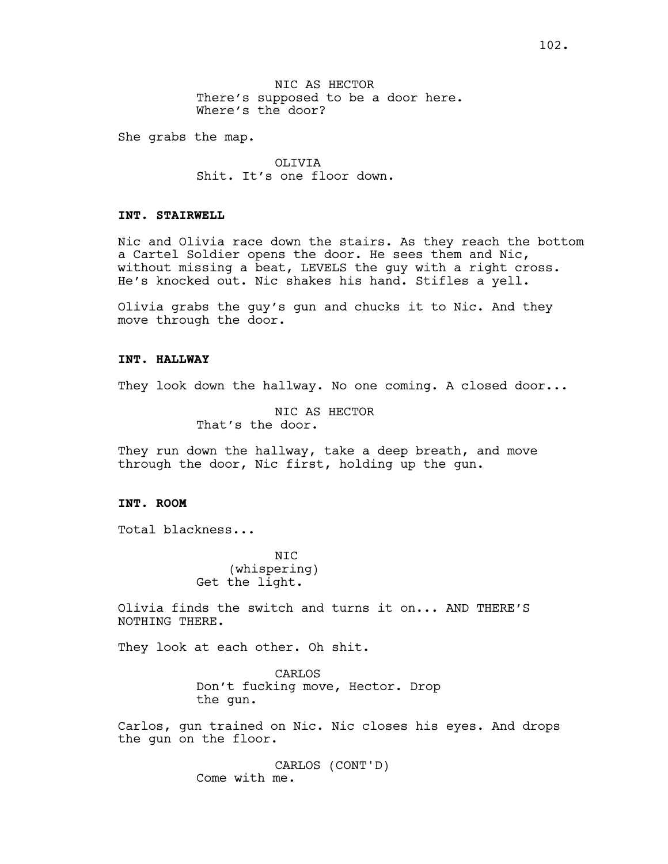NIC AS HECTOR There's supposed to be a door here. Where's the door?

She grabs the map.

OLIVIA Shit. It's one floor down.

# **INT. STAIRWELL**

Nic and Olivia race down the stairs. As they reach the bottom a Cartel Soldier opens the door. He sees them and Nic, without missing a beat, LEVELS the guy with a right cross. He's knocked out. Nic shakes his hand. Stifles a yell.

Olivia grabs the guy's gun and chucks it to Nic. And they move through the door.

#### **INT. HALLWAY**

They look down the hallway. No one coming. A closed door...

NIC AS HECTOR That's the door.

They run down the hallway, take a deep breath, and move through the door, Nic first, holding up the gun.

# **INT. ROOM**

Total blackness...

NIC (whispering) Get the light.

Olivia finds the switch and turns it on... AND THERE'S NOTHING THERE.

They look at each other. Oh shit.

CARLOS Don't fucking move, Hector. Drop the gun.

Carlos, gun trained on Nic. Nic closes his eyes. And drops the gun on the floor.

> CARLOS (CONT'D) Come with me.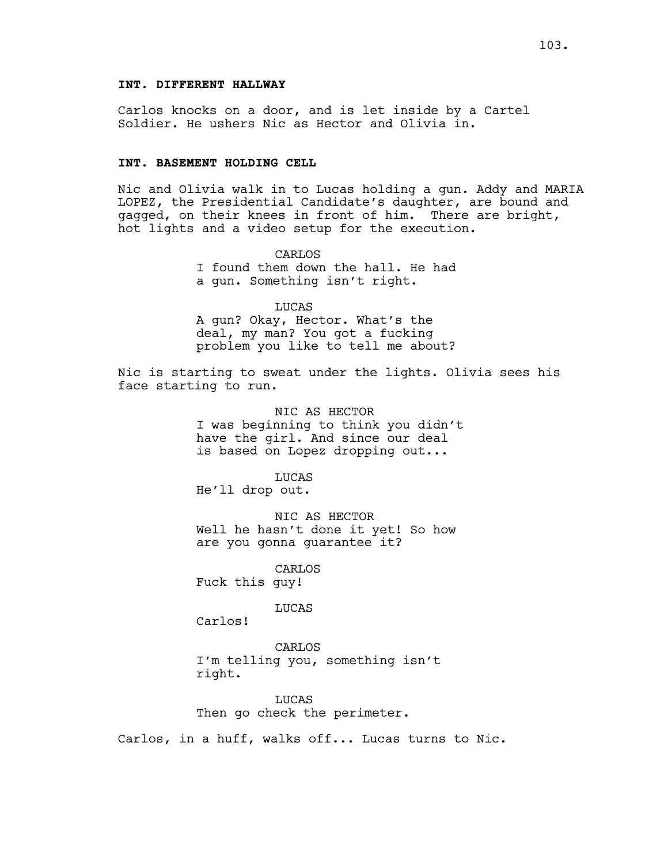# **INT. DIFFERENT HALLWAY**

Carlos knocks on a door, and is let inside by a Cartel Soldier. He ushers Nic as Hector and Olivia in.

# **INT. BASEMENT HOLDING CELL**

Nic and Olivia walk in to Lucas holding a gun. Addy and MARIA LOPEZ, the Presidential Candidate's daughter, are bound and gagged, on their knees in front of him. There are bright, hot lights and a video setup for the execution.

> CARLOS I found them down the hall. He had a gun. Something isn't right.

> LUCAS A gun? Okay, Hector. What's the deal, my man? You got a fucking problem you like to tell me about?

Nic is starting to sweat under the lights. Olivia sees his face starting to run.

> NIC AS HECTOR I was beginning to think you didn't have the girl. And since our deal is based on Lopez dropping out...

LUCAS He'll drop out.

NIC AS HECTOR Well he hasn't done it yet! So how are you gonna guarantee it?

CARLOS Fuck this guy!

LUCAS

Carlos!

CARLOS I'm telling you, something isn't right.

LUCAS Then go check the perimeter.

Carlos, in a huff, walks off... Lucas turns to Nic.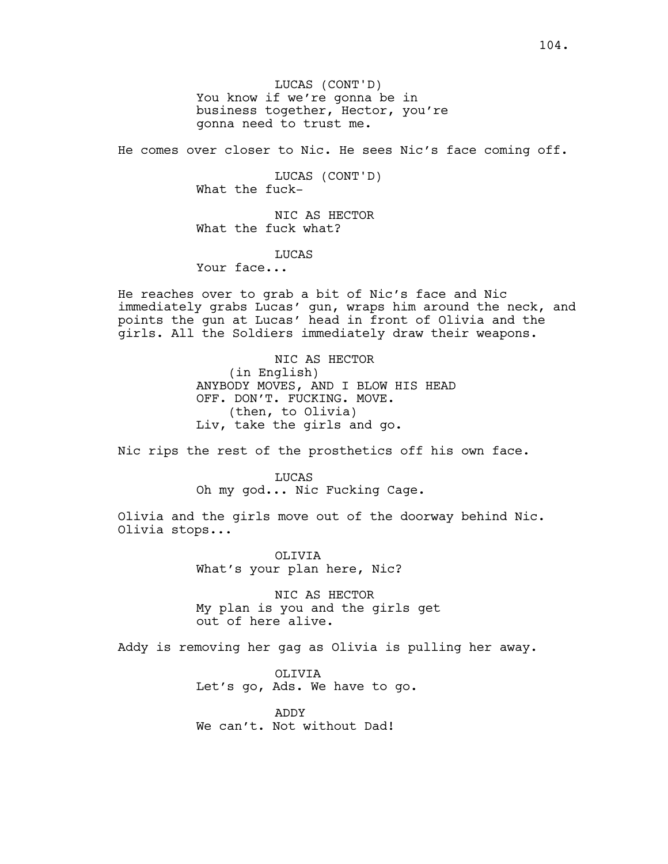LUCAS (CONT'D) You know if we're gonna be in business together, Hector, you're gonna need to trust me.

He comes over closer to Nic. He sees Nic's face coming off.

LUCAS (CONT'D) What the fuck-

NIC AS HECTOR What the fuck what?

## **LUCAS**

Your face...

He reaches over to grab a bit of Nic's face and Nic immediately grabs Lucas' gun, wraps him around the neck, and points the gun at Lucas' head in front of Olivia and the girls. All the Soldiers immediately draw their weapons.

> NIC AS HECTOR (in English) ANYBODY MOVES, AND I BLOW HIS HEAD OFF. DON'T. FUCKING. MOVE. (then, to Olivia) Liv, take the girls and go.

Nic rips the rest of the prosthetics off his own face.

## LUCAS Oh my god... Nic Fucking Cage.

Olivia and the girls move out of the doorway behind Nic. Olivia stops...

> OLIVIA What's your plan here, Nic?

NIC AS HECTOR My plan is you and the girls get out of here alive.

Addy is removing her gag as Olivia is pulling her away.

OLIVIA Let's go, Ads. We have to go.

ADDY We can't. Not without Dad!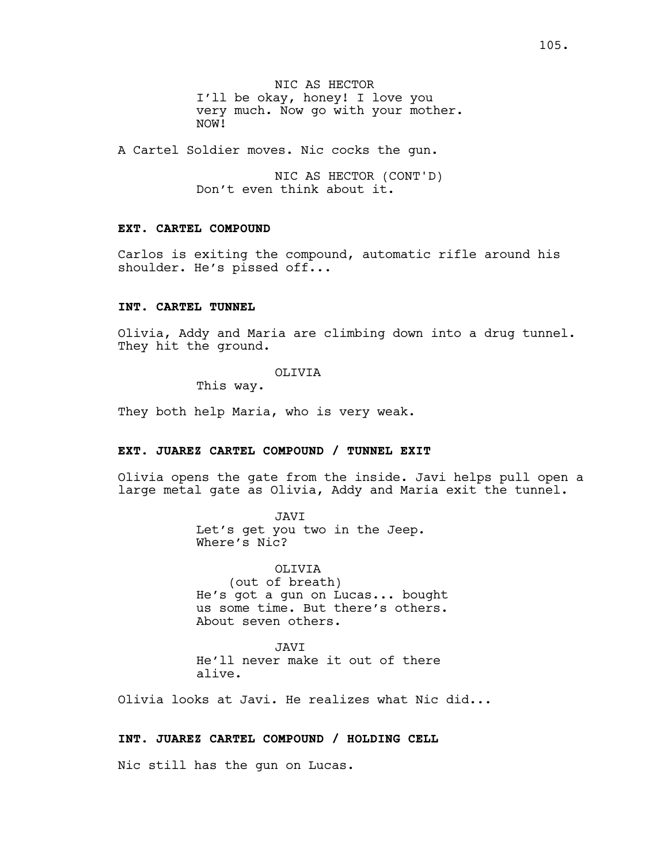NIC AS HECTOR I'll be okay, honey! I love you very much. Now go with your mother. NOW!

A Cartel Soldier moves. Nic cocks the gun.

NIC AS HECTOR (CONT'D) Don't even think about it.

# **EXT. CARTEL COMPOUND**

Carlos is exiting the compound, automatic rifle around his shoulder. He's pissed off...

## **INT. CARTEL TUNNEL**

Olivia, Addy and Maria are climbing down into a drug tunnel. They hit the ground.

# OLIVIA

This way.

They both help Maria, who is very weak.

## **EXT. JUAREZ CARTEL COMPOUND / TUNNEL EXIT**

Olivia opens the gate from the inside. Javi helps pull open a large metal gate as Olivia, Addy and Maria exit the tunnel.

> JAVI Let's get you two in the Jeep. Where's Nic?

OLIVIA (out of breath) He's got a gun on Lucas... bought us some time. But there's others. About seven others.

JAVI He'll never make it out of there alive.

Olivia looks at Javi. He realizes what Nic did...

# **INT. JUAREZ CARTEL COMPOUND / HOLDING CELL**

Nic still has the gun on Lucas.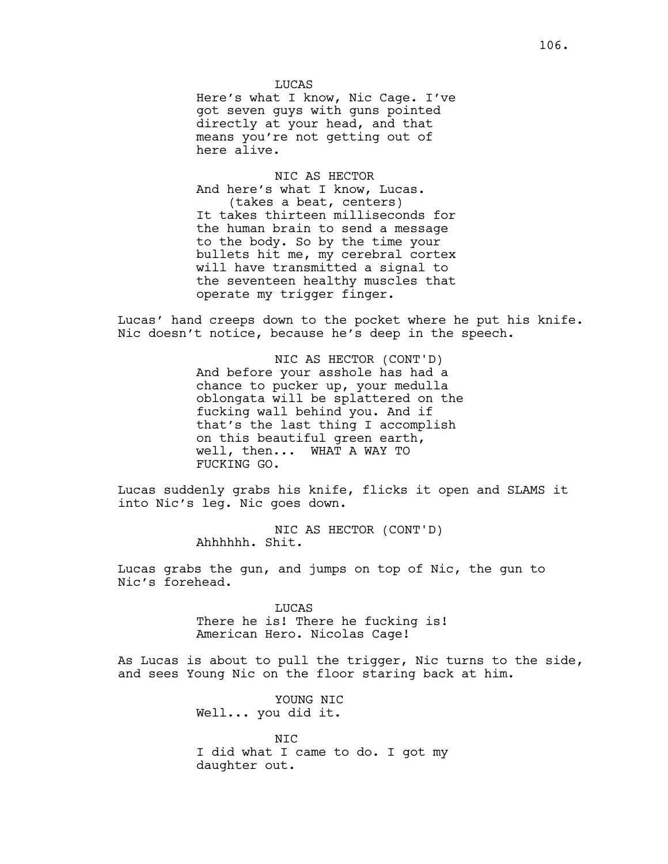#### **LUCAS**

Here's what I know, Nic Cage. I've got seven guys with guns pointed directly at your head, and that means you're not getting out of here alive.

NIC AS HECTOR And here's what I know, Lucas. (takes a beat, centers) It takes thirteen milliseconds for the human brain to send a message to the body. So by the time your bullets hit me, my cerebral cortex will have transmitted a signal to the seventeen healthy muscles that operate my trigger finger.

Lucas' hand creeps down to the pocket where he put his knife. Nic doesn't notice, because he's deep in the speech.

> NIC AS HECTOR (CONT'D) And before your asshole has had a chance to pucker up, your medulla oblongata will be splattered on the fucking wall behind you. And if that's the last thing I accomplish on this beautiful green earth, well, then... WHAT A WAY TO FUCKING GO.

Lucas suddenly grabs his knife, flicks it open and SLAMS it into Nic's leg. Nic goes down.

> NIC AS HECTOR (CONT'D) Ahhhhhh. Shit.

Lucas grabs the gun, and jumps on top of Nic, the gun to Nic's forehead.

> LUCAS There he is! There he fucking is! American Hero. Nicolas Cage!

As Lucas is about to pull the trigger, Nic turns to the side, and sees Young Nic on the floor staring back at him.

> YOUNG NIC Well... you did it.

NIC I did what I came to do. I got my daughter out.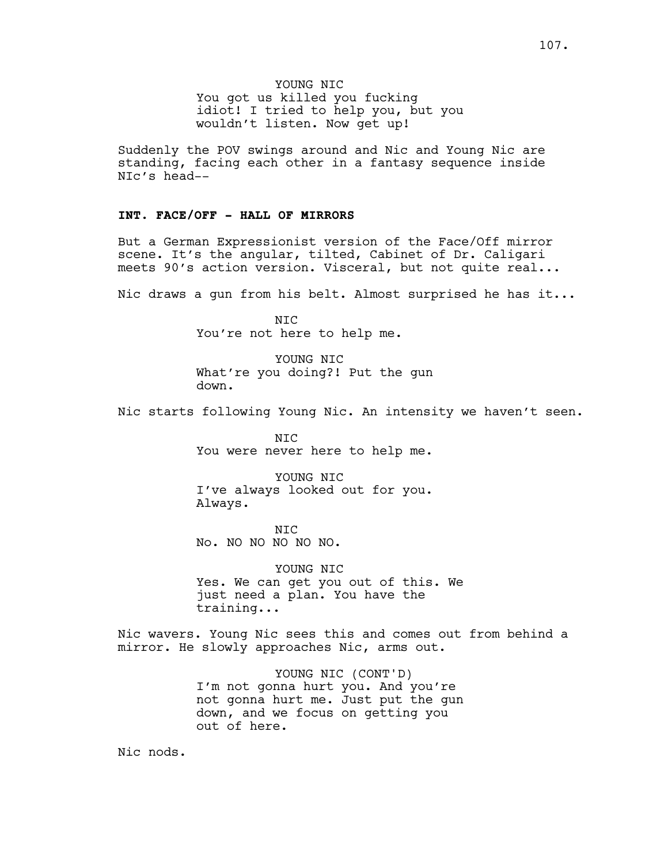YOUNG NIC You got us killed you fucking idiot! I tried to help you, but you wouldn't listen. Now get up!

Suddenly the POV swings around and Nic and Young Nic are standing, facing each other in a fantasy sequence inside NIc's head--

# **INT. FACE/OFF - HALL OF MIRRORS**

But a German Expressionist version of the Face/Off mirror scene. It's the angular, tilted, Cabinet of Dr. Caligari meets 90's action version. Visceral, but not quite real...

Nic draws a gun from his belt. Almost surprised he has it...

NIC You're not here to help me.

YOUNG NIC What're you doing?! Put the gun down.

Nic starts following Young Nic. An intensity we haven't seen.

NIC You were never here to help me.

YOUNG NIC I've always looked out for you. Always.

NIC No. NO NO NO NO NO.

YOUNG NIC Yes. We can get you out of this. We just need a plan. You have the training...

Nic wavers. Young Nic sees this and comes out from behind a mirror. He slowly approaches Nic, arms out.

> YOUNG NIC (CONT'D) I'm not gonna hurt you. And you're not gonna hurt me. Just put the gun down, and we focus on getting you out of here.

Nic nods.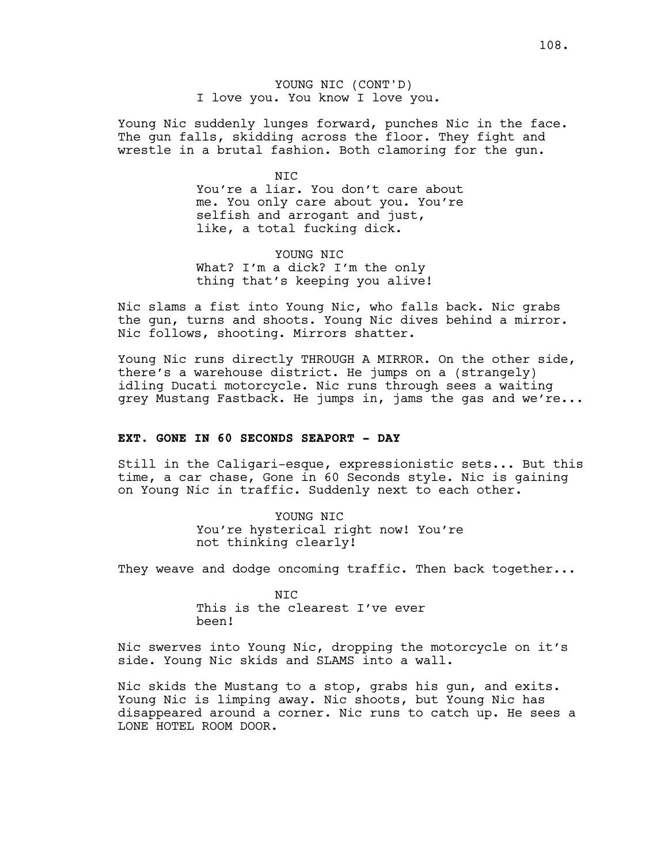YOUNG NIC (CONT'D) I love you. You know I love you.

Young Nic suddenly lunges forward, punches Nic in the face. The gun falls, skidding across the floor. They fight and wrestle in a brutal fashion. Both clamoring for the gun.

> $NTC$ You're a liar. You don't care about me. You only care about you. You're selfish and arrogant and just, like, a total fucking dick.

YOUNG NIC What? I'm a dick? I'm the only thing that's keeping you alive!

Nic slams a fist into Young Nic, who falls back. Nic grabs the gun, turns and shoots. Young Nic dives behind a mirror. Nic follows, shooting. Mirrors shatter.

Young Nic runs directly THROUGH A MIRROR. On the other side, there's a warehouse district. He jumps on a (strangely) idling Ducati motorcycle. Nic runs through sees a waiting grey Mustang Fastback. He jumps in, jams the gas and we're...

# **EXT. GONE IN 60 SECONDS SEAPORT - DAY**

Still in the Caligari-esque, expressionistic sets... But this time, a car chase, Gone in 60 Seconds style. Nic is gaining on Young Nic in traffic. Suddenly next to each other.

> YOUNG NIC You're hysterical right now! You're not thinking clearly!

They weave and dodge oncoming traffic. Then back together...

 $NTC$ This is the clearest I've ever been!

Nic swerves into Young Nic, dropping the motorcycle on it's side. Young Nic skids and SLAMS into a wall.

Nic skids the Mustang to a stop, grabs his gun, and exits. Young Nic is limping away. Nic shoots, but Young Nic has disappeared around a corner. Nic runs to catch up. He sees a LONE HOTEL ROOM DOOR.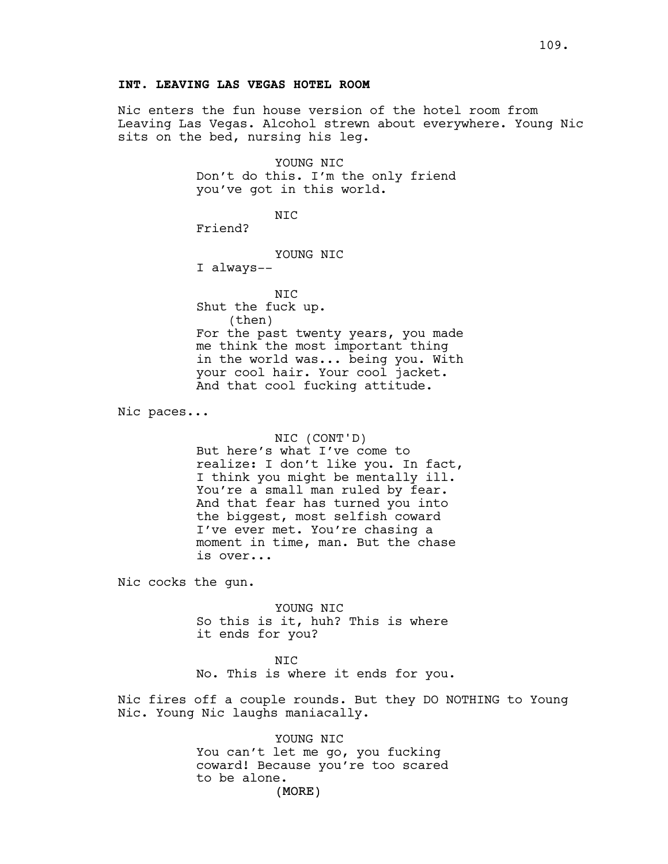# **INT. LEAVING LAS VEGAS HOTEL ROOM**

Nic enters the fun house version of the hotel room from Leaving Las Vegas. Alcohol strewn about everywhere. Young Nic sits on the bed, nursing his leg.

> YOUNG NIC Don't do this. I'm the only friend you've got in this world.

> > NIC

Friend?

YOUNG NIC

I always--

NIC Shut the fuck up. (then) For the past twenty years, you made me think the most important thing in the world was... being you. With your cool hair. Your cool jacket. And that cool fucking attitude.

Nic paces...

NIC (CONT'D) But here's what I've come to realize: I don't like you. In fact, I think you might be mentally ill. You're a small man ruled by fear. And that fear has turned you into the biggest, most selfish coward I've ever met. You're chasing a moment in time, man. But the chase is over...

Nic cocks the gun.

YOUNG NIC So this is it, huh? This is where it ends for you?

#### NIC

No. This is where it ends for you.

Nic fires off a couple rounds. But they DO NOTHING to Young Nic. Young Nic laughs maniacally.

> (MORE) YOUNG NIC You can't let me go, you fucking coward! Because you're too scared to be alone.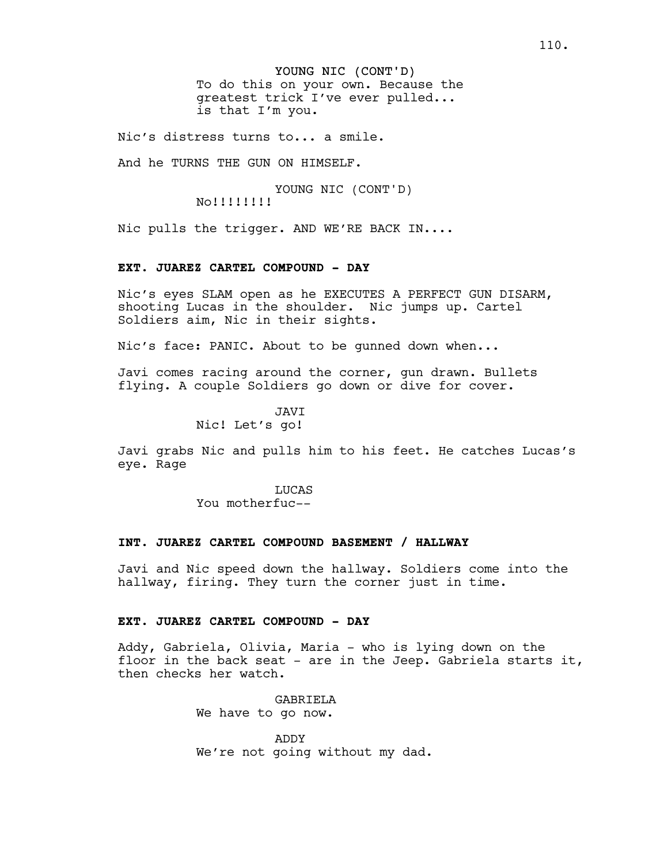YOUNG NIC (CONT'D) To do this on your own. Because the greatest trick I've ever pulled... is that I'm you.

Nic's distress turns to... a smile.

And he TURNS THE GUN ON HIMSELF.

YOUNG NIC (CONT'D) No!!!!!!!!

Nic pulls the trigger. AND WE'RE BACK IN....

#### **EXT. JUAREZ CARTEL COMPOUND - DAY**

Nic's eyes SLAM open as he EXECUTES A PERFECT GUN DISARM, shooting Lucas in the shoulder. Nic jumps up. Cartel Soldiers aim, Nic in their sights.

Nic's face: PANIC. About to be gunned down when...

Javi comes racing around the corner, gun drawn. Bullets flying. A couple Soldiers go down or dive for cover.

JAVI

Nic! Let's go!

Javi grabs Nic and pulls him to his feet. He catches Lucas's eye. Rage

> **LUCAS** You motherfuc--

# **INT. JUAREZ CARTEL COMPOUND BASEMENT / HALLWAY**

Javi and Nic speed down the hallway. Soldiers come into the hallway, firing. They turn the corner just in time.

# **EXT. JUAREZ CARTEL COMPOUND - DAY**

Addy, Gabriela, Olivia, Maria - who is lying down on the floor in the back seat - are in the Jeep. Gabriela starts it, then checks her watch.

> GABRIELA We have to go now.

ADDY We're not going without my dad.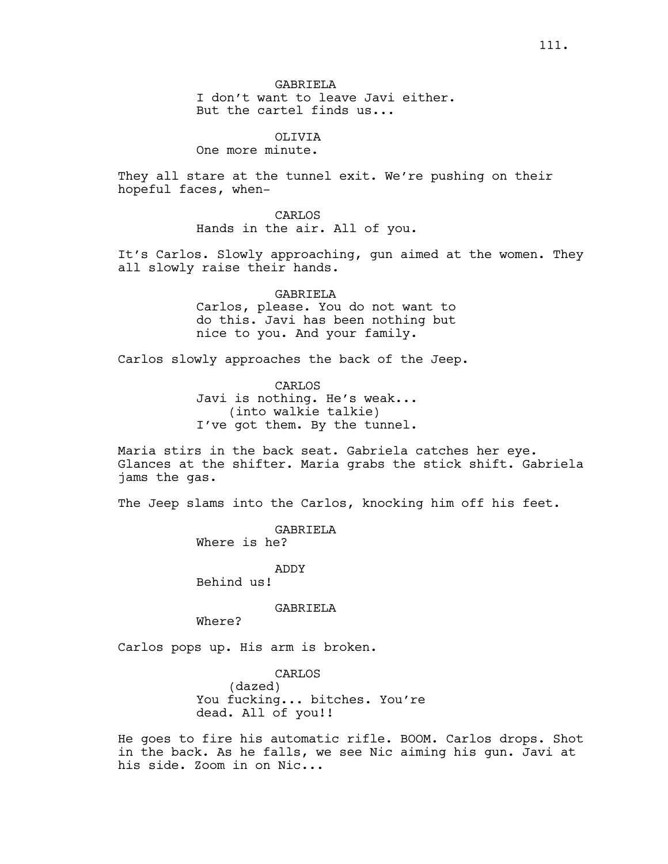GABRIELA I don't want to leave Javi either. But the cartel finds us...

OLIVIA

One more minute.

They all stare at the tunnel exit. We're pushing on their hopeful faces, when-

> CARLOS Hands in the air. All of you.

It's Carlos. Slowly approaching, gun aimed at the women. They all slowly raise their hands.

> GABRIELA Carlos, please. You do not want to do this. Javi has been nothing but nice to you. And your family.

Carlos slowly approaches the back of the Jeep.

CARLOS Javi is nothing. He's weak... (into walkie talkie) I've got them. By the tunnel.

Maria stirs in the back seat. Gabriela catches her eye. Glances at the shifter. Maria grabs the stick shift. Gabriela jams the gas.

The Jeep slams into the Carlos, knocking him off his feet.

GABRIELA Where is he?

ADDY Behind us!

GABRIELA

Where?

Carlos pops up. His arm is broken.

CARLOS (dazed) You fucking... bitches. You're dead. All of you!!

He goes to fire his automatic rifle. BOOM. Carlos drops. Shot in the back. As he falls, we see Nic aiming his gun. Javi at his side. Zoom in on Nic...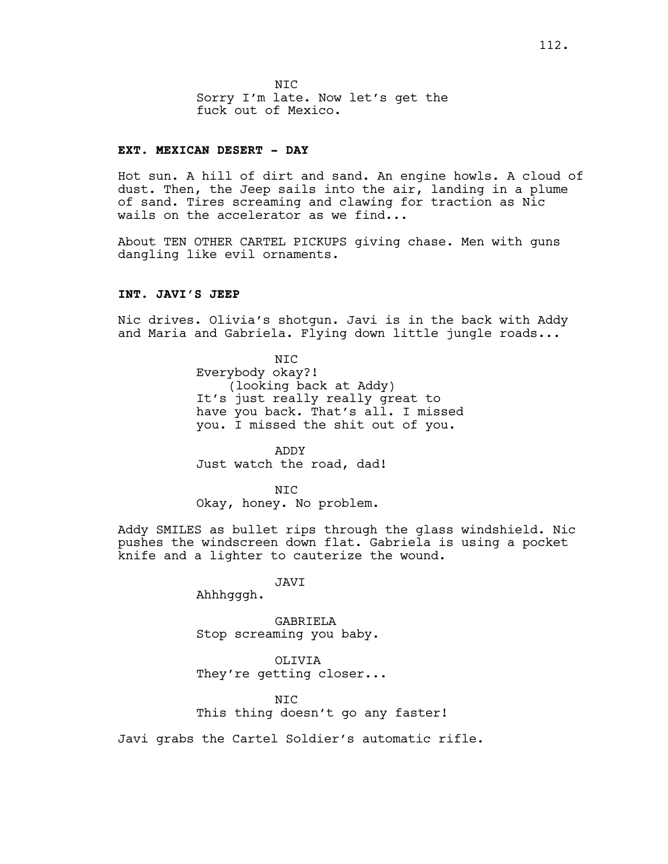NIC Sorry I'm late. Now let's get the fuck out of Mexico.

#### **EXT. MEXICAN DESERT - DAY**

Hot sun. A hill of dirt and sand. An engine howls. A cloud of dust. Then, the Jeep sails into the air, landing in a plume of sand. Tires screaming and clawing for traction as Nic wails on the accelerator as we find...

About TEN OTHER CARTEL PICKUPS giving chase. Men with guns dangling like evil ornaments.

### **INT. JAVI'S JEEP**

Nic drives. Olivia's shotgun. Javi is in the back with Addy and Maria and Gabriela. Flying down little jungle roads...

> NIC Everybody okay?! (looking back at Addy) It's just really really great to have you back. That's all. I missed you. I missed the shit out of you.

ADDY Just watch the road, dad!

N<sub>TC</sub> Okay, honey. No problem.

Addy SMILES as bullet rips through the glass windshield. Nic pushes the windscreen down flat. Gabriela is using a pocket knife and a lighter to cauterize the wound.

JAVI

Ahhhgggh.

GABRIELA Stop screaming you baby.

OLIVIA They're getting closer...

NIC This thing doesn't go any faster!

Javi grabs the Cartel Soldier's automatic rifle.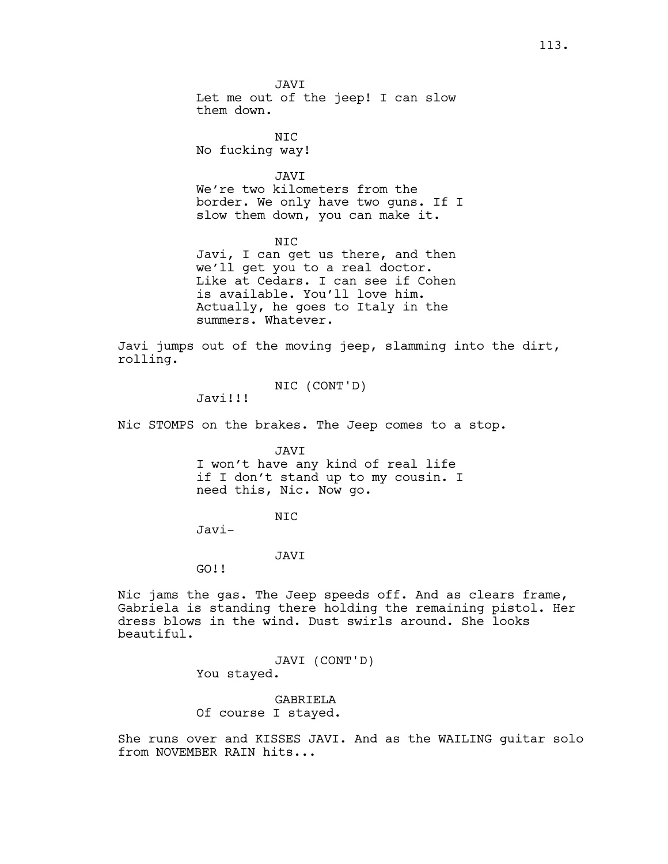NIC No fucking way!

JAVI We're two kilometers from the border. We only have two guns. If I slow them down, you can make it.

NIC Javi, I can get us there, and then we'll get you to a real doctor. Like at Cedars. I can see if Cohen is available. You'll love him. Actually, he goes to Italy in the summers. Whatever.

Javi jumps out of the moving jeep, slamming into the dirt, rolling.

NIC (CONT'D)

Javi!!!

Nic STOMPS on the brakes. The Jeep comes to a stop.

JAVI

I won't have any kind of real life if I don't stand up to my cousin. I need this, Nic. Now go.

NIC

Javi-

JAVI

GO!!

Nic jams the gas. The Jeep speeds off. And as clears frame, Gabriela is standing there holding the remaining pistol. Her dress blows in the wind. Dust swirls around. She looks beautiful.

> JAVI (CONT'D) You stayed.

GABRIELA Of course I stayed.

She runs over and KISSES JAVI. And as the WAILING guitar solo from NOVEMBER RAIN hits...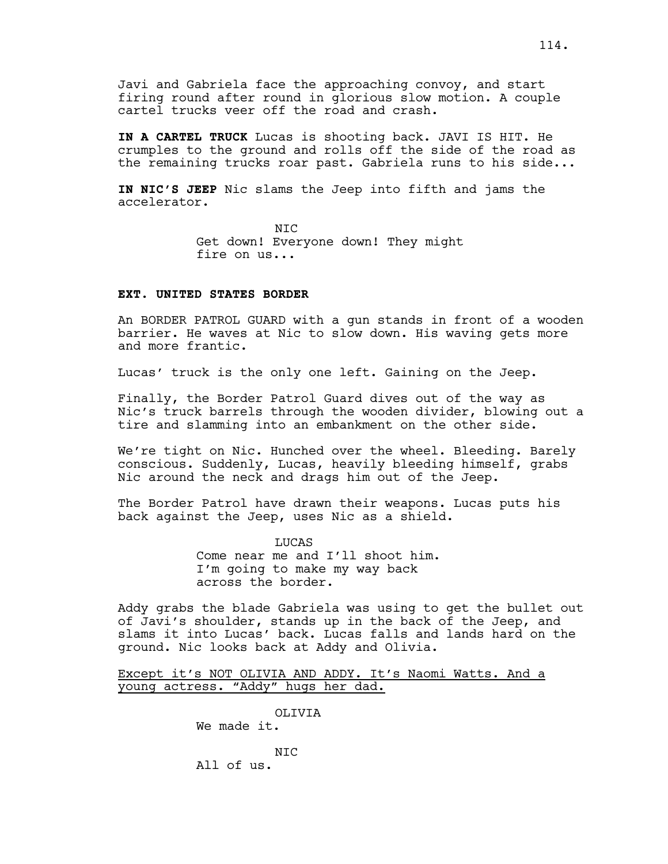Javi and Gabriela face the approaching convoy, and start firing round after round in glorious slow motion. A couple cartel trucks veer off the road and crash.

**IN A CARTEL TRUCK** Lucas is shooting back. JAVI IS HIT. He crumples to the ground and rolls off the side of the road as the remaining trucks roar past. Gabriela runs to his side...

**IN NIC'S JEEP** Nic slams the Jeep into fifth and jams the accelerator.

> NIC Get down! Everyone down! They might fire on us...

### **EXT. UNITED STATES BORDER**

An BORDER PATROL GUARD with a gun stands in front of a wooden barrier. He waves at Nic to slow down. His waving gets more and more frantic.

Lucas' truck is the only one left. Gaining on the Jeep.

Finally, the Border Patrol Guard dives out of the way as Nic's truck barrels through the wooden divider, blowing out a tire and slamming into an embankment on the other side.

We're tight on Nic. Hunched over the wheel. Bleeding. Barely conscious. Suddenly, Lucas, heavily bleeding himself, grabs Nic around the neck and drags him out of the Jeep.

The Border Patrol have drawn their weapons. Lucas puts his back against the Jeep, uses Nic as a shield.

> **LUCAS** Come near me and I'll shoot him. I'm going to make my way back across the border.

Addy grabs the blade Gabriela was using to get the bullet out of Javi's shoulder, stands up in the back of the Jeep, and slams it into Lucas' back. Lucas falls and lands hard on the ground. Nic looks back at Addy and Olivia.

Except it's NOT OLIVIA AND ADDY. It's Naomi Watts. And a young actress. "Addy" hugs her dad.

> OLIVIA We made it.

NIC All of us.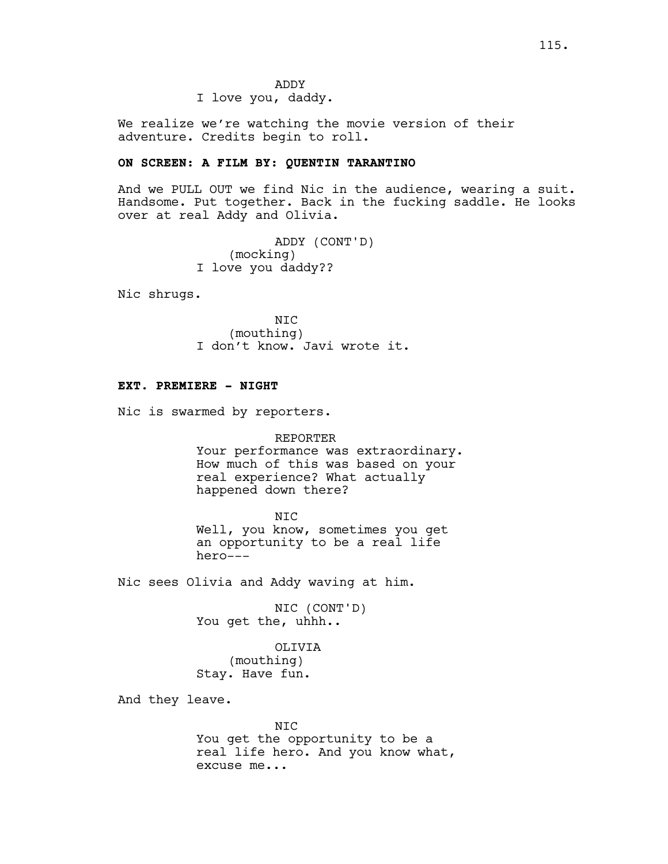ADDY I love you, daddy.

We realize we're watching the movie version of their adventure. Credits begin to roll.

### **ON SCREEN: A FILM BY: QUENTIN TARANTINO**

And we PULL OUT we find Nic in the audience, wearing a suit. Handsome. Put together. Back in the fucking saddle. He looks over at real Addy and Olivia.

> ADDY (CONT'D) (mocking) I love you daddy??

Nic shrugs.

NIC (mouthing) I don't know. Javi wrote it.

# **EXT. PREMIERE - NIGHT**

Nic is swarmed by reporters.

#### REPORTER

Your performance was extraordinary. How much of this was based on your real experience? What actually happened down there?

#### NIC

Well, you know, sometimes you get an opportunity to be a real life hero---

Nic sees Olivia and Addy waving at him.

NIC (CONT'D) You get the, uhhh..

OLIVIA (mouthing) Stay. Have fun.

And they leave.

NIC You get the opportunity to be a real life hero. And you know what, excuse me...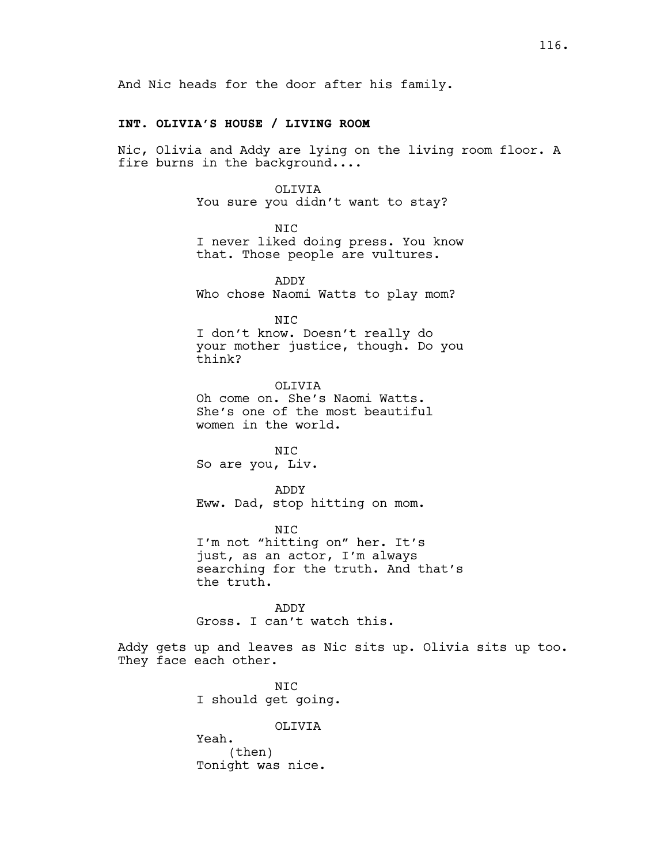And Nic heads for the door after his family.

# **INT. OLIVIA'S HOUSE / LIVING ROOM**

Nic, Olivia and Addy are lying on the living room floor. A fire burns in the background....

OLIVIA

You sure you didn't want to stay?

NIC

I never liked doing press. You know that. Those people are vultures.

ADDY Who chose Naomi Watts to play mom?

NIC

I don't know. Doesn't really do your mother justice, though. Do you think?

OLIVIA Oh come on. She's Naomi Watts. She's one of the most beautiful women in the world.

NIC So are you, Liv.

ADDY Eww. Dad, stop hitting on mom.

NIC I'm not "hitting on" her. It's just, as an actor, I'm always searching for the truth. And that's the truth.

ADDY Gross. I can't watch this.

Addy gets up and leaves as Nic sits up. Olivia sits up too. They face each other.

> NIC I should get going.

> > OLIVIA

Yeah. (then) Tonight was nice.